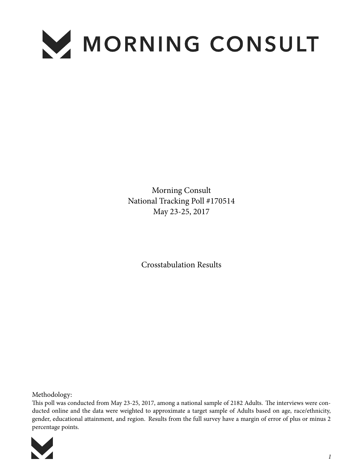

Morning Consult National Tracking Poll #170514 May 23-25, 2017

Crosstabulation Results

Methodology:

This poll was conducted from May 23-25, 2017, among a national sample of 2182 Adults. The interviews were conducted online and the data were weighted to approximate a target sample of Adults based on age, race/ethnicity, gender, educational attainment, and region. Results from the full survey have a margin of error of plus or minus 2 percentage points.

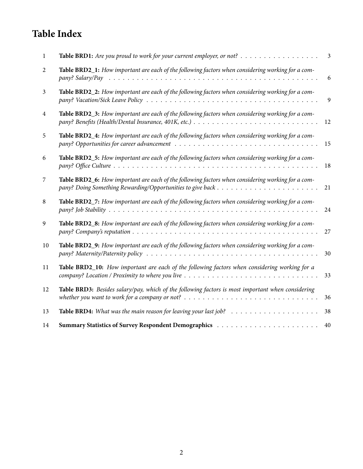# **Table Index**

| 1  |                                                                                                                                                                                                                                    | $\mathfrak{Z}$ |
|----|------------------------------------------------------------------------------------------------------------------------------------------------------------------------------------------------------------------------------------|----------------|
| 2  | Table BRD2_1: How important are each of the following factors when considering working for a com-                                                                                                                                  | 6              |
| 3  | Table BRD2_2: How important are each of the following factors when considering working for a com-                                                                                                                                  | 9              |
| 4  | Table BRD2_3: How important are each of the following factors when considering working for a com-                                                                                                                                  | 12             |
| 5  | Table BRD2_4: How important are each of the following factors when considering working for a com-                                                                                                                                  | 15             |
| 6  | Table BRD2_5: How important are each of the following factors when considering working for a com-                                                                                                                                  | 18             |
| 7  | Table BRD2_6: How important are each of the following factors when considering working for a com-                                                                                                                                  | 21             |
| 8  | Table BRD2_7: How important are each of the following factors when considering working for a com-                                                                                                                                  | 24             |
| 9  | Table BRD2_8: How important are each of the following factors when considering working for a com-                                                                                                                                  | 27             |
| 10 | Table BRD2_9: How important are each of the following factors when considering working for a com-                                                                                                                                  | 30             |
| 11 | Table BRD2_10: How important are each of the following factors when considering working for a                                                                                                                                      | 33             |
| 12 | Table BRD3: Besides salary/pay, which of the following factors is most important when considering<br>whether you want to work for a company or not? $\ldots \ldots \ldots \ldots \ldots \ldots \ldots \ldots \ldots \ldots \ldots$ | 36             |
| 13 | <b>Table BRD4:</b> What was the main reason for leaving your last job? $\ldots \ldots \ldots \ldots \ldots \ldots$                                                                                                                 | 38             |
| 14 | <b>Summary Statistics of Survey Respondent Demographics </b>                                                                                                                                                                       | 40             |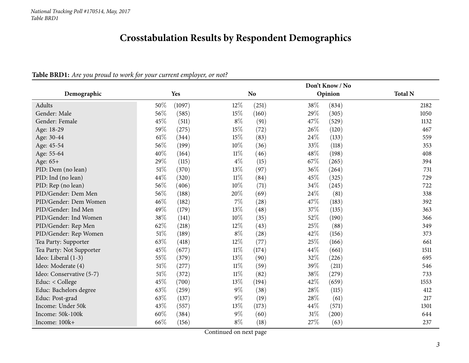# **Crosstabulation Results by Respondent Demographics**

#### Table BRD1: Are you proud to work for your current employer, or not?

<span id="page-2-0"></span>

|                          |            |                  |                    | Don't Know / No |         |                |
|--------------------------|------------|------------------|--------------------|-----------------|---------|----------------|
| Demographic              | <b>Yes</b> |                  | N <sub>o</sub>     |                 | Opinion | <b>Total N</b> |
| Adults                   | 50\%       | (1097)<br>$12\%$ | (251)              | 38%             | (834)   | 2182           |
| Gender: Male             | 56%        | 15%<br>(585)     | (160)              | 29%             | (305)   | 1050           |
| Gender: Female           | 45%        | $8\%$<br>(511)   | (91)               | 47\%            | (529)   | 1132           |
| Age: 18-29               | 59%        | 15%<br>(275)     | (72)               | 26%             | (120)   | 467            |
| Age: 30-44               | 61\%       | 15%<br>(344)     | (83)               | 24\%            | (133)   | 559            |
| Age: 45-54               | 56%        | $10\%$<br>(199)  | (36)               | 33%             | (118)   | 353            |
| Age: 55-64               | 40%        | $11\%$<br>(164)  | (46)               | 48%             | (198)   | 408            |
| Age: 65+                 | 29%        | $4\%$<br>(115)   | (15)               | 67%             | (265)   | 394            |
| PID: Dem (no lean)       | 51%        | 13%<br>(370)     | (97)               | 36%             | (264)   | 731            |
| PID: Ind (no lean)       | 44%        | 11%<br>(320)     | (84)               | 45%             | (325)   | 729            |
| PID: Rep (no lean)       | 56%        | 10%<br>(406)     | (71)               | 34%             | (245)   | 722            |
| PID/Gender: Dem Men      | 56%        | 20%<br>(188)     | (69)               | 24\%            | (81)    | 338            |
| PID/Gender: Dem Women    | 46%        | $7\%$<br>(182)   | $\left( 28\right)$ | 47%             | (183)   | 392            |
| PID/Gender: Ind Men      | 49%        | 13%<br>(179)     | (48)               | 37%             | (135)   | 363            |
| PID/Gender: Ind Women    | 38%        | $10\%$<br>(141)  | (35)               | 52%             | (190)   | 366            |
| PID/Gender: Rep Men      | 62%        | (218)<br>12%     | (43)               | 25%             | (88)    | 349            |
| PID/Gender: Rep Women    | 51%        | $8\%$<br>(189)   | (28)               | 42%             | (156)   | 373            |
| Tea Party: Supporter     | 63%        | 12%<br>(418)     | (77)               | 25%             | (166)   | 661            |
| Tea Party: Not Supporter | 45%        | $11\%$<br>(677)  | (174)              | 44%             | (661)   | 1511           |
| Ideo: Liberal (1-3)      | 55%        | 13\%<br>(379)    | (90)               | 32%             | (226)   | 695            |
| Ideo: Moderate (4)       | 51%        | $11\%$<br>(277)  | (59)               | 39%             | (211)   | 546            |
| Ideo: Conservative (5-7) | 51%        | $11\%$<br>(372)  | (82)               | 38%             | (279)   | 733            |
| Educ: < College          | 45%        | 13%<br>(700)     | (194)              | 42%             | (659)   | 1553           |
| Educ: Bachelors degree   | 63%        | $9\%$<br>(259)   | (38)               | 28%             | (115)   | 412            |
| Educ: Post-grad          | 63%        | $9\%$<br>(137)   | (19)               | 28%             | (61)    | 217            |
| Income: Under 50k        | 43%        | 13%<br>(557)     | (173)              | 44%             | (571)   | 1301           |
| Income: 50k-100k         | $60\%$     | $9\%$<br>(384)   | (60)               | $31\%$          | (200)   | 644            |
| Income: 100k+            | 66\%       | $8\%$<br>(156)   | (18)               | 27\%            | (63)    | 237            |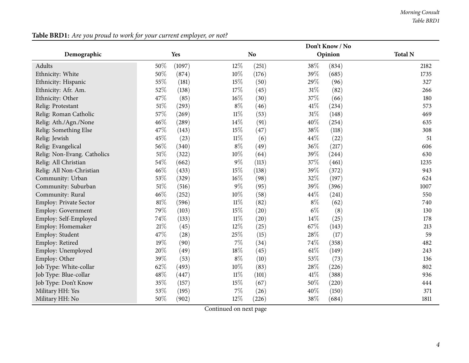|                               |        |        |        |                | Don't Know / No |         |                |
|-------------------------------|--------|--------|--------|----------------|-----------------|---------|----------------|
| Demographic                   |        | Yes    |        | N <sub>o</sub> |                 | Opinion | <b>Total N</b> |
| Adults                        | 50%    | (1097) | 12%    | (251)          | 38%             | (834)   | 2182           |
| Ethnicity: White              | 50%    | (874)  | $10\%$ | (176)          | 39%             | (685)   | 1735           |
| Ethnicity: Hispanic           | 55%    | (181)  | 15%    | (50)           | 29%             | (96)    | 327            |
| Ethnicity: Afr. Am.           | 52%    | (138)  | 17%    | (45)           | 31%             | (82)    | 266            |
| Ethnicity: Other              | 47%    | (85)   | 16%    | (30)           | 37%             | (66)    | 180            |
| Relig: Protestant             | $51\%$ | (293)  | $8\%$  | (46)           | 41\%            | (234)   | 573            |
| Relig: Roman Catholic         | 57%    | (269)  | $11\%$ | (53)           | 31%             | (148)   | 469            |
| Relig: Ath./Agn./None         | 46%    | (289)  | 14%    | (91)           | 40%             | (254)   | 635            |
| Relig: Something Else         | 47%    | (143)  | 15%    | (47)           | 38%             | (118)   | 308            |
| Relig: Jewish                 | 45%    | (23)   | $11\%$ | (6)            | 44%             | (22)    | 51             |
| Relig: Evangelical            | 56%    | (340)  | $8\%$  | (49)           | 36%             | (217)   | 606            |
| Relig: Non-Evang. Catholics   | $51\%$ | (322)  | 10%    | (64)           | 39%             | (244)   | 630            |
| Relig: All Christian          | 54%    | (662)  | 9%     | (113)          | 37%             | (461)   | 1235           |
| Relig: All Non-Christian      | 46%    | (433)  | 15%    | (138)          | 39%             | (372)   | 943            |
| Community: Urban              | 53%    | (329)  | 16%    | (98)           | 32%             | (197)   | 624            |
| Community: Suburban           | $51\%$ | (516)  | $9\%$  | (95)           | 39%             | (396)   | 1007           |
| Community: Rural              | 46\%   | (252)  | 10%    | (58)           | 44%             | (241)   | 550            |
| <b>Employ: Private Sector</b> | $81\%$ | (596)  | $11\%$ | (82)           | $8\%$           | (62)    | 740            |
| Employ: Government            | 79%    | (103)  | 15%    | (20)           | $6\%$           | (8)     | 130            |
| Employ: Self-Employed         | 74%    | (133)  | $11\%$ | (20)           | 14%             | (25)    | 178            |
| Employ: Homemaker             | 21\%   | (45)   | 12%    | (25)           | 67%             | (143)   | 213            |
| Employ: Student               | 47%    | (28)   | 25%    | (15)           | 28%             | (17)    | 59             |
| Employ: Retired               | 19%    | (90)   | 7%     | (34)           | 74%             | (358)   | 482            |
| Employ: Unemployed            | 20%    | (49)   | $18\%$ | (45)           | 61\%            | (149)   | 243            |
| Employ: Other                 | 39%    | (53)   | $8\%$  | (10)           | 53%             | (73)    | 136            |
| Job Type: White-collar        | 62%    | (493)  | 10%    | (83)           | 28%             | (226)   | 802            |
| Job Type: Blue-collar         | 48\%   | (447)  | $11\%$ | (101)          | 41%             | (388)   | 936            |
| Job Type: Don't Know          | 35%    | (157)  | 15%    | (67)           | 50%             | (220)   | 444            |
| Military HH: Yes              | 53%    | (195)  | $7\%$  | (26)           | 40%             | (150)   | 371            |
| Military HH: No               | 50%    | (902)  | 12\%   | (226)          | 38%             | (684)   | 1811           |

Table BRD1: Are you proud to work for your current employer, or not?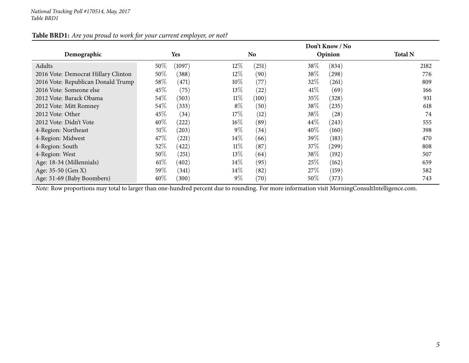|                                     |            |           | Don't Know / No |           |        |                     |                |  |  |  |
|-------------------------------------|------------|-----------|-----------------|-----------|--------|---------------------|----------------|--|--|--|
| Demographic                         | <b>Yes</b> |           |                 | <b>No</b> |        | Opinion             | <b>Total N</b> |  |  |  |
| Adults                              | $50\%$     | (1097)    | $12\%$          | (251)     | 38\%   | (834)               | 2182           |  |  |  |
| 2016 Vote: Democrat Hillary Clinton | $50\%$     | (388)     | $12\%$          | (90)      | 38\%   | $\left( 298\right)$ | 776            |  |  |  |
| 2016 Vote: Republican Donald Trump  | 58\%       | (471)     | 10%             | (77)      | 32\%   | (261)               | 809            |  |  |  |
| 2016 Vote: Someone else             | 45\%       | (75)      | 13%             | (22)      | 41%    | (69)                | 166            |  |  |  |
| 2012 Vote: Barack Obama             | 54\%       | (503)     | $11\%$          | (100)     | $35\%$ | (328)               | 931            |  |  |  |
| 2012 Vote: Mitt Romney              | $54\%$     | (333)     | $8\%$           | (50)      | 38\%   | (235)               | 618            |  |  |  |
| 2012 Vote: Other                    | 45\%       | $^{(34)}$ | 17%             | (12)      | 38\%   | (28)                | 74             |  |  |  |
| 2012 Vote: Didn't Vote              | $40\%$     | (222)     | 16%             | (89)      | 44\%   | (243)               | 555            |  |  |  |
| 4-Region: Northeast                 | $51\%$     | (203)     | $9\%$           | (34)      | 40%    | (160)               | 398            |  |  |  |
| 4-Region: Midwest                   | 47\%       | (221)     | 14\%            | (66)      | 39\%   | (183)               | 470            |  |  |  |
| 4-Region: South                     | 52\%       | (422)     | $11\%$          | (87)      | $37\%$ | (299)               | 808            |  |  |  |
| 4-Region: West                      | $50\%$     | (251)     | 13%             | (64)      | 38\%   | (192)               | 507            |  |  |  |
| Age: 18-34 (Millennials)            | $61\%$     | (402)     | $14\%$          | (95)      | $25\%$ | (162)               | 659            |  |  |  |
| Age: 35-50 (Gen X)                  | 59%        | (341)     | $14\%$          | (82)      | 27\%   | (159)               | 582            |  |  |  |
| Age: 51-69 (Baby Boombers)          | 40\%       | (300)     | $9\%$           | (70)      | $50\%$ | (373)               | 743            |  |  |  |

#### Table BRD1: Are you proud to work for your current employer, or not?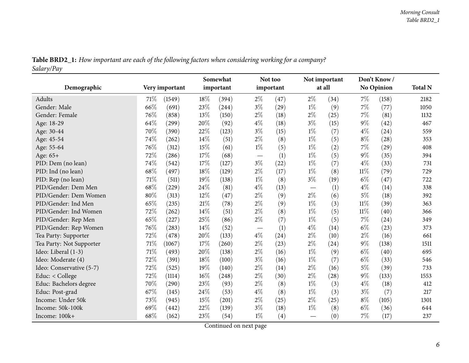|            | Table BRD2_1: How important are each of the following factors when considering working for a company? |  |
|------------|-------------------------------------------------------------------------------------------------------|--|
| Salary/Pay |                                                                                                       |  |

<span id="page-5-0"></span>

|                          |        |                |        | Somewhat  |                                 | Not too           |       | Not important |        | Don't Know/        |                |
|--------------------------|--------|----------------|--------|-----------|---------------------------------|-------------------|-------|---------------|--------|--------------------|----------------|
| Demographic              |        | Very important |        | important |                                 | important         |       | at all        |        | No Opinion         | <b>Total N</b> |
| Adults                   | 71%    | (1549)         | 18%    | (394)     | $2\%$                           | (47)              | $2\%$ | (34)          | 7%     | (158)              | 2182           |
| Gender: Male             | 66%    | (691)          | 23%    | (244)     | $3\%$                           | (29)              | $1\%$ | (9)           | 7%     | (77)               | 1050           |
| Gender: Female           | 76%    | (858)          | 13%    | (150)     | $2\%$                           | (18)              | $2\%$ | (25)          | 7%     | (81)               | 1132           |
| Age: 18-29               | 64%    | (299)          | 20%    | (92)      | $4\%$                           | (18)              | $3\%$ | (15)          | $9\%$  | (42)               | 467            |
| Age: 30-44               | 70%    | (390)          | 22%    | (123)     | $3\%$                           | (15)              | $1\%$ | (7)           | $4\%$  | (24)               | 559            |
| Age: 45-54               | 74%    | (262)          | 14%    | (51)      | $2\%$                           | (8)               | $1\%$ | (5)           | $8\%$  | (28)               | 353            |
| Age: 55-64               | $76\%$ | (312)          | 15%    | (61)      | $1\%$                           | (5)               | $1\%$ | (2)           | 7%     | $\left( 29\right)$ | 408            |
| Age: 65+                 | 72%    | (286)          | 17%    | (68)      | $\hspace{0.1mm}-\hspace{0.1mm}$ | (1)               | $1\%$ | (5)           | $9\%$  | (35)               | 394            |
| PID: Dem (no lean)       | 74%    | (542)          | 17\%   | (127)     | $3\%$                           | (22)              | $1\%$ | (7)           | $4\%$  | (33)               | 731            |
| PID: Ind (no lean)       | 68%    | (497)          | 18%    | (129)     | $2\%$                           | (17)              | $1\%$ | (8)           | $11\%$ | (79)               | 729            |
| PID: Rep (no lean)       | 71%    | (511)          | 19%    | (138)     | $1\%$                           | (8)               | $3\%$ | (19)          | $6\%$  | (47)               | 722            |
| PID/Gender: Dem Men      | 68%    | (229)          | 24%    | (81)      | $4\%$                           | (13)              |       | (1)           | $4\%$  | (14)               | 338            |
| PID/Gender: Dem Women    | 80%    | (313)          | $12\%$ | (47)      | $2\%$                           | (9)               | $2\%$ | (6)           | $5\%$  | (18)               | 392            |
| PID/Gender: Ind Men      | 65%    | (235)          | 21%    | (78)      | $2\%$                           | (9)               | $1\%$ | (3)           | $11\%$ | (39)               | 363            |
| PID/Gender: Ind Women    | 72%    | (262)          | 14%    | (51)      | $2\%$                           | (8)               | $1\%$ | (5)           | $11\%$ | (40)               | 366            |
| PID/Gender: Rep Men      | 65%    | (227)          | 25%    | (86)      | $2\%$                           | (7)               | $1\%$ | (5)           | 7%     | (24)               | 349            |
| PID/Gender: Rep Women    | 76%    | (283)          | 14%    | (52)      |                                 | (1)               | $4\%$ | (14)          | $6\%$  | (23)               | 373            |
| Tea Party: Supporter     | 72%    | (478)          | 20%    | (133)     | $4\%$                           | (24)              | $2\%$ | (10)          | $2\%$  | (16)               | 661            |
| Tea Party: Not Supporter | $71\%$ | (1067)         | 17%    | (260)     | $2\%$                           | (23)              | $2\%$ | (24)          | $9\%$  | (138)              | 1511           |
| Ideo: Liberal (1-3)      | 71%    | (493)          | 20%    | (138)     | $2\%$                           | (16)              | $1\%$ | (9)           | $6\%$  | (40)               | 695            |
| Ideo: Moderate (4)       | 72%    | (391)          | 18%    | (100)     | $3\%$                           | (16)              | $1\%$ | (7)           | $6\%$  | (33)               | 546            |
| Ideo: Conservative (5-7) | 72\%   | (525)          | 19%    | (140)     | $2\%$                           | (14)              | $2\%$ | (16)          | $5\%$  | (39)               | 733            |
| Educ: $<$ College        | 72%    | (1114)         | 16%    | (248)     | $2\%$                           | (30)              | $2\%$ | (28)          | $9\%$  | (133)              | 1553           |
| Educ: Bachelors degree   | 70%    | (290)          | 23%    | (93)      | $2\%$                           | (8)               | $1\%$ | (3)           | $4\%$  | (18)               | 412            |
| Educ: Post-grad          | 67\%   | (145)          | 24\%   | (53)      | $4\%$                           | (8)               | $1\%$ | (3)           | $3\%$  | (7)                | 217            |
| Income: Under 50k        | 73%    | (945)          | 15%    | (201)     | $2\%$                           | (25)              | $2\%$ | (25)          | $8\%$  | (105)              | 1301           |
| Income: 50k-100k         | 69%    | (442)          | 22%    | (139)     | $3\%$                           | (18)              | $1\%$ | (8)           | $6\%$  | (36)               | 644            |
| Income: 100k+            | 68%    | (162)          | 23%    | (54)      | $1\%$                           | $\left( 4\right)$ |       | (0)           | 7%     | (17)               | 237            |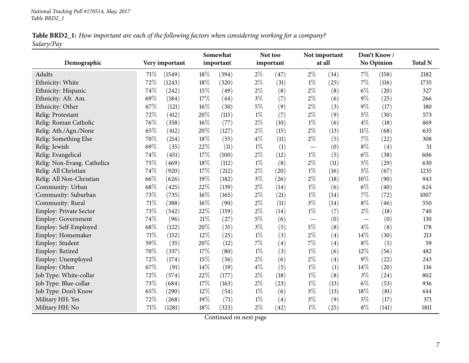| Table BRD2_1: How important are each of the following factors when considering working for a company? |  |
|-------------------------------------------------------------------------------------------------------|--|
| Salary/Pay                                                                                            |  |

| Demographic                 |      | Very important | Somewhat<br>important |       |       | Not too<br>important |                          | Not important<br>at all |        | Don't Know/<br><b>No Opinion</b> | <b>Total N</b> |
|-----------------------------|------|----------------|-----------------------|-------|-------|----------------------|--------------------------|-------------------------|--------|----------------------------------|----------------|
| Adults                      | 71\% | (1549)         | 18%                   | (394) | $2\%$ | (47)                 | $2\%$                    | (34)                    | 7%     | (158)                            | 2182           |
| Ethnicity: White            | 72%  | (1243)         | 18%                   | (320) | $2\%$ | (31)                 | $1\%$                    | (25)                    | 7%     | (116)                            | 1735           |
| Ethnicity: Hispanic         | 74%  | (242)          | 15%                   | (49)  | $2\%$ | (8)                  | $2\%$                    | (8)                     | $6\%$  | (20)                             | 327            |
| Ethnicity: Afr. Am.         | 69%  | (184)          | 17%                   | (44)  | $3\%$ | (7)                  | $2\%$                    | (6)                     | $9\%$  | (25)                             | 266            |
| Ethnicity: Other            | 67%  | (121)          | 16%                   | (30)  | $5\%$ | (9)                  | $2\%$                    | (3)                     | $9\%$  | (17)                             | 180            |
| Relig: Protestant           | 72%  | (412)          | 20%                   | (115) | $1\%$ | (7)                  | $2\%$                    | (9)                     | $5\%$  | (30)                             | 573            |
| Relig: Roman Catholic       | 76%  | (358)          | 16%                   | (77)  | $2\%$ | (10)                 | $1\%$                    | (6)                     | $4\%$  | (18)                             | 469            |
| Relig: Ath./Agn./None       | 65%  | (412)          | 20%                   | (127) | $2\%$ | (15)                 | $2\%$                    | (13)                    | $11\%$ | (68)                             | 635            |
| Relig: Something Else       | 70%  | (214)          | 18%                   | (55)  | $4\%$ | (11)                 | $2\%$                    | (5)                     | 7%     | (22)                             | 308            |
| Relig: Jewish               | 69%  | (35)           | 22%                   | (11)  | $1\%$ | (1)                  | $\overline{\phantom{0}}$ | (0)                     | $8\%$  | (4)                              | 51             |
| Relig: Evangelical          | 74%  | (451)          | 17%                   | (100) | $2\%$ | (12)                 | $1\%$                    | (5)                     | $6\%$  | (38)                             | 606            |
| Relig: Non-Evang. Catholics | 75%  | (469)          | 18%                   | (112) | $1\%$ | (8)                  | $2\%$                    | (11)                    | $5\%$  | (29)                             | 630            |
| Relig: All Christian        | 74%  | (920)          | 17%                   | (212) | $2\%$ | (20)                 | $1\%$                    | (16)                    | $5\%$  | (67)                             | 1235           |
| Relig: All Non-Christian    | 66%  | (626)          | 19%                   | (182) | $3\%$ | (26)                 | $2\%$                    | (18)                    | 10%    | (90)                             | 943            |
| Community: Urban            | 68%  | (425)          | 22%                   | (139) | $2\%$ | (14)                 | $1\%$                    | (6)                     | $6\%$  | (40)                             | 624            |
| Community: Suburban         | 73%  | (735)          | 16%                   | (165) | $2\%$ | (21)                 | $1\%$                    | (14)                    | 7%     | (72)                             | 1007           |
| Community: Rural            | 71%  | (388)          | 16%                   | (90)  | $2\%$ | (11)                 | $3\%$                    | (14)                    | $8\%$  | (46)                             | 550            |
| Employ: Private Sector      | 73%  | (542)          | 22%                   | (159) | $2\%$ | (14)                 | $1\%$                    | (7)                     | $2\%$  | (18)                             | 740            |
| Employ: Government          | 74%  | (96)           | 21%                   | (27)  | $5\%$ | (6)                  |                          | (0)                     |        | (0)                              | 130            |
| Employ: Self-Employed       | 68%  | (122)          | 20%                   | (35)  | $3\%$ | (5)                  | $5\%$                    | (8)                     | $4\%$  | (8)                              | 178            |
| Employ: Homemaker           | 71%  | (152)          | 12%                   | (25)  | $1\%$ | (3)                  | $2\%$                    | (4)                     | 14%    | (30)                             | 213            |
| Employ: Student             | 59%  | (35)           | 20%                   | (12)  | 7%    | (4)                  | $7\%$                    | (4)                     | $8\%$  | (5)                              | 59             |
| Employ: Retired             | 70%  | (337)          | 17%                   | (80)  | $1\%$ | (3)                  | $1\%$                    | (6)                     | 12%    | (56)                             | 482            |
| Employ: Unemployed          | 72%  | (174)          | 15%                   | (36)  | $2\%$ | (6)                  | $2\%$                    | (4)                     | $9\%$  | (22)                             | 243            |
| Employ: Other               | 67%  | (91)           | 14%                   | (19)  | $4\%$ | (5)                  | $1\%$                    | (1)                     | 14%    | (20)                             | 136            |
| Job Type: White-collar      | 72%  | (574)          | 22%                   | (177) | $2\%$ | (18)                 | $1\%$                    | (8)                     | $3\%$  | $^{(24)}$                        | 802            |
| Job Type: Blue-collar       | 73%  | (684)          | 17%                   | (163) | $2\%$ | (23)                 | $1\%$                    | (13)                    | $6\%$  | (53)                             | 936            |
| Job Type: Don't Know        | 65%  | (290)          | 12%                   | (54)  | $1\%$ | (6)                  | $3\%$                    | (13)                    | 18%    | (81)                             | 444            |
| Military HH: Yes            | 72%  | (268)          | 19%                   | (71)  | $1\%$ | (4)                  | $3\%$                    | (9)                     | $5\%$  | (17)                             | 371            |
| Military HH: No             | 71\% | (1281)         | 18%                   | (323) | $2\%$ | (42)                 | $1\%$                    | (25)                    | $8\%$  | (141)                            | 1811           |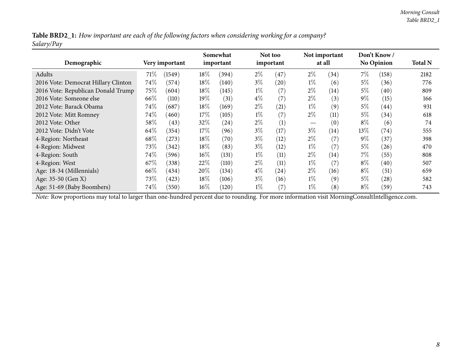Table BRD2\_1: How important are each of the following factors when considering working for a company? *Salary/Pay*

| Demographic                         |      | Very important |        | Somewhat<br>important |       | Not too<br>important |       | Not important<br>at all |        | Don't Know<br><b>No Opinion</b> | <b>Total N</b> |
|-------------------------------------|------|----------------|--------|-----------------------|-------|----------------------|-------|-------------------------|--------|---------------------------------|----------------|
| Adults                              | 71\% | (1549)         | $18\%$ | (394)                 | $2\%$ | (47)                 | $2\%$ | (34)                    | $7\%$  | (158)                           | 2182           |
| 2016 Vote: Democrat Hillary Clinton | 74%  | (574)          | $18\%$ | (140)                 | $3\%$ | (20)                 | $1\%$ | (6)                     | $5\%$  | (36)                            | 776            |
| 2016 Vote: Republican Donald Trump  | 75%  | (604)          | 18%    | (145)                 | $1\%$ | (7)                  | $2\%$ | (14)                    | $5\%$  | (40)                            | 809            |
| 2016 Vote: Someone else             | 66\% | (110)          | $19\%$ | (31)                  | $4\%$ | (7)                  | $2\%$ | (3)                     | $9\%$  | (15)                            | 166            |
| 2012 Vote: Barack Obama             | 74\% | (687)          | $18\%$ | (169)                 | $2\%$ | (21)                 | $1\%$ | (9)                     | $5\%$  | (44)                            | 931            |
| 2012 Vote: Mitt Romney              | 74%  | (460)          | 17%    | (105)                 | $1\%$ | (7)                  | $2\%$ | (11)                    | 5%     | (34)                            | 618            |
| 2012 Vote: Other                    | 58%  | (43)           | $32\%$ | (24)                  | $2\%$ | (1)                  |       | (0)                     | $8\%$  | (6)                             | 74             |
| 2012 Vote: Didn't Vote              | 64\% | (354)          | $17\%$ | (96)                  | $3\%$ | (17)                 | $3\%$ | (14)                    | $13\%$ | (74)                            | 555            |
| 4-Region: Northeast                 | 68\% | (273)          | $18\%$ | (70)                  | $3\%$ | (12)                 | $2\%$ | (7)                     | $9\%$  | (37)                            | 398            |
| 4-Region: Midwest                   | 73\% | (342)          | $18\%$ | (83)                  | $3\%$ | (12)                 | $1\%$ | (7)                     | $5\%$  | (26)                            | 470            |
| 4-Region: South                     | 74%  | (596)          | $16\%$ | (131)                 | $1\%$ | (11)                 | $2\%$ | $\left(14\right)$       | $7\%$  | (55)                            | 808            |
| 4-Region: West                      | 67\% | (338)          | 22%    | (110)                 | $2\%$ | (11)                 | $1\%$ | (7)                     | $8\%$  | (40)                            | 507            |
| Age: 18-34 (Millennials)            | 66\% | (434)          | 20%    | (134)                 | $4\%$ | $\left( 24\right)$   | $2\%$ | (16)                    | $8\%$  | (51)                            | 659            |
| Age: 35-50 (Gen X)                  | 73\% | (423)          | $18\%$ | (106)                 | $3\%$ | (16)                 | $1\%$ | (9)                     | $5\%$  | $\left( 28\right)$              | 582            |
| Age: 51-69 (Baby Boombers)          | 74%  | (550)          | $16\%$ | (120)                 | $1\%$ | (7)                  | $1\%$ | (8)                     | $8\%$  | (59)                            | 743            |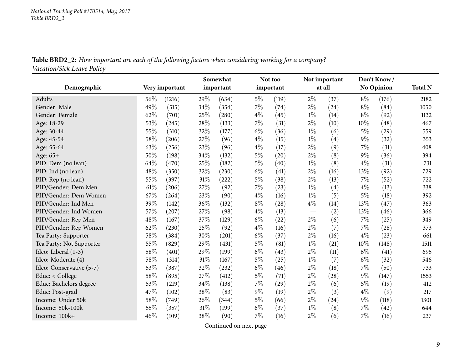Table BRD2\_2: How important are each of the following factors when considering working for a company? *Vacation/Sick Leave Policy*

<span id="page-8-0"></span>

| Demographic              | Very important |        | Somewhat<br>important |       |       | Not too<br>important |                          | Not important<br>at all |       | Don't Know/<br><b>No Opinion</b> | <b>Total N</b> |
|--------------------------|----------------|--------|-----------------------|-------|-------|----------------------|--------------------------|-------------------------|-------|----------------------------------|----------------|
| Adults                   | $56\%$         | (1216) | 29%                   | (634) | $5\%$ | (119)                | $2\%$                    | (37)                    | $8\%$ | (176)                            | 2182           |
| Gender: Male             | 49%            | (515)  | 34%                   | (354) | 7%    | (74)                 | $2\%$                    | (24)                    | $8\%$ | (84)                             | 1050           |
| Gender: Female           | 62%            | (701)  | 25%                   | (280) | $4\%$ | (45)                 | $1\%$                    | (14)                    | $8\%$ | (92)                             | 1132           |
| Age: 18-29               | 53%            | (245)  | 28%                   | (133) | 7%    | (31)                 | $2\%$                    | (10)                    | 10%   | (48)                             | 467            |
| Age: 30-44               | 55%            | (310)  | 32%                   | (177) | $6\%$ | (36)                 | $1\%$                    | (6)                     | $5\%$ | (29)                             | 559            |
| Age: 45-54               | 58%            | (206)  | 27%                   | (96)  | $4\%$ | (15)                 | $1\%$                    | (4)                     | $9\%$ | (32)                             | 353            |
| Age: 55-64               | 63%            | (256)  | 23%                   | (96)  | $4\%$ | (17)                 | $2\%$                    | (9)                     | 7%    | (31)                             | 408            |
| Age: 65+                 | 50%            | (198)  | 34%                   | (132) | $5\%$ | (20)                 | $2\%$                    | (8)                     | $9\%$ | (36)                             | 394            |
| PID: Dem (no lean)       | 64%            | (470)  | 25%                   | (182) | $5\%$ | (40)                 | $1\%$                    | (8)                     | $4\%$ | (31)                             | 731            |
| PID: Ind (no lean)       | 48%            | (350)  | 32%                   | (230) | $6\%$ | (41)                 | $2\%$                    | (16)                    | 13%   | (92)                             | 729            |
| PID: Rep (no lean)       | 55%            | (397)  | 31%                   | (222) | $5\%$ | (38)                 | $2\%$                    | (13)                    | 7%    | (52)                             | 722            |
| PID/Gender: Dem Men      | 61\%           | (206)  | 27%                   | (92)  | 7%    | (23)                 | $1\%$                    | (4)                     | $4\%$ | (13)                             | 338            |
| PID/Gender: Dem Women    | 67%            | (264)  | 23%                   | (90)  | $4\%$ | (16)                 | $1\%$                    | (5)                     | $5\%$ | (18)                             | 392            |
| PID/Gender: Ind Men      | 39%            | (142)  | 36%                   | (132) | $8\%$ | (28)                 | $4\%$                    | (14)                    | 13%   | (47)                             | 363            |
| PID/Gender: Ind Women    | 57%            | (207)  | 27%                   | (98)  | $4\%$ | (13)                 | $\overline{\phantom{0}}$ | (2)                     | 13%   | (46)                             | 366            |
| PID/Gender: Rep Men      | 48%            | (167)  | 37%                   | (129) | $6\%$ | (22)                 | $2\%$                    | (6)                     | 7%    | (25)                             | 349            |
| PID/Gender: Rep Women    | 62%            | (230)  | $25\%$                | (92)  | $4\%$ | (16)                 | $2\%$                    | (7)                     | 7%    | (28)                             | 373            |
| Tea Party: Supporter     | 58%            | (384)  | 30%                   | (201) | $6\%$ | (37)                 | $2\%$                    | (16)                    | $4\%$ | (23)                             | 661            |
| Tea Party: Not Supporter | 55%            | (829)  | 29%                   | (431) | $5\%$ | (81)                 | $1\%$                    | (21)                    | 10%   | (148)                            | 1511           |
| Ideo: Liberal (1-3)      | 58%            | (401)  | 29%                   | (199) | $6\%$ | (43)                 | $2\%$                    | (11)                    | $6\%$ | (41)                             | 695            |
| Ideo: Moderate (4)       | 58%            | (314)  | 31%                   | (167) | $5\%$ | (25)                 | $1\%$                    | (7)                     | $6\%$ | (32)                             | 546            |
| Ideo: Conservative (5-7) | 53%            | (387)  | 32%                   | (232) | $6\%$ | (46)                 | $2\%$                    | (18)                    | 7%    | (50)                             | 733            |
| Educ: < College          | 58%            | (895)  | 27%                   | (412) | 5%    | (71)                 | $2\%$                    | (28)                    | $9\%$ | (147)                            | 1553           |
| Educ: Bachelors degree   | 53%            | (219)  | 34%                   | (138) | 7%    | (29)                 | $2\%$                    | (6)                     | 5%    | (19)                             | 412            |
| Educ: Post-grad          | 47%            | (102)  | 38%                   | (83)  | $9\%$ | (19)                 | $2\%$                    | (3)                     | $4\%$ | (9)                              | 217            |
| Income: Under 50k        | 58%            | (749)  | 26%                   | (344) | $5\%$ | (66)                 | $2\%$                    | (24)                    | $9\%$ | (118)                            | 1301           |
| Income: 50k-100k         | 55%            | (357)  | 31%                   | (199) | $6\%$ | (37)                 | $1\%$                    | (8)                     | 7%    | (42)                             | 644            |
| Income: 100k+            | 46%            | (109)  | 38%                   | (90)  | 7%    | (16)                 | $2\%$                    | (6)                     | 7%    | (16)                             | 237            |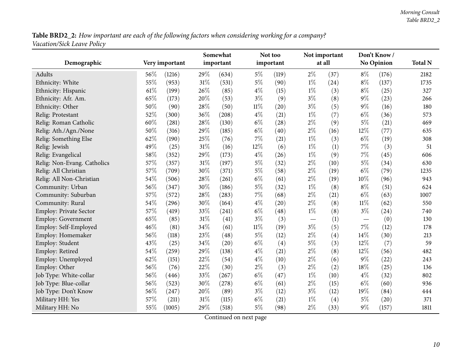${\bf Table~BRD2\_2:}$  How important are each of the following factors when considering working for a company? *Vacation/Sick Leave Policy*

| Demographic                   |      | Very important | Somewhat<br>important |       |        | Not too<br>important |       | Not important<br>at all | Don't Know/<br>No Opinion |           | <b>Total N</b> |
|-------------------------------|------|----------------|-----------------------|-------|--------|----------------------|-------|-------------------------|---------------------------|-----------|----------------|
| Adults                        | 56%  | (1216)         | 29%                   | (634) | $5\%$  | (119)                | $2\%$ | (37)                    | $8\%$                     | (176)     | 2182           |
| Ethnicity: White              | 55%  | (953)          | 31%                   | (531) | $5\%$  | (90)                 | $1\%$ | (24)                    | $8\%$                     | (137)     | 1735           |
| Ethnicity: Hispanic           | 61\% | (199)          | 26%                   | (85)  | $4\%$  | (15)                 | $1\%$ | (3)                     | $8\%$                     | (25)      | 327            |
| Ethnicity: Afr. Am.           | 65%  | (173)          | 20%                   | (53)  | $3\%$  | (9)                  | $3\%$ | (8)                     | $9\%$                     | (23)      | 266            |
| Ethnicity: Other              | 50%  | (90)           | 28%                   | (50)  | 11%    | (20)                 | $3\%$ | (5)                     | $9\%$                     | (16)      | 180            |
| Relig: Protestant             | 52%  | (300)          | 36%                   | (208) | $4\%$  | (21)                 | $1\%$ | (7)                     | $6\%$                     | (36)      | 573            |
| Relig: Roman Catholic         | 60%  | (281)          | 28%                   | (130) | $6\%$  | (28)                 | $2\%$ | (9)                     | $5\%$                     | (21)      | 469            |
| Relig: Ath./Agn./None         | 50%  | (316)          | 29%                   | (185) | $6\%$  | (40)                 | $2\%$ | (16)                    | 12%                       | (77)      | 635            |
| Relig: Something Else         | 62%  | (190)          | 25%                   | (76)  | 7%     | (21)                 | $1\%$ | (3)                     | $6\%$                     | (19)      | 308            |
| Relig: Jewish                 | 49%  | (25)           | 31%                   | (16)  | 12%    | (6)                  | $1\%$ | (1)                     | 7%                        | (3)       | 51             |
| Relig: Evangelical            | 58%  | (352)          | 29%                   | (173) | $4\%$  | (26)                 | $1\%$ | (9)                     | 7%                        | (45)      | 606            |
| Relig: Non-Evang. Catholics   | 57%  | (357)          | 31%                   | (197) | $5\%$  | (32)                 | $2\%$ | (10)                    | $5\%$                     | (34)      | 630            |
| Relig: All Christian          | 57%  | (709)          | 30%                   | (371) | $5\%$  | (58)                 | $2\%$ | (19)                    | $6\%$                     | (79)      | 1235           |
| Relig: All Non-Christian      | 54%  | (506)          | 28%                   | (261) | $6\%$  | (61)                 | $2\%$ | (19)                    | 10%                       | (96)      | 943            |
| Community: Urban              | 56%  | (347)          | 30%                   | (186) | $5\%$  | (32)                 | $1\%$ | (8)                     | $8\%$                     | (51)      | 624            |
| Community: Suburban           | 57%  | (572)          | 28%                   | (283) | 7%     | (68)                 | $2\%$ | (21)                    | $6\%$                     | (63)      | 1007           |
| Community: Rural              | 54%  | (296)          | 30%                   | (164) | $4\%$  | (20)                 | $2\%$ | (8)                     | $11\%$                    | (62)      | 550            |
| <b>Employ: Private Sector</b> | 57%  | (419)          | 33%                   | (241) | $6\%$  | (48)                 | $1\%$ | (8)                     | $3\%$                     | $^{(24)}$ | 740            |
| Employ: Government            | 65%  | (85)           | 31%                   | (41)  | $3\%$  | (3)                  |       | (1)                     |                           | (0)       | 130            |
| Employ: Self-Employed         | 46%  | (81)           | 34%                   | (61)  | $11\%$ | (19)                 | $3\%$ | (5)                     | 7%                        | (12)      | 178            |
| Employ: Homemaker             | 56%  | (118)          | 23%                   | (48)  | $5\%$  | (12)                 | $2\%$ | (4)                     | 14%                       | (30)      | 213            |
| Employ: Student               | 43%  | (25)           | 34%                   | (20)  | $6\%$  | (4)                  | $5\%$ | (3)                     | 12%                       | (7)       | 59             |
| Employ: Retired               | 54%  | (259)          | 29%                   | (138) | $4\%$  | (21)                 | $2\%$ | (8)                     | 12%                       | (56)      | 482            |
| Employ: Unemployed            | 62%  | (151)          | 22%                   | (54)  | $4\%$  | (10)                 | $2\%$ | (6)                     | $9\%$                     | (22)      | 243            |
| Employ: Other                 | 56%  | (76)           | 22%                   | (30)  | $2\%$  | (3)                  | $2\%$ | (2)                     | 18%                       | (25)      | 136            |
| Job Type: White-collar        | 56%  | (446)          | 33%                   | (267) | $6\%$  | (47)                 | $1\%$ | (10)                    | $4\%$                     | (32)      | 802            |
| Job Type: Blue-collar         | 56%  | (523)          | 30%                   | (278) | $6\%$  | (61)                 | $2\%$ | (15)                    | $6\%$                     | (60)      | 936            |
| Job Type: Don't Know          | 56%  | (247)          | 20%                   | (89)  | $3\%$  | (12)                 | $3\%$ | (12)                    | 19%                       | (84)      | 444            |
| Military HH: Yes              | 57%  | (211)          | 31%                   | (115) | $6\%$  | (21)                 | $1\%$ | (4)                     | $5\%$                     | (20)      | 371            |
| Military HH: No               | 55%  | (1005)         | 29%                   | (518) | $5\%$  | (98)                 | $2\%$ | (33)                    | 9%                        | (157)     | 1811           |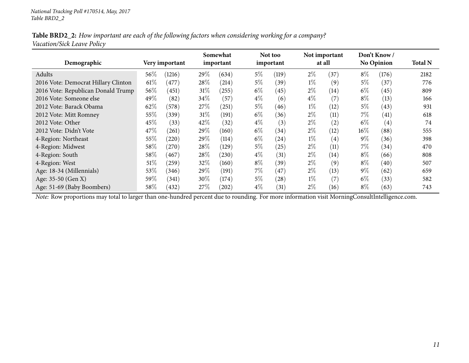#### Table BRD2\_2: How important are each of the following factors when considering working for a company? *Vacation/Sick Leave Policy*

| Demographic                         |        | Very important |        | Somewhat<br>important |       | Not too<br>important |       | Not important<br>at all |        | Don't Know/<br><b>No Opinion</b> | <b>Total N</b> |
|-------------------------------------|--------|----------------|--------|-----------------------|-------|----------------------|-------|-------------------------|--------|----------------------------------|----------------|
| Adults                              | 56%    | (1216)         | 29\%   | (634)                 | 5%    | (119)                | $2\%$ | (37)                    | $8\%$  | (176)                            | 2182           |
| 2016 Vote: Democrat Hillary Clinton | $61\%$ | (477)          | $28\%$ | (214)                 | $5\%$ | (39)                 | $1\%$ | (9)                     | $5\%$  | (37)                             | 776            |
| 2016 Vote: Republican Donald Trump  | 56%    | (451)          | $31\%$ | (255)                 | $6\%$ | (45)                 | $2\%$ | (14)                    | $6\%$  | (45)                             | 809            |
| 2016 Vote: Someone else             | 49%    | (82)           | $34\%$ | (57)                  | $4\%$ | (6)                  | $4\%$ | (7)                     | $8\%$  | (13)                             | 166            |
| 2012 Vote: Barack Obama             | 62%    | (578)          | 27%    | $^{'}251)$            | $5\%$ | (46)                 | $1\%$ | (12)                    | $5\%$  | (43)                             | 931            |
| 2012 Vote: Mitt Romney              | 55%    | (339)          | $31\%$ | (191)                 | $6\%$ | (36)                 | $2\%$ | (11)                    | 7%     | $\left( 41\right)$               | 618            |
| 2012 Vote: Other                    | 45\%   | (33)           | 42%    | (32)                  | $4\%$ | (3)                  | $2\%$ | (2)                     | $6\%$  | (4)                              | 74             |
| 2012 Vote: Didn't Vote              | 47\%   | (261)          | 29\%   | (160)                 | $6\%$ | (34)                 | $2\%$ | (12)                    | $16\%$ | (88)                             | 555            |
| 4-Region: Northeast                 | 55%    | (220)          | $29\%$ | (114)                 | $6\%$ | (24)                 | $1\%$ | $\left( 4\right)$       | $9\%$  | (36)                             | 398            |
| 4-Region: Midwest                   | 58%    | $^{'}270)$     | 28\%   | (129)                 | $5\%$ | (25)                 | $2\%$ | (11)                    | $7\%$  | (34)                             | 470            |
| 4-Region: South                     | 58%    | (467)          | 28\%   | (230)                 | $4\%$ | (31)                 | $2\%$ | (14)                    | $8\%$  | (66)                             | 808            |
| 4-Region: West                      | 51\%   | (259)          | 32%    | (160)                 | $8\%$ | (39)                 | $2\%$ | (9)                     | $8\%$  | (40)                             | 507            |
| Age: 18-34 (Millennials)            | 53%    | (346)          | $29\%$ | (191)                 | $7\%$ | (47)                 | $2\%$ | (13)                    | $9\%$  | (62)                             | 659            |
| Age: 35-50 (Gen X)                  | 59%    | (341)          | 30\%   | (174)                 | $5\%$ | (28)                 | $1\%$ | (7)                     | $6\%$  | (33)                             | 582            |
| Age: 51-69 (Baby Boombers)          | 58%    | (432)          | 27%    | $^{'}202)$            | $4\%$ | (31)                 | $2\%$ | (16)                    | $8\%$  | (63)                             | 743            |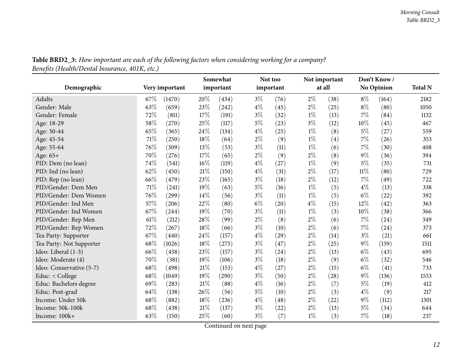<span id="page-11-0"></span>

|                          |      |                | Somewhat |           |       | Not too   |       | Not important |        | Don't Know/       |                |
|--------------------------|------|----------------|----------|-----------|-------|-----------|-------|---------------|--------|-------------------|----------------|
| Demographic              |      | Very important |          | important |       | important |       | at all        |        | <b>No Opinion</b> | <b>Total N</b> |
| Adults                   | 67\% | (1470)         | 20%      | (434)     | $3\%$ | (76)      | $2\%$ | (38)          | $8\%$  | (164)             | 2182           |
| Gender: Male             | 63%  | (659)          | 23%      | (242)     | $4\%$ | (45)      | $2\%$ | (25)          | $8\%$  | (80)              | 1050           |
| Gender: Female           | 72%  | (811)          | 17%      | (191)     | $3\%$ | (32)      | $1\%$ | (13)          | 7%     | (84)              | 1132           |
| Age: 18-29               | 58%  | (270)          | 25%      | (117)     | $5\%$ | (23)      | $3\%$ | (12)          | 10%    | (45)              | 467            |
| Age: 30-44               | 65%  | (365)          | 24%      | (134)     | $4\%$ | (25)      | $1\%$ | (8)           | $5\%$  | (27)              | 559            |
| Age: 45-54               | 71%  | (250)          | 18%      | (64)      | $2\%$ | (9)       | $1\%$ | (4)           | 7%     | (26)              | 353            |
| Age: 55-64               | 76%  | (309)          | 13%      | (53)      | $3\%$ | (11)      | $1\%$ | (6)           | $7\%$  | (30)              | 408            |
| Age: 65+                 | 70%  | (276)          | 17%      | (65)      | $2\%$ | (9)       | $2\%$ | (8)           | $9\%$  | (36)              | 394            |
| PID: Dem (no lean)       | 74%  | (541)          | 16%      | (119)     | $4\%$ | (27)      | $1\%$ | (9)           | $5\%$  | (35)              | 731            |
| PID: Ind (no lean)       | 62%  | (450)          | 21%      | (150)     | $4\%$ | (31)      | $2\%$ | (17)          | $11\%$ | (80)              | 729            |
| PID: Rep (no lean)       | 66%  | (479)          | 23%      | (165)     | $3\%$ | (18)      | $2\%$ | (12)          | 7%     | (49)              | 722            |
| PID/Gender: Dem Men      | 71%  | (241)          | 19%      | (63)      | $5\%$ | (16)      | $1\%$ | (5)           | $4\%$  | (13)              | 338            |
| PID/Gender: Dem Women    | 76%  | (299)          | 14%      | (56)      | $3\%$ | (11)      | $1\%$ | (5)           | $6\%$  | (22)              | 392            |
| PID/Gender: Ind Men      | 57%  | (206)          | 22%      | (80)      | $6\%$ | (20)      | $4\%$ | (15)          | 12%    | (42)              | 363            |
| PID/Gender: Ind Women    | 67%  | (244)          | 19%      | (70)      | $3\%$ | (11)      | $1\%$ | (3)           | 10%    | (38)              | 366            |
| PID/Gender: Rep Men      | 61\% | (212)          | 28%      | (99)      | $2\%$ | (8)       | $2\%$ | (6)           | 7%     | (24)              | 349            |
| PID/Gender: Rep Women    | 72%  | (267)          | 18%      | (66)      | $3\%$ | (10)      | $2\%$ | (6)           | 7%     | (24)              | 373            |
| Tea Party: Supporter     | 67%  | (440)          | 24%      | (157)     | $4\%$ | (29)      | $2\%$ | (14)          | $3\%$  | (21)              | 661            |
| Tea Party: Not Supporter | 68%  | (1026)         | 18%      | (275)     | $3\%$ | (47)      | $2\%$ | (25)          | $9\%$  | (139)             | 1511           |
| Ideo: Liberal (1-3)      | 66%  | (458)          | 23%      | (157)     | $3\%$ | (24)      | $2\%$ | (13)          | $6\%$  | (43)              | 695            |
| Ideo: Moderate (4)       | 70%  | (381)          | 19%      | (106)     | $3\%$ | (18)      | $2\%$ | (9)           | $6\%$  | (32)              | 546            |
| Ideo: Conservative (5-7) | 68%  | (498)          | 21%      | (153)     | $4\%$ | (27)      | $2\%$ | (15)          | $6\%$  | (41)              | 733            |
| Educ: < College          | 68%  | (1049)         | 19%      | (290)     | $3\%$ | (50)      | $2\%$ | (28)          | $9\%$  | (136)             | 1553           |
| Educ: Bachelors degree   | 69%  | (283)          | 21%      | (88)      | $4\%$ | (16)      | $2\%$ | (7)           | $5\%$  | (19)              | 412            |
| Educ: Post-grad          | 64%  | (138)          | 26%      | (56)      | $5\%$ | (10)      | $2\%$ | (3)           | $4\%$  | (9)               | 217            |
| Income: Under 50k        | 68%  | (882)          | 18%      | (236)     | $4\%$ | (48)      | $2\%$ | (22)          | $9\%$  | (112)             | 1301           |
| Income: 50k-100k         | 68%  | (438)          | 21%      | (137)     | $3\%$ | (22)      | $2\%$ | (13)          | $5\%$  | (34)              | 644            |
| Income: 100k+            | 63%  | (150)          | 25%      | (60)      | $3\%$ | (7)       | $1\%$ | (3)           | 7%     | (18)              | 237            |

**Table BRD2\_3:** How important are each of the following factors when considering working for a company? *Beneܧts (Health/Dental Insurance, 401K, etc.)*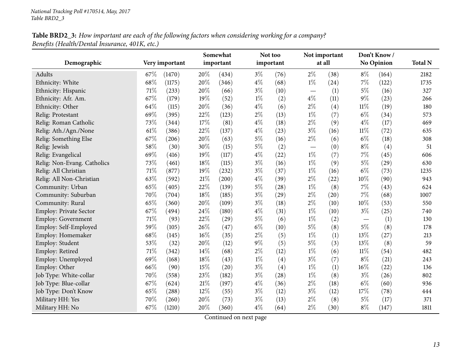### Table BRD2\_3: How important are each of the following factors when considering working for a company? *Beneܧts (Health/Dental Insurance, 401K, etc.)*

| Demographic                   |      | Very important      | Somewhat<br>important |       | Not too<br>important |                    |                                   | Not important<br>at all |        | Don't Know/<br><b>No Opinion</b> | <b>Total N</b> |
|-------------------------------|------|---------------------|-----------------------|-------|----------------------|--------------------|-----------------------------------|-------------------------|--------|----------------------------------|----------------|
| Adults                        | 67\% | (1470)              | 20%                   | (434) | $3\%$                | (76)               | $2\%$                             | (38)                    | $8\%$  | (164)                            | 2182           |
| Ethnicity: White              | 68%  | (1175)              | 20%                   | (346) | $4\%$                | (68)               | $1\%$                             | (24)                    | 7%     | (122)                            | 1735           |
| Ethnicity: Hispanic           | 71%  | (233)               | 20%                   | (66)  | $3\%$                | (10)               | $\overbrace{\phantom{123221111}}$ | (1)                     | $5\%$  | (16)                             | 327            |
| Ethnicity: Afr. Am.           | 67%  | (179)               | 19%                   | (52)  | $1\%$                | (2)                | $4\%$                             | (11)                    | $9\%$  | (23)                             | 266            |
| Ethnicity: Other              | 64%  | (115)               | 20%                   | (36)  | $4\%$                | (6)                | $2\%$                             | (4)                     | $11\%$ | (19)                             | 180            |
| Relig: Protestant             | 69%  | (395)               | 22%                   | (123) | $2\%$                | (13)               | $1\%$                             | (7)                     | $6\%$  | (34)                             | 573            |
| Relig: Roman Catholic         | 73%  | (344)               | 17%                   | (81)  | 4%                   | (18)               | $2\%$                             | (9)                     | $4\%$  | (17)                             | 469            |
| Relig: Ath./Agn./None         | 61\% | (386)               | 22%                   | (137) | $4\%$                | (23)               | $3\%$                             | (16)                    | $11\%$ | (72)                             | 635            |
| Relig: Something Else         | 67%  | (206)               | 20%                   | (63)  | $5\%$                | (16)               | $2\%$                             | (6)                     | $6\%$  | (18)                             | 308            |
| Relig: Jewish                 | 58%  | (30)                | 30%                   | (15)  | 5%                   | (2)                | $\overbrace{\phantom{123221111}}$ | (0)                     | $8\%$  | (4)                              | 51             |
| Relig: Evangelical            | 69%  | (416)               | 19%                   | (117) | $4\%$                | (22)               | $1\%$                             | (7)                     | 7%     | (45)                             | 606            |
| Relig: Non-Evang. Catholics   | 73%  | (461)               | 18%                   | (115) | $3\%$                | (16)               | $1\%$                             | (9)                     | $5\%$  | (29)                             | 630            |
| Relig: All Christian          | 71%  | (877)               | 19%                   | (232) | $3\%$                | (37)               | $1\%$                             | (16)                    | $6\%$  | (73)                             | 1235           |
| Relig: All Non-Christian      | 63%  | (592)               | 21\%                  | (200) | $4\%$                | (39)               | $2\%$                             | (22)                    | 10%    | (90)                             | 943            |
| Community: Urban              | 65%  | (405)               | 22%                   | (139) | $5\%$                | (28)               | $1\%$                             | (8)                     | $7\%$  | (43)                             | 624            |
| Community: Suburban           | 70%  | $\left( 704\right)$ | 18%                   | (185) | $3\%$                | $\left( 29\right)$ | $2\%$                             | (20)                    | 7%     | (68)                             | 1007           |
| Community: Rural              | 65%  | (360)               | 20%                   | (109) | $3\%$                | (18)               | $2\%$                             | (10)                    | 10%    | (53)                             | 550            |
| <b>Employ: Private Sector</b> | 67%  | (494)               | 24%                   | (180) | $4\%$                | (31)               | $1\%$                             | (10)                    | $3\%$  | (25)                             | 740            |
| Employ: Government            | 71%  | (93)                | 22%                   | (29)  | $5\%$                | (6)                | $1\%$                             | (2)                     |        | (1)                              | 130            |
| Employ: Self-Employed         | 59%  | (105)               | 26%                   | (47)  | $6\%$                | (10)               | $5\%$                             | (8)                     | $5\%$  | (8)                              | 178            |
| Employ: Homemaker             | 68%  | (145)               | 16%                   | (35)  | $2\%$                | (5)                | $1\%$                             | (1)                     | 13%    | (27)                             | 213            |
| Employ: Student               | 53%  | (32)                | 20%                   | (12)  | 9%                   | (5)                | $5\%$                             | (3)                     | 13%    | (8)                              | 59             |
| Employ: Retired               | 71\% | (342)               | 14%                   | (68)  | $2\%$                | (12)               | $1\%$                             | (6)                     | 11%    | (54)                             | 482            |
| Employ: Unemployed            | 69%  | (168)               | 18%                   | (43)  | $1\%$                | (4)                | $3\%$                             | (7)                     | $8\%$  | (21)                             | 243            |
| Employ: Other                 | 66%  | (90)                | 15%                   | (20)  | $3\%$                | (4)                | $1\%$                             | (1)                     | 16%    | (22)                             | 136            |
| Job Type: White-collar        | 70%  | (558)               | 23%                   | (182) | $3\%$                | (28)               | $1\%$                             | (8)                     | $3\%$  | (26)                             | 802            |
| Job Type: Blue-collar         | 67%  | (624)               | 21%                   | (197) | $4\%$                | (36)               | $2\%$                             | (18)                    | $6\%$  | (60)                             | 936            |
| Job Type: Don't Know          | 65%  | (288)               | 12%                   | (55)  | $3\%$                | (12)               | $3\%$                             | (12)                    | 17%    | (78)                             | 444            |
| Military HH: Yes              | 70%  | (260)               | 20%                   | (73)  | $3\%$                | (13)               | $2\%$                             | (8)                     | $5\%$  | (17)                             | 371            |
| Military HH: No               | 67%  | (1210)              | 20%                   | (360) | $4\%$                | (64)               | $2\%$                             | (30)                    | $8\%$  | (147)                            | 1811           |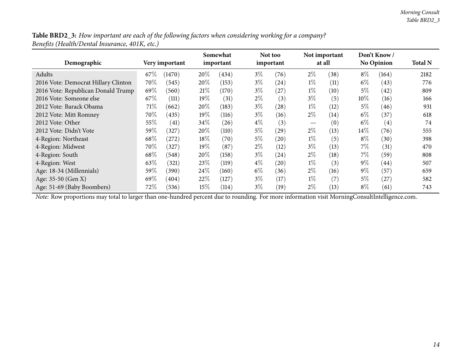Table BRD2\_3: How important are each of the following factors when considering working for a company? *Beneܧts (Health/Dental Insurance, 401K, etc.)*

| Demographic                         |        | Very important | Somewhat<br>important |       | Not too<br>important |      |                                 | Not important<br>at all |        | Don't Know/<br><b>No Opinion</b> | <b>Total N</b> |
|-------------------------------------|--------|----------------|-----------------------|-------|----------------------|------|---------------------------------|-------------------------|--------|----------------------------------|----------------|
| Adults                              | 67%    | (1470)         | 20%                   | (434) | $3\%$                | (76) | $2\%$                           | (38)                    | $8\%$  | (164)                            | 2182           |
| 2016 Vote: Democrat Hillary Clinton | $70\%$ | (545)          | 20%                   | (153) | $3\%$                | (24) | $1\%$                           | (11)                    | $6\%$  | (43)                             | 776            |
| 2016 Vote: Republican Donald Trump  | 69%    | (560)          | 21%                   | (170) | $3\%$                | (27) | $1\%$                           | (10)                    | 5%     | (42)                             | 809            |
| 2016 Vote: Someone else             | 67\%   | (111)          | $19\%$                | (31)  | $2\%$                | (3)  | $3\%$                           | (5)                     | $10\%$ | (16)                             | 166            |
| 2012 Vote: Barack Obama             | 71%    | (662)          | 20%                   | (183) | $3\%$                | (28) | $1\%$                           | (12)                    | $5\%$  | (46)                             | 931            |
| 2012 Vote: Mitt Romney              | $70\%$ | (435)          | $19\%$                | (116) | $3\%$                | (16) | $2\%$                           | (14)                    | $6\%$  | (37)                             | 618            |
| 2012 Vote: Other                    | 55%    | (41)           | 34%                   | (26)  | $4\%$                | (3)  | $\hspace{0.1mm}-\hspace{0.1mm}$ | (0)                     | $6\%$  | $\left( 4\right)$                | 74             |
| 2012 Vote: Didn't Vote              | $59\%$ | 327            | $20\%$                | (110) | $5\%$                | (29) | $2\%$                           | (13)                    | $14\%$ | (76)                             | 555            |
| 4-Region: Northeast                 | $68\%$ | $^{'}272)$     | 18%                   | (70)  | $5\%$                | (20) | $1\%$                           | (5)                     | $8\%$  | (30)                             | 398            |
| 4-Region: Midwest                   | $70\%$ | 327            | $19\%$                | (87)  | $2\%$                | (12) | $3\%$                           | (13)                    | $7\%$  | (31)                             | 470            |
| 4-Region: South                     | 68%    | (548)          | $20\%$                | (158) | $3\%$                | (24) | $2\%$                           | (18)                    | 7%     | (59)                             | 808            |
| 4-Region: West                      | 63%    | (321)          | 23%                   | (119) | $4\%$                | (20) | $1\%$                           | (3)                     | $9\%$  | (44)                             | 507            |
| Age: 18-34 (Millennials)            | $59\%$ | (390)          | 24\%                  | (160) | $6\%$                | (36) | $2\%$                           | (16)                    | $9\%$  | (57)                             | 659            |
| Age: 35-50 (Gen X)                  | 69%    | (404)          | 22\%                  | (127) | $3\%$                | (17) | $1\%$                           | $\left( 7\right)$       | $5\%$  | (27)                             | 582            |
| Age: 51-69 (Baby Boombers)          | $72\%$ | (536)          | 15%                   | (114) | $3\%$                | (19) | $2\%$                           | (13)                    | $8\%$  | (61)                             | 743            |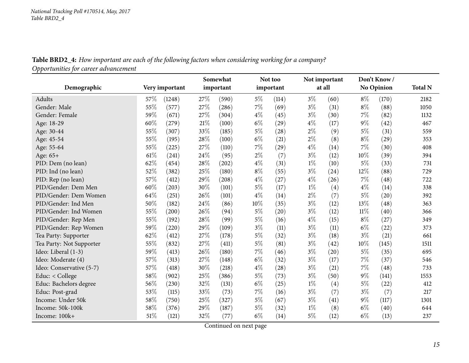**Table BRD2\_4:** How important are each of the following factors when considering working for a company? *Opportunities for career advancement*

<span id="page-14-0"></span>

|                          |      |                |      | Somewhat  |       | Not too   |       | Not important |        | Don't Know/       |                |
|--------------------------|------|----------------|------|-----------|-------|-----------|-------|---------------|--------|-------------------|----------------|
| Demographic              |      | Very important |      | important |       | important |       | at all        |        | <b>No Opinion</b> | <b>Total N</b> |
| Adults                   | 57\% | (1248)         | 27\% | (590)     | $5\%$ | (114)     | $3\%$ | (60)          | $8\%$  | (170)             | 2182           |
| Gender: Male             | 55%  | (577)          | 27%  | (286)     | 7%    | (69)      | $3\%$ | (31)          | $8\%$  | (88)              | 1050           |
| Gender: Female           | 59%  | (671)          | 27%  | (304)     | $4\%$ | (45)      | $3\%$ | (30)          | 7%     | (82)              | 1132           |
| Age: 18-29               | 60%  | (279)          | 21%  | (100)     | $6\%$ | (29)      | $4\%$ | (17)          | $9\%$  | (42)              | 467            |
| Age: 30-44               | 55%  | (307)          | 33%  | (185)     | $5\%$ | (28)      | $2\%$ | (9)           | $5\%$  | (31)              | 559            |
| Age: 45-54               | 55%  | (195)          | 28%  | (100)     | $6\%$ | (21)      | $2\%$ | (8)           | $8\%$  | (29)              | 353            |
| Age: 55-64               | 55%  | (225)          | 27%  | (110)     | 7%    | (29)      | $4\%$ | (14)          | $7\%$  | (30)              | 408            |
| Age: 65+                 | 61%  | (241)          | 24%  | (95)      | $2\%$ | (7)       | $3\%$ | (12)          | 10%    | (39)              | 394            |
| PID: Dem (no lean)       | 62%  | (454)          | 28%  | (202)     | $4\%$ | (31)      | $1\%$ | (10)          | $5\%$  | (33)              | 731            |
| PID: Ind (no lean)       | 52%  | (382)          | 25%  | (180)     | $8\%$ | (55)      | $3\%$ | (24)          | 12%    | (88)              | 729            |
| PID: Rep (no lean)       | 57%  | (412)          | 29%  | (208)     | $4\%$ | (27)      | $4\%$ | (26)          | 7%     | (48)              | 722            |
| PID/Gender: Dem Men      | 60%  | (203)          | 30%  | (101)     | $5\%$ | (17)      | $1\%$ | (4)           | $4\%$  | (14)              | 338            |
| PID/Gender: Dem Women    | 64\% | (251)          | 26%  | (101)     | $4\%$ | (14)      | $2\%$ | (7)           | $5\%$  | (20)              | 392            |
| PID/Gender: Ind Men      | 50%  | (182)          | 24%  | (86)      | 10%   | (35)      | $3\%$ | (12)          | 13%    | (48)              | 363            |
| PID/Gender: Ind Women    | 55%  | (200)          | 26%  | (94)      | $5\%$ | (20)      | $3\%$ | (12)          | $11\%$ | (40)              | 366            |
| PID/Gender: Rep Men      | 55%  | (192)          | 28%  | (99)      | $5\%$ | (16)      | $4\%$ | (15)          | $8\%$  | (27)              | 349            |
| PID/Gender: Rep Women    | 59%  | (220)          | 29%  | (109)     | $3\%$ | (11)      | $3\%$ | (11)          | $6\%$  | (22)              | 373            |
| Tea Party: Supporter     | 62%  | (412)          | 27%  | (178)     | $5\%$ | (32)      | $3\%$ | (18)          | $3\%$  | (21)              | 661            |
| Tea Party: Not Supporter | 55%  | (832)          | 27%  | (411)     | $5\%$ | (81)      | $3\%$ | (42)          | 10%    | (145)             | 1511           |
| Ideo: Liberal (1-3)      | 59%  | (413)          | 26%  | (180)     | 7%    | (46)      | $3\%$ | (20)          | $5\%$  | (35)              | 695            |
| Ideo: Moderate (4)       | 57%  | (313)          | 27%  | (148)     | $6\%$ | (32)      | $3\%$ | (17)          | $7\%$  | (37)              | 546            |
| Ideo: Conservative (5-7) | 57%  | (418)          | 30%  | (218)     | $4\%$ | (28)      | $3\%$ | (21)          | 7%     | (48)              | 733            |
| Educ: < College          | 58%  | (902)          | 25%  | (386)     | $5\%$ | (73)      | $3\%$ | (50)          | $9\%$  | (141)             | 1553           |
| Educ: Bachelors degree   | 56%  | (230)          | 32%  | (131)     | $6\%$ | (25)      | $1\%$ | (4)           | $5\%$  | (22)              | 412            |
| Educ: Post-grad          | 53%  | (115)          | 33%  | (73)      | 7%    | (16)      | $3\%$ | (7)           | $3\%$  | (7)               | 217            |
| Income: Under 50k        | 58%  | (750)          | 25%  | (327)     | $5\%$ | (67)      | $3\%$ | (41)          | $9\%$  | (117)             | 1301           |
| Income: 50k-100k         | 58%  | (376)          | 29%  | (187)     | $5\%$ | (32)      | $1\%$ | (8)           | $6\%$  | (40)              | 644            |
| Income: 100k+            | 51%  | (121)          | 32%  | (77)      | $6\%$ | (14)      | $5\%$ | (12)          | $6\%$  | (13)              | 237            |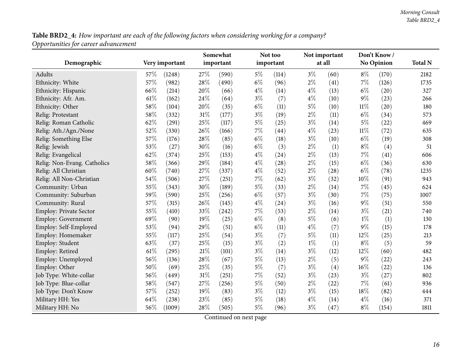Table BRD2\_4: How important are each of the following factors when considering working for a company? *Opportunities for career advancement*

|                               |      |                | Somewhat |           |           | Not too            |       | Not important      |        | Don't Know /      |                |
|-------------------------------|------|----------------|----------|-----------|-----------|--------------------|-------|--------------------|--------|-------------------|----------------|
| Demographic                   |      | Very important |          | important | important |                    |       | at all             |        | <b>No Opinion</b> | <b>Total N</b> |
| Adults                        | 57\% | (1248)         | 27%      | (590)     | $5\%$     | (114)              | $3\%$ | (60)               | $8\%$  | (170)             | 2182           |
| Ethnicity: White              | 57%  | (982)          | 28%      | (490)     | $6\%$     | (96)               | $2\%$ | (41)               | 7%     | (126)             | 1735           |
| Ethnicity: Hispanic           | 66%  | (214)          | 20%      | (66)      | $4\%$     | (14)               | $4\%$ | (13)               | $6\%$  | (20)              | 327            |
| Ethnicity: Afr. Am.           | 61\% | (162)          | 24\%     | (64)      | $3\%$     | (7)                | $4\%$ | (10)               | $9\%$  | (23)              | 266            |
| Ethnicity: Other              | 58%  | (104)          | 20%      | (35)      | $6\%$     | (11)               | $5\%$ | (10)               | $11\%$ | (20)              | 180            |
| Relig: Protestant             | 58%  | (332)          | 31%      | (177)     | $3\%$     | (19)               | $2\%$ | (11)               | $6\%$  | (34)              | 573            |
| Relig: Roman Catholic         | 62%  | (291)          | 25%      | (117)     | $5\%$     | (25)               | $3\%$ | (14)               | $5\%$  | (22)              | 469            |
| Relig: Ath./Agn./None         | 52%  | (330)          | 26%      | (166)     | 7%        | $\left( 44\right)$ | $4\%$ | (23)               | $11\%$ | (72)              | 635            |
| Relig: Something Else         | 57%  | (176)          | 28%      | (85)      | $6\%$     | (18)               | $3\%$ | (10)               | $6\%$  | (19)              | 308            |
| Relig: Jewish                 | 53%  | (27)           | 30%      | (16)      | $6\%$     | (3)                | $2\%$ | (1)                | $8\%$  | (4)               | 51             |
| Relig: Evangelical            | 62%  | (374)          | 25%      | (153)     | $4\%$     | (24)               | $2\%$ | (13)               | 7%     | (41)              | 606            |
| Relig: Non-Evang. Catholics   | 58%  | (366)          | 29%      | (184)     | $4\%$     | (28)               | $2\%$ | (15)               | $6\%$  | (36)              | 630            |
| Relig: All Christian          | 60%  | (740)          | 27%      | (337)     | $4\%$     | (52)               | $2\%$ | (28)               | $6\%$  | (78)              | 1235           |
| Relig: All Non-Christian      | 54%  | (506)          | 27%      | (251)     | 7%        | (62)               | $3\%$ | (32)               | 10%    | (91)              | 943            |
| Community: Urban              | 55%  | (343)          | 30%      | (189)     | $5\%$     | (33)               | $2\%$ | (14)               | 7%     | (45)              | 624            |
| Community: Suburban           | 59%  | (590)          | 25%      | (256)     | $6\%$     | (57)               | $3\%$ | (30)               | 7%     | (75)              | 1007           |
| Community: Rural              | 57%  | (315)          | 26%      | (145)     | $4\%$     | (24)               | $3\%$ | (16)               | $9\%$  | (51)              | 550            |
| <b>Employ: Private Sector</b> | 55%  | (410)          | 33%      | (242)     | 7%        | (53)               | $2\%$ | (14)               | $3\%$  | (21)              | 740            |
| Employ: Government            | 69%  | (90)           | 19%      | (25)      | $6\%$     | (8)                | $5\%$ | (6)                | $1\%$  | (1)               | 130            |
| Employ: Self-Employed         | 53%  | (94)           | 29%      | (51)      | $6\%$     | (11)               | $4\%$ | (7)                | $9\%$  | (15)              | 178            |
| Employ: Homemaker             | 55%  | (117)          | 25%      | (54)      | $3\%$     | (7)                | $5\%$ | (11)               | 12%    | (25)              | 213            |
| Employ: Student               | 63%  | (37)           | 25%      | (15)      | $3\%$     | (2)                | $1\%$ | (1)                | $8\%$  | (5)               | 59             |
| Employ: Retired               | 61\% | (295)          | 21%      | (101)     | $3\%$     | (14)               | $3\%$ | (12)               | 12%    | (60)              | 482            |
| Employ: Unemployed            | 56%  | (136)          | 28%      | (67)      | $5\%$     | (13)               | $2\%$ | (5)                | $9\%$  | (22)              | 243            |
| Employ: Other                 | 50%  | (69)           | 25%      | (35)      | $5\%$     | (7)                | $3\%$ | (4)                | 16%    | (22)              | 136            |
| Job Type: White-collar        | 56%  | (449)          | 31%      | (251)     | 7%        | (52)               | $3\%$ | (23)               | $3\%$  | (27)              | 802            |
| Job Type: Blue-collar         | 58%  | (547)          | 27%      | (256)     | $5\%$     | (50)               | $2\%$ | (22)               | 7%     | (61)              | 936            |
| Job Type: Don't Know          | 57%  | (252)          | 19%      | (83)      | $3\%$     | (12)               | $3\%$ | (15)               | 18%    | (82)              | 444            |
| Military HH: Yes              | 64%  | (238)          | 23%      | (85)      | $5\%$     | (18)               | $4\%$ | (14)               | $4\%$  | (16)              | 371            |
| Military HH: No               | 56%  | (1009)         | 28%      | (505)     | $5\%$     | (96)               | $3\%$ | $\left( 47\right)$ | $8\%$  | (154)             | 1811           |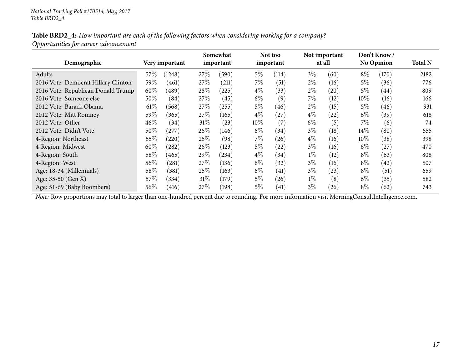#### Table BRD2\_4: How important are each of the following factors when considering working for a company? *Opportunities for career advancement*

| Demographic                         |        | Very important |        | Somewhat<br>important |        | Not too<br>important |       | Not important<br>at all |        | Don't Know /<br><b>No Opinion</b> | <b>Total N</b> |
|-------------------------------------|--------|----------------|--------|-----------------------|--------|----------------------|-------|-------------------------|--------|-----------------------------------|----------------|
| Adults                              | 57%    | (1248)         | 27\%   | (590)                 | $5\%$  | (114)                | $3\%$ | (60)                    | $8\%$  | (170)                             | 2182           |
| 2016 Vote: Democrat Hillary Clinton | 59%    | (461)          | 27\%   | (211)                 | $7\%$  | (51)                 | $2\%$ | (16)                    | $5\%$  | (36)                              | 776            |
| 2016 Vote: Republican Donald Trump  | 60%    | (489)          | $28\%$ | (225)                 | $4\%$  | (33)                 | $2\%$ | (20)                    | $5\%$  | (44)                              | 809            |
| 2016 Vote: Someone else             | 50%    | (84)           | 27%    | (45)                  | $6\%$  | (9)                  | 7%    | (12)                    | $10\%$ | (16)                              | 166            |
| 2012 Vote: Barack Obama             | $61\%$ | (568)          | 27\%   | (255)                 | $5\%$  | (46)                 | $2\%$ | (15)                    | $5\%$  | (46)                              | 931            |
| 2012 Vote: Mitt Romney              | 59%    | (365)          | 27\%   | (165)                 | $4\%$  | (27)                 | $4\%$ | (22)                    | $6\%$  | (39)                              | 618            |
| 2012 Vote: Other                    | 46%    | (34)           | 31%    | (23)                  | $10\%$ | (7)                  | $6\%$ | (5)                     | $7\%$  | (6)                               | 74             |
| 2012 Vote: Didn't Vote              | 50%    | $^{'}277$      | 26\%   | (146)                 | $6\%$  | (34)                 | $3\%$ | (18)                    | $14\%$ | (80)                              | 555            |
| 4-Region: Northeast                 | 55%    | (220)          | 25%    | (98)                  | $7\%$  | (26)                 | $4\%$ | (16)                    | $10\%$ | (38)                              | 398            |
| 4-Region: Midwest                   | 60%    | (282)          | 26\%   | (123)                 | $5\%$  | (22)                 | $3\%$ | (16)                    | $6\%$  | (27)                              | 470            |
| 4-Region: South                     | 58%    | (465)          | 29\%   | (234)                 | $4\%$  | (34)                 | $1\%$ | (12)                    | $8\%$  | (63)                              | 808            |
| 4-Region: West                      | 56%    | (281)          | 27\%   | (136)                 | $6\%$  | (32)                 | $3\%$ | (16)                    | $8\%$  | $\left( 42\right)$                | 507            |
| Age: 18-34 (Millennials)            | 58%    | (381)          | 25%    | (163)                 | $6\%$  | (41)                 | $3\%$ | (23)                    | $8\%$  | (51)                              | 659            |
| Age: 35-50 (Gen X)                  | 57%    | (334)          | $31\%$ | (179)                 | $5\%$  | (26)                 | $1\%$ | (8)                     | $6\%$  | (35)                              | 582            |
| Age: 51-69 (Baby Boombers)          | 56\%   | (416)          | 27\%   | (198)                 | $5\%$  | $\left( 41\right)$   | $3\%$ | (26)                    | $8\%$  | (62)                              | 743            |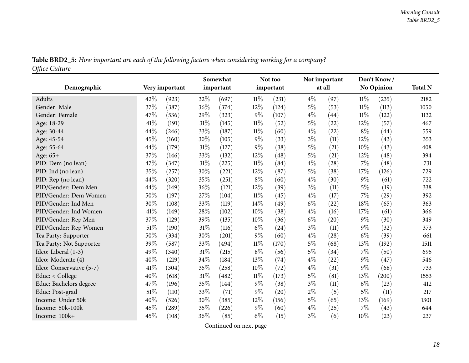| Table BRD2_5: How important are each of the following factors when considering working for a company? |  |
|-------------------------------------------------------------------------------------------------------|--|
| Office Culture                                                                                        |  |

<span id="page-17-0"></span>

| υ                        |      |                | Somewhat |           | Not too |           | Not important |                    |        | Don't Know/       |                |
|--------------------------|------|----------------|----------|-----------|---------|-----------|---------------|--------------------|--------|-------------------|----------------|
| Demographic              |      | Very important |          | important |         | important |               | at all             |        | <b>No Opinion</b> | <b>Total N</b> |
| Adults                   | 42%  | (923)          | 32%      | (697)     | $11\%$  | (231)     | $4\%$         | (97)               | $11\%$ | (235)             | 2182           |
| Gender: Male             | 37%  | (387)          | 36%      | (374)     | 12%     | (124)     | $5\%$         | (53)               | $11\%$ | (113)             | 1050           |
| Gender: Female           | 47%  | (536)          | 29%      | (323)     | $9\%$   | (107)     | $4\%$         | $\left( 44\right)$ | $11\%$ | (122)             | 1132           |
| Age: 18-29               | 41\% | (191)          | 31%      | (145)     | 11%     | (52)      | $5\%$         | (22)               | 12\%   | (57)              | 467            |
| Age: 30-44               | 44%  | (246)          | 33%      | (187)     | $11\%$  | (60)      | $4\%$         | (22)               | $8\%$  | (44)              | 559            |
| Age: 45-54               | 45%  | (160)          | 30%      | (105)     | $9\%$   | (33)      | $3\%$         | (11)               | $12\%$ | (43)              | 353            |
| Age: 55-64               | 44%  | (179)          | 31%      | (127)     | 9%      | (38)      | $5\%$         | (21)               | 10%    | (43)              | 408            |
| Age: 65+                 | 37%  | (146)          | 33%      | (132)     | 12%     | (48)      | $5\%$         | (21)               | 12%    | (48)              | 394            |
| PID: Dem (no lean)       | 47%  | (347)          | 31%      | (225)     | 11%     | (84)      | $4\%$         | (28)               | 7%     | (48)              | 731            |
| PID: Ind (no lean)       | 35%  | (257)          | 30%      | (221)     | 12%     | (87)      | $5\%$         | (38)               | 17%    | (126)             | 729            |
| PID: Rep (no lean)       | 44%  | (320)          | 35%      | (251)     | $8\%$   | (60)      | $4\%$         | (30)               | $9\%$  | (61)              | 722            |
| PID/Gender: Dem Men      | 44%  | (149)          | 36%      | (121)     | 12%     | (39)      | $3\%$         | (11)               | $5\%$  | (19)              | 338            |
| PID/Gender: Dem Women    | 50%  | (197)          | 27%      | (104)     | $11\%$  | (45)      | $4\%$         | (17)               | 7%     | (29)              | 392            |
| PID/Gender: Ind Men      | 30%  | (108)          | 33%      | (119)     | 14%     | (49)      | $6\%$         | (22)               | 18%    | (65)              | 363            |
| PID/Gender: Ind Women    | 41%  | (149)          | 28%      | (102)     | 10%     | (38)      | $4\%$         | (16)               | 17%    | (61)              | 366            |
| PID/Gender: Rep Men      | 37%  | (129)          | 39%      | (135)     | 10%     | (36)      | $6\%$         | (20)               | $9\%$  | (30)              | 349            |
| PID/Gender: Rep Women    | 51%  | (190)          | 31%      | (116)     | $6\%$   | (24)      | $3\%$         | (11)               | $9\%$  | (32)              | 373            |
| Tea Party: Supporter     | 50%  | (334)          | 30%      | (201)     | $9\%$   | (60)      | $4\%$         | (28)               | $6\%$  | (39)              | 661            |
| Tea Party: Not Supporter | 39%  | (587)          | 33%      | (494)     | 11%     | (170)     | $5\%$         | (68)               | 13%    | (192)             | 1511           |
| Ideo: Liberal (1-3)      | 49%  | (340)          | 31%      | (215)     | $8\%$   | (56)      | $5\%$         | (34)               | 7%     | (50)              | 695            |
| Ideo: Moderate (4)       | 40%  | (219)          | 34%      | (184)     | 13%     | (74)      | $4\%$         | (22)               | $9\%$  | (47)              | 546            |
| Ideo: Conservative (5-7) | 41\% | (304)          | 35%      | (258)     | 10%     | (72)      | $4\%$         | (31)               | $9\%$  | (68)              | 733            |
| Educ: < College          | 40%  | (618)          | 31%      | (482)     | $11\%$  | (173)     | $5\%$         | (81)               | 13%    | (200)             | 1553           |
| Educ: Bachelors degree   | 47%  | (196)          | 35%      | (144)     | $9\%$   | (38)      | $3\%$         | (11)               | $6\%$  | (23)              | 412            |
| Educ: Post-grad          | 51%  | (110)          | 33%      | (71)      | 9%      | (20)      | $2\%$         | (5)                | $5\%$  | (11)              | 217            |
| Income: Under 50k        | 40%  | (526)          | 30%      | (385)     | 12\%    | (156)     | $5\%$         | (65)               | 13\%   | (169)             | 1301           |
| Income: 50k-100k         | 45%  | (289)          | 35%      | (226)     | 9%      | (60)      | $4\%$         | (25)               | $7\%$  | (43)              | 644            |
| Income: 100k+            | 45%  | (108)          | 36%      | (85)      | $6\%$   | (15)      | $3\%$         | (6)                | 10%    | (23)              | 237            |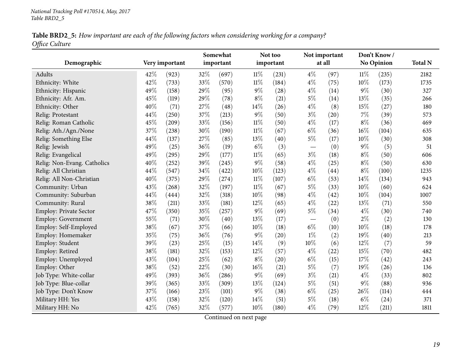| Table BRD2_5: How important are each of the following factors when considering working for a company? |  |
|-------------------------------------------------------------------------------------------------------|--|
| Office Culture                                                                                        |  |

| Demographic                 |     | Very important | Somewhat<br>important |       |        | Not too<br>important | Not important<br>at all  |      |        | Don't Know/<br><b>No Opinion</b> | <b>Total N</b> |
|-----------------------------|-----|----------------|-----------------------|-------|--------|----------------------|--------------------------|------|--------|----------------------------------|----------------|
| Adults                      | 42% | (923)          | 32%                   | (697) | $11\%$ | (231)                | $4\%$                    | (97) | $11\%$ | (235)                            | 2182           |
| Ethnicity: White            | 42% | (733)          | 33%                   | (570) | $11\%$ | (184)                | $4\%$                    | (75) | $10\%$ | (173)                            | 1735           |
| Ethnicity: Hispanic         | 49% | (158)          | 29%                   | (95)  | $9\%$  | (28)                 | $4\%$                    | (14) | $9\%$  | (30)                             | 327            |
| Ethnicity: Afr. Am.         | 45% | (119)          | 29%                   | (78)  | $8\%$  | (21)                 | $5\%$                    | (14) | 13%    | (35)                             | 266            |
| Ethnicity: Other            | 40% | (71)           | 27%                   | (48)  | 14\%   | (26)                 | $4\%$                    | (8)  | 15%    | (27)                             | 180            |
| Relig: Protestant           | 44% | (250)          | 37%                   | (213) | $9\%$  | (50)                 | $3\%$                    | (20) | $7\%$  | (39)                             | 573            |
| Relig: Roman Catholic       | 45% | (209)          | 33%                   | (156) | $11\%$ | (50)                 | $4\%$                    | (17) | $8\%$  | (36)                             | 469            |
| Relig: Ath./Agn./None       | 37% | (238)          | 30%                   | (190) | $11\%$ | (67)                 | $6\%$                    | (36) | 16%    | (104)                            | 635            |
| Relig: Something Else       | 44% | (137)          | 27%                   | (85)  | 13%    | (40)                 | $5\%$                    | (17) | 10\%   | (30)                             | 308            |
| Relig: Jewish               | 49% | (25)           | 36%                   | (19)  | $6\%$  | (3)                  | $\overline{\phantom{m}}$ | (0)  | $9\%$  | (5)                              | 51             |
| Relig: Evangelical          | 49% | (295)          | 29%                   | (177) | $11\%$ | (65)                 | $3\%$                    | (18) | $8\%$  | (50)                             | 606            |
| Relig: Non-Evang. Catholics | 40% | (252)          | 39%                   | (245) | $9\%$  | (58)                 | $4\%$                    | (25) | $8\%$  | (50)                             | 630            |
| Relig: All Christian        | 44% | (547)          | 34%                   | (422) | $10\%$ | (123)                | $4\%$                    | (44) | $8\%$  | (100)                            | 1235           |
| Relig: All Non-Christian    | 40% | (375)          | 29%                   | (274) | $11\%$ | (107)                | $6\%$                    | (53) | $14\%$ | (134)                            | 943            |
| Community: Urban            | 43% | (268)          | 32%                   | (197) | $11\%$ | (67)                 | $5\%$                    | (33) | 10%    | (60)                             | 624            |
| Community: Suburban         | 44% | (444)          | 32%                   | (318) | 10%    | (98)                 | $4\%$                    | (42) | $10\%$ | (104)                            | 1007           |
| Community: Rural            | 38% | (211)          | 33%                   | (181) | $12\%$ | (65)                 | $4\%$                    | (22) | 13\%   | (71)                             | 550            |
| Employ: Private Sector      | 47% | (350)          | 35%                   | (257) | $9\%$  | (69)                 | $5\%$                    | (34) | $4\%$  | (30)                             | 740            |
| Employ: Government          | 55% | (71)           | 30%                   | (40)  | 13%    | (17)                 |                          | (0)  | $2\%$  | (2)                              | 130            |
| Employ: Self-Employed       | 38% | (67)           | 37%                   | (66)  | $10\%$ | (18)                 | $6\%$                    | (10) | $10\%$ | (18)                             | 178            |
| Employ: Homemaker           | 35% | (75)           | 36%                   | (76)  | $9\%$  | (20)                 | $1\%$                    | (2)  | 19%    | (40)                             | 213            |
| Employ: Student             | 39% | (23)           | 25%                   | (15)  | 14\%   | (9)                  | 10%                      | (6)  | 12%    | (7)                              | 59             |
| Employ: Retired             | 38% | (181)          | 32%                   | (153) | 12%    | (57)                 | $4\%$                    | (22) | 15%    | (70)                             | 482            |
| Employ: Unemployed          | 43% | (104)          | 25%                   | (62)  | $8\%$  | (20)                 | $6\%$                    | (15) | 17%    | (42)                             | 243            |
| Employ: Other               | 38% | (52)           | 22%                   | (30)  | 16%    | (21)                 | $5\%$                    | (7)  | 19%    | (26)                             | 136            |
| Job Type: White-collar      | 49% | (393)          | 36%                   | (286) | $9\%$  | (69)                 | $3\%$                    | (21) | $4\%$  | (33)                             | 802            |
| Job Type: Blue-collar       | 39% | (365)          | 33%                   | (309) | 13%    | (124)                | $5\%$                    | (51) | $9\%$  | (88)                             | 936            |
| Job Type: Don't Know        | 37% | (166)          | 23%                   | (101) | $9\%$  | (38)                 | $6\%$                    | (25) | 26%    | (114)                            | 444            |
| Military HH: Yes            | 43% | (158)          | 32%                   | (120) | $14\%$ | (51)                 | 5%                       | (18) | $6\%$  | (24)                             | 371            |
| Military HH: No             | 42% | (765)          | 32%                   | (577) | 10%    | (180)                | $4\%$                    | (79) | 12%    | (211)                            | 1811           |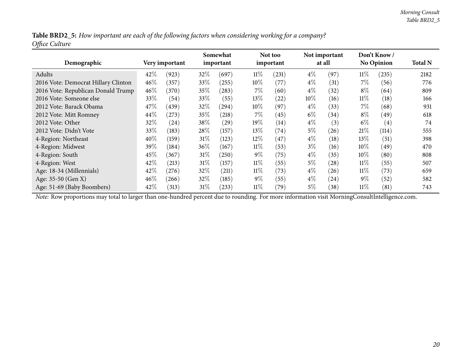Table BRD2\_5: How important are each of the following factors when considering working for a company? *Office Culture*

| Demographic                         |      | Very important |        | Somewhat<br>important |         | Not too<br>important |        | Not important<br>at all |        | Don't Know<br><b>No Opinion</b> | <b>Total N</b> |
|-------------------------------------|------|----------------|--------|-----------------------|---------|----------------------|--------|-------------------------|--------|---------------------------------|----------------|
| Adults                              | 42%  | (923)          | $32\%$ | (697)                 | $11\%$  | (231)                | $4\%$  | (97)                    | $11\%$ | (235)                           | 2182           |
| 2016 Vote: Democrat Hillary Clinton | 46\% | (357)          | 33\%   | (255)                 | $10\%$  | (77)                 | $4\%$  | (31)                    | 7%     | (56)                            | 776            |
| 2016 Vote: Republican Donald Trump  | 46\% | (370)          | 35\%   | (283)                 | $7\%$   | (60)                 | $4\%$  | (32)                    | $8\%$  | (64)                            | 809            |
| 2016 Vote: Someone else             | 33%  | (54)           | 33\%   | (55)                  | 13\%    | (22)                 | $10\%$ | (16)                    | $11\%$ | (18)                            | 166            |
| 2012 Vote: Barack Obama             | 47%  | (439)          | 32\%   | (294)                 | $10\%$  | (97)                 | $4\%$  | (33)                    | 7%     | (68)                            | 931            |
| 2012 Vote: Mitt Romney              | 44\% | (273)          | $35\%$ | (218)                 | $7\%$   | (45)                 | $6\%$  | (34)                    | $8\%$  | (49)                            | 618            |
| 2012 Vote: Other                    | 32%  | (24)           | $38\%$ | (29)                  | 19 $\%$ | (14)                 | $4\%$  | (3)                     | $6\%$  | $\left( 4\right)$               | 74             |
| 2012 Vote: Didn't Vote              | 33%  | (183)          | 28\%   | (157)                 | $13\%$  | (74)                 | 5%     | (26)                    | $21\%$ | (114)                           | 555            |
| 4-Region: Northeast                 | 40%  | (159)          | $31\%$ | (123)                 | $12\%$  | (47)                 | $4\%$  | (18)                    | 13%    | (51)                            | 398            |
| 4-Region: Midwest                   | 39%  | (184)          | 36%    | (167)                 | $11\%$  | (53)                 | $3\%$  | (16)                    | $10\%$ | (49)                            | 470            |
| 4-Region: South                     | 45%  | (367)          | $31\%$ | (250)                 | $9\%$   | (75)                 | $4\%$  | (35)                    | 10%    | (80)                            | 808            |
| 4-Region: West                      | 42%  | (213)          | 31%    | (157)                 | $11\%$  | (55)                 | $5\%$  | (28)                    | $11\%$ | (55)                            | 507            |
| Age: 18-34 (Millennials)            | 42%  | (276)          | $32\%$ | (211)                 | $11\%$  | (73)                 | $4\%$  | (26)                    | $11\%$ | (73)                            | 659            |
| Age: 35-50 (Gen X)                  | 46\% | (266)          | 32\%   | (185)                 | $9\%$   | (55)                 | $4\%$  | (24)                    | $9\%$  | (52)                            | 582            |
| Age: 51-69 (Baby Boombers)          | 42%  | (313)          | 31%    | (233)                 | $11\%$  | (79)                 | 5%     | (38)                    | 11%    | (81)                            | 743            |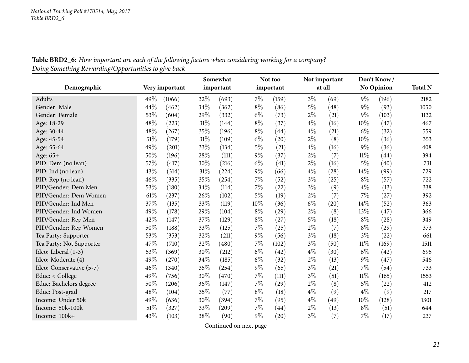**Table BRD2\_6:** How important are each of the following factors when considering working for a company? *Doing Something Rewarding/Opportunities to <sup>g</sup>ive back*

<span id="page-20-0"></span>

|                          |     |                |      | Somewhat  |       | Not too   |       | Not important |        | Don't Know/       |                |
|--------------------------|-----|----------------|------|-----------|-------|-----------|-------|---------------|--------|-------------------|----------------|
| Demographic              |     | Very important |      | important |       | important |       | at all        |        | <b>No Opinion</b> | <b>Total N</b> |
| Adults                   | 49% | (1066)         | 32%  | (693)     | $7\%$ | (159)     | $3\%$ | (69)          | $9\%$  | (196)             | 2182           |
| Gender: Male             | 44% | (462)          | 34%  | (362)     | $8\%$ | (86)      | $5\%$ | (48)          | $9\%$  | (93)              | 1050           |
| Gender: Female           | 53% | (604)          | 29%  | (332)     | $6\%$ | (73)      | $2\%$ | (21)          | $9\%$  | (103)             | 1132           |
| Age: 18-29               | 48% | (223)          | 31%  | (144)     | $8\%$ | (37)      | $4\%$ | (16)          | 10%    | (47)              | 467            |
| Age: 30-44               | 48% | (267)          | 35%  | (196)     | $8\%$ | (44)      | $4\%$ | (21)          | $6\%$  | (32)              | 559            |
| Age: 45-54               | 51% | (179)          | 31%  | (109)     | $6\%$ | (20)      | $2\%$ | (8)           | 10%    | (36)              | 353            |
| Age: 55-64               | 49% | (201)          | 33%  | (134)     | 5%    | (21)      | $4\%$ | (16)          | $9\%$  | (36)              | 408            |
| Age: 65+                 | 50% | (196)          | 28%  | (111)     | 9%    | (37)      | $2\%$ | (7)           | $11\%$ | (44)              | 394            |
| PID: Dem (no lean)       | 57% | (417)          | 30\% | (216)     | $6\%$ | (41)      | $2\%$ | (16)          | $5\%$  | (40)              | 731            |
| PID: Ind (no lean)       | 43% | (314)          | 31%  | (224)     | 9%    | (66)      | $4\%$ | (28)          | 14\%   | (99)              | 729            |
| PID: Rep (no lean)       | 46% | (335)          | 35%  | (254)     | 7%    | (52)      | $3\%$ | (25)          | $8\%$  | (57)              | 722            |
| PID/Gender: Dem Men      | 53% | (180)          | 34%  | (114)     | 7%    | (22)      | $3\%$ | (9)           | $4\%$  | (13)              | 338            |
| PID/Gender: Dem Women    | 61% | (237)          | 26%  | (102)     | $5\%$ | (19)      | $2\%$ | (7)           | 7%     | (27)              | 392            |
| PID/Gender: Ind Men      | 37% | (135)          | 33%  | (119)     | 10%   | (36)      | $6\%$ | (20)          | 14%    | (52)              | 363            |
| PID/Gender: Ind Women    | 49% | (178)          | 29%  | (104)     | $8\%$ | (29)      | $2\%$ | (8)           | 13%    | (47)              | 366            |
| PID/Gender: Rep Men      | 42% | (147)          | 37%  | (129)     | 8%    | (27)      | $5\%$ | (18)          | $8\%$  | (28)              | 349            |
| PID/Gender: Rep Women    | 50% | (188)          | 33%  | (125)     | 7%    | (25)      | $2\%$ | (7)           | $8\%$  | (29)              | 373            |
| Tea Party: Supporter     | 53% | (353)          | 32%  | (211)     | $9\%$ | (56)      | $3\%$ | (18)          | $3\%$  | (22)              | 661            |
| Tea Party: Not Supporter | 47% | (710)          | 32%  | (480)     | 7%    | (102)     | $3\%$ | (50)          | $11\%$ | (169)             | 1511           |
| Ideo: Liberal (1-3)      | 53% | (369)          | 30%  | (212)     | $6\%$ | (42)      | $4\%$ | (30)          | $6\%$  | (42)              | 695            |
| Ideo: Moderate (4)       | 49% | (270)          | 34%  | (185)     | $6\%$ | (32)      | $2\%$ | (13)          | $9\%$  | (47)              | 546            |
| Ideo: Conservative (5-7) | 46% | (340)          | 35%  | (254)     | $9\%$ | (65)      | $3\%$ | (21)          | 7%     | (54)              | 733            |
| Educ: < College          | 49% | (756)          | 30%  | (470)     | 7%    | (111)     | $3\%$ | (51)          | $11\%$ | (165)             | 1553           |
| Educ: Bachelors degree   | 50% | (206)          | 36%  | (147)     | 7%    | (29)      | $2\%$ | (8)           | $5\%$  | (22)              | 412            |
| Educ: Post-grad          | 48% | (104)          | 35%  | (77)      | $8\%$ | (18)      | $4\%$ | (9)           | $4\%$  | (9)               | 217            |
| Income: Under 50k        | 49% | (636)          | 30%  | (394)     | 7%    | (95)      | $4\%$ | (49)          | 10%    | (128)             | 1301           |
| Income: 50k-100k         | 51% | (327)          | 33\% | (209)     | 7%    | (44)      | $2\%$ | (13)          | $8\%$  | (51)              | 644            |
| Income: 100k+            | 43% | (103)          | 38%  | (90)      | 9%    | (20)      | $3\%$ | (7)           | 7%     | (17)              | 237            |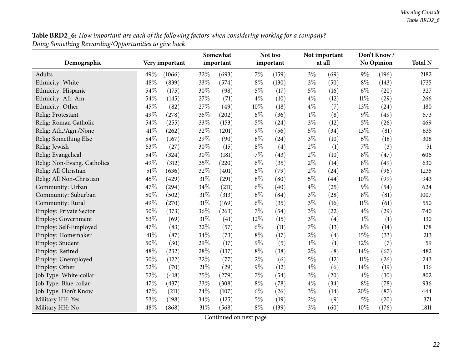${\bf Table~BRD2\_6:}$  How important are each of the following factors when considering working for a company? *Doing Something Rewarding/Opportunities to <sup>g</sup>ive back*

|                             |      |                | Somewhat<br>important |       |       | Not too<br>important |       | Not important<br>at all |        | Don't Know/       |                |
|-----------------------------|------|----------------|-----------------------|-------|-------|----------------------|-------|-------------------------|--------|-------------------|----------------|
| Demographic                 |      | Very important |                       |       |       |                      |       |                         |        | <b>No Opinion</b> | <b>Total N</b> |
| Adults                      | 49%  | (1066)         | 32%                   | (693) | $7\%$ | (159)                | $3\%$ | (69)                    | $9\%$  | (196)             | 2182           |
| Ethnicity: White            | 48%  | (839)          | 33%                   | (574) | $8\%$ | (130)                | $3\%$ | (50)                    | $8\%$  | (143)             | 1735           |
| Ethnicity: Hispanic         | 54%  | (175)          | 30%                   | (98)  | $5\%$ | (17)                 | $5\%$ | (16)                    | $6\%$  | (20)              | 327            |
| Ethnicity: Afr. Am.         | 54%  | (145)          | 27%                   | (71)  | $4\%$ | (10)                 | $4\%$ | (12)                    | $11\%$ | (29)              | 266            |
| Ethnicity: Other            | 45%  | (82)           | 27%                   | (49)  | 10%   | (18)                 | $4\%$ | (7)                     | 13%    | (24)              | 180            |
| Relig: Protestant           | 49%  | (278)          | 35%                   | (202) | $6\%$ | (36)                 | $1\%$ | (8)                     | $9\%$  | (49)              | 573            |
| Relig: Roman Catholic       | 54%  | (255)          | 33%                   | (153) | $5\%$ | (24)                 | $3\%$ | (12)                    | $5\%$  | (26)              | 469            |
| Relig: Ath./Agn./None       | 41%  | (262)          | 32%                   | (201) | $9\%$ | (56)                 | $5\%$ | (34)                    | 13%    | (81)              | 635            |
| Relig: Something Else       | 54%  | (167)          | 29%                   | (90)  | $8\%$ | (24)                 | $3\%$ | (10)                    | $6\%$  | (18)              | 308            |
| Relig: Jewish               | 53%  | (27)           | 30%                   | (15)  | $8\%$ | (4)                  | $2\%$ | (1)                     | 7%     | (3)               | 51             |
| Relig: Evangelical          | 54%  | (324)          | 30%                   | (181) | $7\%$ | (43)                 | $2\%$ | (10)                    | $8\%$  | (47)              | 606            |
| Relig: Non-Evang. Catholics | 49%  | (312)          | 35%                   | (220) | $6\%$ | (35)                 | $2\%$ | (14)                    | $8\%$  | (49)              | 630            |
| Relig: All Christian        | 51%  | (636)          | 32%                   | (401) | $6\%$ | (79)                 | $2\%$ | (24)                    | $8\%$  | (96)              | 1235           |
| Relig: All Non-Christian    | 45%  | (429)          | 31%                   | (291) | $8\%$ | (80)                 | $5\%$ | (44)                    | 10%    | (99)              | 943            |
| Community: Urban            | 47%  | (294)          | 34%                   | (211) | $6\%$ | (40)                 | $4\%$ | (25)                    | $9\%$  | (54)              | 624            |
| Community: Suburban         | 50%  | (502)          | 31%                   | (313) | $8\%$ | (84)                 | $3\%$ | (28)                    | $8\%$  | (81)              | 1007           |
| Community: Rural            | 49%  | (270)          | 31%                   | (169) | $6\%$ | (35)                 | $3\%$ | (16)                    | $11\%$ | (61)              | 550            |
| Employ: Private Sector      | 50%  | (373)          | 36%                   | (263) | 7%    | (54)                 | $3\%$ | (22)                    | $4\%$  | (29)              | 740            |
| Employ: Government          | 53%  | (69)           | 31%                   | (41)  | 12%   | (15)                 | $3\%$ | (4)                     | $1\%$  | (1)               | 130            |
| Employ: Self-Employed       | 47%  | (83)           | 32%                   | (57)  | $6\%$ | (11)                 | 7%    | (13)                    | $8\%$  | (14)              | 178            |
| Employ: Homemaker           | 41\% | (87)           | 34%                   | (73)  | $8\%$ | (17)                 | $2\%$ | (4)                     | 15%    | (33)              | 213            |
| Employ: Student             | 50%  | (30)           | 29%                   | (17)  | $9\%$ | (5)                  | $1\%$ | (1)                     | 12%    | (7)               | 59             |
| Employ: Retired             | 48%  | (232)          | 28%                   | (137) | $8\%$ | (38)                 | $2\%$ | (8)                     | 14%    | (67)              | 482            |
| Employ: Unemployed          | 50%  | (122)          | 32%                   | (77)  | $2\%$ | (6)                  | $5\%$ | (12)                    | $11\%$ | (26)              | 243            |
| Employ: Other               | 52%  | (70)           | 21%                   | (29)  | $9\%$ | (12)                 | $4\%$ | (6)                     | 14\%   | (19)              | 136            |
| Job Type: White-collar      | 52%  | (418)          | 35%                   | (279) | 7%    | (54)                 | $3\%$ | (20)                    | $4\%$  | (30)              | 802            |
| Job Type: Blue-collar       | 47%  | (437)          | 33%                   | (308) | $8\%$ | (78)                 | $4\%$ | (34)                    | $8\%$  | (78)              | 936            |
| Job Type: Don't Know        | 47%  | (211)          | 24%                   | (107) | $6\%$ | (26)                 | $3\%$ | (14)                    | 20%    | (87)              | 444            |
| Military HH: Yes            | 53%  | (198)          | 34%                   | (125) | $5\%$ | (19)                 | $2\%$ | (9)                     | $5\%$  | (20)              | 371            |
| Military HH: No             | 48%  | (868)          | 31%                   | (568) | $8\%$ | (139)                | $3\%$ | (60)                    | 10%    | (176)             | 1811           |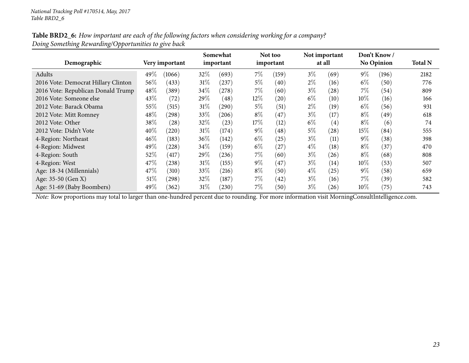#### Table BRD2\_6: How important are each of the following factors when considering working for a company? *Doing Something Rewarding/Opportunities to <sup>g</sup>ive back*

| Demographic                         |      | Very important | Somewhat<br>important |       |        | Not too<br>important |       | Not important<br>at all |        | Don't Know<br><b>No Opinion</b> | <b>Total N</b> |
|-------------------------------------|------|----------------|-----------------------|-------|--------|----------------------|-------|-------------------------|--------|---------------------------------|----------------|
| Adults                              | 49%  | (1066)         | 32\%                  | (693) | $7\%$  | (159)                | $3\%$ | (69)                    | $9\%$  | (196)                           | 2182           |
| 2016 Vote: Democrat Hillary Clinton | 56%  | (433)          | 31%                   | (237) | $5\%$  | (40)                 | $2\%$ | (16)                    | $6\%$  | (50)                            | 776            |
| 2016 Vote: Republican Donald Trump  | 48%  | (389)          | 34%                   | (278) | $7\%$  | (60)                 | $3\%$ | (28)                    | $7\%$  | (54)                            | 809            |
| 2016 Vote: Someone else             | 43%  | (72)           | 29\%                  | (48)  | $12\%$ | (20)                 | $6\%$ | (10)                    | $10\%$ | (16)                            | 166            |
| 2012 Vote: Barack Obama             | 55%  | (515)          | 31%                   | (290) | $5\%$  | (51)                 | $2\%$ | (19)                    | $6\%$  | (56)                            | 931            |
| 2012 Vote: Mitt Romney              | 48%  | (298)          | 33%                   | (206) | $8\%$  | (47)                 | $3\%$ | (17)                    | $8\%$  | (49)                            | 618            |
| 2012 Vote: Other                    | 38%  | (28)           | $32\%$                | (23)  | $17\%$ | (12)                 | $6\%$ | $\left( 4\right)$       | $8\%$  | (6)                             | 74             |
| 2012 Vote: Didn't Vote              | 40%  | (220)          | 31%                   | (174) | $9\%$  | (48)                 | 5%    | (28)                    | $15\%$ | (84)                            | 555            |
| 4-Region: Northeast                 | 46\% | (183)          | $36\%$                | (142) | $6\%$  | (25)                 | $3\%$ | (11)                    | $9\%$  | (38)                            | 398            |
| 4-Region: Midwest                   | 49%  | (228)          | $34\%$                | (159) | $6\%$  | (27)                 | $4\%$ | (18)                    | $8\%$  | $^{'}37$                        | 470            |
| 4-Region: South                     | 52%  | (417)          | 29\%                  | (236) | $7\%$  | (60)                 | $3\%$ | (26)                    | $8\%$  | (68)                            | 808            |
| 4-Region: West                      | 47\% | (238)          | 31%                   | (155) | $9\%$  | (47)                 | $3\%$ | (14)                    | 10%    | (53)                            | 507            |
| Age: 18-34 (Millennials)            | 47\% | (310)          | 33\%                  | (216) | $8\%$  | (50)                 | $4\%$ | (25)                    | $9\%$  | (58)                            | 659            |
| Age: 35-50 (Gen X)                  | 51\% | (298)          | 32\%                  | (187) | $7\%$  | (42)                 | $3\%$ | (16)                    | $7\%$  | (39)                            | 582            |
| Age: 51-69 (Baby Boombers)          | 49%  | (362)          | $31\%$                | (230) | $7\%$  | (50)                 | $3\%$ | (26)                    | $10\%$ | (75)                            | 743            |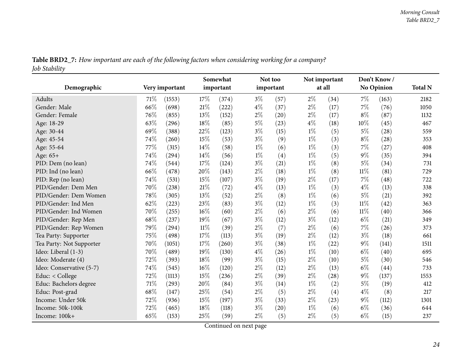| Table BRD2_7: How important are each of the following factors when considering working for a company? |  |
|-------------------------------------------------------------------------------------------------------|--|
| Job Stability                                                                                         |  |

<span id="page-23-0"></span>

|                          |      |                | Somewhat<br>important |       |       | Not too<br>important |       | Not important<br>at all |        | Don't Know/        | <b>Total N</b> |
|--------------------------|------|----------------|-----------------------|-------|-------|----------------------|-------|-------------------------|--------|--------------------|----------------|
| Demographic              |      | Very important |                       |       |       |                      |       |                         |        | <b>No Opinion</b>  |                |
| Adults                   | 71\% | (1553)         | 17%                   | (374) | $3\%$ | (57)                 | $2\%$ | (34)                    | $7\%$  | (163)              | 2182           |
| Gender: Male             | 66%  | (698)          | 21%                   | (222) | $4\%$ | (37)                 | $2\%$ | (17)                    | 7%     | (76)               | 1050           |
| Gender: Female           | 76%  | (855)          | 13%                   | (152) | $2\%$ | (20)                 | $2\%$ | (17)                    | $8\%$  | (87)               | 1132           |
| Age: 18-29               | 63%  | (296)          | 18%                   | (85)  | $5\%$ | (23)                 | $4\%$ | (18)                    | 10%    | (45)               | 467            |
| Age: 30-44               | 69%  | (388)          | 22%                   | (123) | $3\%$ | (15)                 | $1\%$ | (5)                     | $5\%$  | (28)               | 559            |
| Age: 45-54               | 74%  | (260)          | 15%                   | (53)  | $3\%$ | (9)                  | $1\%$ | (3)                     | $8\%$  | (28)               | 353            |
| Age: 55-64               | 77%  | (315)          | 14%                   | (58)  | $1\%$ | (6)                  | $1\%$ | (3)                     | 7%     | (27)               | 408            |
| Age: 65+                 | 74%  | (294)          | 14\%                  | (56)  | $1\%$ | (4)                  | $1\%$ | (5)                     | $9\%$  | (35)               | 394            |
| PID: Dem (no lean)       | 74%  | (544)          | 17%                   | (124) | $3\%$ | (21)                 | $1\%$ | (8)                     | $5\%$  | (34)               | 731            |
| PID: Ind (no lean)       | 66%  | (478)          | 20%                   | (143) | $2\%$ | (18)                 | $1\%$ | (8)                     | $11\%$ | (81)               | 729            |
| PID: Rep (no lean)       | 74%  | (531)          | 15%                   | (107) | $3\%$ | (19)                 | $2\%$ | (17)                    | $7\%$  | (48)               | 722            |
| PID/Gender: Dem Men      | 70%  | (238)          | 21%                   | (72)  | $4\%$ | (13)                 | $1\%$ | (3)                     | $4\%$  | (13)               | 338            |
| PID/Gender: Dem Women    | 78%  | (305)          | 13%                   | (52)  | $2\%$ | (8)                  | $1\%$ | (6)                     | 5%     | (21)               | 392            |
| PID/Gender: Ind Men      | 62%  | (223)          | 23%                   | (83)  | $3\%$ | (12)                 | $1\%$ | (3)                     | $11\%$ | (42)               | 363            |
| PID/Gender: Ind Women    | 70%  | (255)          | 16%                   | (60)  | $2\%$ | (6)                  | $2\%$ | (6)                     | $11\%$ | (40)               | 366            |
| PID/Gender: Rep Men      | 68%  | (237)          | 19%                   | (67)  | $3\%$ | (12)                 | $3\%$ | (12)                    | $6\%$  | (21)               | 349            |
| PID/Gender: Rep Women    | 79%  | (294)          | $11\%$                | (39)  | $2\%$ | (7)                  | $2\%$ | (6)                     | $7\%$  | (26)               | 373            |
| Tea Party: Supporter     | 75%  | (498)          | 17%                   | (113) | $3\%$ | (19)                 | $2\%$ | (12)                    | $3\%$  | (18)               | 661            |
| Tea Party: Not Supporter | 70%  | (1051)         | 17%                   | (260) | $3\%$ | (38)                 | $1\%$ | (22)                    | $9\%$  | (141)              | 1511           |
| Ideo: Liberal (1-3)      | 70%  | (489)          | 19%                   | (130) | $4\%$ | (26)                 | $1\%$ | (10)                    | $6\%$  | (40)               | 695            |
| Ideo: Moderate (4)       | 72%  | (393)          | 18%                   | (99)  | $3\%$ | (15)                 | $2\%$ | (10)                    | $5\%$  | (30)               | 546            |
| Ideo: Conservative (5-7) | 74%  | (545)          | 16%                   | (120) | $2\%$ | (12)                 | $2\%$ | (13)                    | $6\%$  | $\left( 44\right)$ | 733            |
| Educ: < College          | 72%  | (1113)         | 15%                   | (236) | $2\%$ | (39)                 | $2\%$ | (28)                    | $9\%$  | (137)              | 1553           |
| Educ: Bachelors degree   | 71%  | (293)          | 20%                   | (84)  | $3\%$ | (14)                 | $1\%$ | (2)                     | $5\%$  | (19)               | 412            |
| Educ: Post-grad          | 68%  | (147)          | 25%                   | (54)  | $2\%$ | (5)                  | $2\%$ | (4)                     | $4\%$  | (8)                | 217            |
| Income: Under 50k        | 72%  | (936)          | 15%                   | (197) | $3\%$ | (33)                 | $2\%$ | (23)                    | $9\%$  | (112)              | 1301           |
| Income: 50k-100k         | 72%  | (465)          | 18%                   | (118) | $3\%$ | (20)                 | $1\%$ | (6)                     | $6\%$  | (36)               | 644            |
| Income: 100k+            | 65%  | (153)          | 25%                   | (59)  | $2\%$ | (5)                  | $2\%$ | (5)                     | $6\%$  | (15)               | 237            |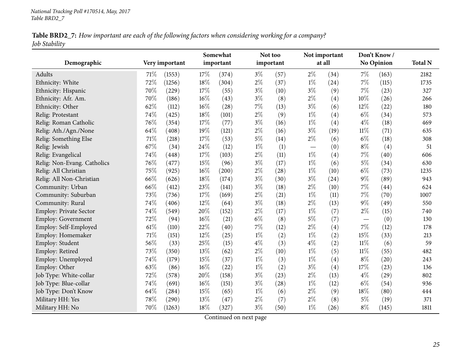| Table BRD2_7: How important are each of the following factors when considering working for a company? |  |
|-------------------------------------------------------------------------------------------------------|--|
| Job Stability                                                                                         |  |

| Demographic                 |        | Very important | Somewhat<br>important |       |       | Not too<br>important |                          | Not important<br>at all |        | Don't Know/<br><b>No Opinion</b> | <b>Total N</b> |
|-----------------------------|--------|----------------|-----------------------|-------|-------|----------------------|--------------------------|-------------------------|--------|----------------------------------|----------------|
| Adults                      | 71\%   | (1553)         | 17%                   | (374) | $3\%$ | (57)                 | $2\%$                    | (34)                    | $7\%$  | (163)                            | 2182           |
| Ethnicity: White            | 72%    | (1256)         | 18%                   | (304) | $2\%$ | (37)                 | $1\%$                    | (24)                    | $7\%$  | (115)                            | 1735           |
| Ethnicity: Hispanic         | 70%    | (229)          | 17%                   | (55)  | $3\%$ | (10)                 | $3\%$                    | (9)                     | $7\%$  | (23)                             | 327            |
| Ethnicity: Afr. Am.         | 70%    | (186)          | 16%                   | (43)  | $3\%$ | (8)                  | $2\%$                    | (4)                     | 10%    | (26)                             | 266            |
| Ethnicity: Other            | 62%    | (112)          | 16%                   | (28)  | $7\%$ | (13)                 | $3\%$                    | (6)                     | $12\%$ | (22)                             | 180            |
| Relig: Protestant           | 74%    | (425)          | 18%                   | (101) | $2\%$ | (9)                  | $1\%$                    | (4)                     | $6\%$  | (34)                             | 573            |
| Relig: Roman Catholic       | 76%    | (354)          | 17%                   | (77)  | $3\%$ | (16)                 | $1\%$                    | (4)                     | $4\%$  | (18)                             | 469            |
| Relig: Ath./Agn./None       | 64%    | (408)          | 19%                   | (121) | $2\%$ | (16)                 | $3\%$                    | (19)                    | $11\%$ | (71)                             | 635            |
| Relig: Something Else       | 71%    | (218)          | 17%                   | (53)  | $5\%$ | (14)                 | $2\%$                    | (6)                     | $6\%$  | (18)                             | 308            |
| Relig: Jewish               | 67%    | (34)           | 24\%                  | (12)  | $1\%$ | (1)                  | $\overline{\phantom{m}}$ | (0)                     | $8\%$  | (4)                              | 51             |
| Relig: Evangelical          | 74%    | (448)          | 17%                   | (103) | $2\%$ | (11)                 | $1\%$                    | $\left( 4\right)$       | 7%     | (40)                             | 606            |
| Relig: Non-Evang. Catholics | 76%    | (477)          | 15%                   | (96)  | $3\%$ | (17)                 | $1\%$                    | (6)                     | $5\%$  | (34)                             | 630            |
| Relig: All Christian        | 75%    | (925)          | $16\%$                | (200) | $2\%$ | (28)                 | $1\%$                    | (10)                    | $6\%$  | (73)                             | 1235           |
| Relig: All Non-Christian    | 66%    | (626)          | 18%                   | (174) | $3\%$ | (30)                 | $3\%$                    | (24)                    | $9\%$  | (89)                             | 943            |
| Community: Urban            | 66%    | (412)          | 23%                   | (141) | $3\%$ | (18)                 | $2\%$                    | (10)                    | 7%     | (44)                             | 624            |
| Community: Suburban         | 73%    | (736)          | 17%                   | (169) | $2\%$ | (21)                 | $1\%$                    | (11)                    | $7\%$  | (70)                             | 1007           |
| Community: Rural            | 74%    | (406)          | 12%                   | (64)  | $3\%$ | (18)                 | $2\%$                    | (13)                    | $9\%$  | (49)                             | 550            |
| Employ: Private Sector      | 74%    | (549)          | 20%                   | (152) | $2\%$ | (17)                 | $1\%$                    | (7)                     | $2\%$  | (15)                             | 740            |
| Employ: Government          | 72%    | (94)           | 16%                   | (21)  | $6\%$ | (8)                  | $5\%$                    | (7)                     |        | (0)                              | 130            |
| Employ: Self-Employed       | $61\%$ | (110)          | 22%                   | (40)  | $7\%$ | (12)                 | $2\%$                    | (4)                     | $7\%$  | (12)                             | 178            |
| Employ: Homemaker           | $71\%$ | (151)          | 12%                   | (25)  | $1\%$ | (2)                  | $1\%$                    | (2)                     | 15%    | (33)                             | 213            |
| Employ: Student             | 56%    | (33)           | 25%                   | (15)  | $4\%$ | (3)                  | $4\%$                    | (2)                     | $11\%$ | (6)                              | 59             |
| Employ: Retired             | 73%    | (350)          | 13%                   | (62)  | $2\%$ | (10)                 | $1\%$                    | (5)                     | $11\%$ | (55)                             | 482            |
| Employ: Unemployed          | 74%    | (179)          | 15%                   | (37)  | $1\%$ | (3)                  | $1\%$                    | (4)                     | $8\%$  | (20)                             | 243            |
| Employ: Other               | 63%    | (86)           | $16\%$                | (22)  | $1\%$ | (2)                  | $3\%$                    | (4)                     | 17%    | (23)                             | 136            |
| Job Type: White-collar      | 72%    | (578)          | 20%                   | (158) | $3\%$ | (23)                 | $2\%$                    | (13)                    | $4\%$  | (29)                             | 802            |
| Job Type: Blue-collar       | 74%    | (691)          | 16%                   | (151) | $3\%$ | (28)                 | $1\%$                    | (12)                    | $6\%$  | (54)                             | 936            |
| Job Type: Don't Know        | 64%    | (284)          | 15%                   | (65)  | $1\%$ | (6)                  | $2\%$                    | (9)                     | 18%    | (80)                             | 444            |
| Military HH: Yes            | 78%    | (290)          | 13%                   | (47)  | $2\%$ | (7)                  | $2\%$                    | (8)                     | $5\%$  | (19)                             | 371            |
| Military HH: No             | 70%    | (1263)         | 18%                   | (327) | $3\%$ | (50)                 | $1\%$                    | (26)                    | $8\%$  | (145)                            | 1811           |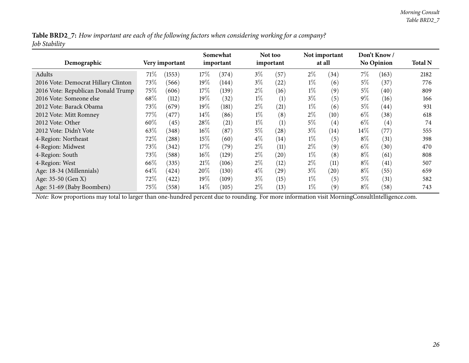Table BRD2\_7: How important are each of the following factors when considering working for a company? *Job Stability*

| Demographic                         |        | Very important | Somewhat<br>important |       |       | Not too<br>important |       | Not important<br>at all |        | Don't Know<br><b>No Opinion</b> | <b>Total N</b> |
|-------------------------------------|--------|----------------|-----------------------|-------|-------|----------------------|-------|-------------------------|--------|---------------------------------|----------------|
| Adults                              | 71\%   | (1553)         | 17\%                  | (374) | $3\%$ | (57)                 | $2\%$ | (34)                    | $7\%$  | (163)                           | 2182           |
| 2016 Vote: Democrat Hillary Clinton | 73%    | (566)          | $19\%$                | (144) | $3\%$ | (22)                 | $1\%$ | (6)                     | 5%     | (37)                            | 776            |
| 2016 Vote: Republican Donald Trump  | 75%    | (606)          | 17%                   | (139) | $2\%$ | (16)                 | $1\%$ | (9)                     | $5\%$  | (40)                            | 809            |
| 2016 Vote: Someone else             | 68\%   | (112)          | $19\%$                | (32)  | $1\%$ | (1)                  | $3\%$ | (5)                     | $9\%$  | (16)                            | 166            |
| 2012 Vote: Barack Obama             | 73\%   | (679)          | $19\%$                | (181) | $2\%$ | (21)                 | $1\%$ | (6)                     | $5\%$  | (44)                            | 931            |
| 2012 Vote: Mitt Romney              | 77\%   | (477)          | $14\%$                | (86)  | $1\%$ | (8)                  | $2\%$ | (10)                    | $6\%$  | (38)                            | 618            |
| 2012 Vote: Other                    | 60%    | (45)           | $28\%$                | (21)  | $1\%$ | (1)                  | 5%    | $\left( 4\right)$       | $6\%$  | $\left( 4\right)$               | 74             |
| 2012 Vote: Didn't Vote              | 63%    | (348)          | $16\%$                | (87)  | $5\%$ | (28)                 | $3\%$ | (14)                    | $14\%$ | (77)                            | 555            |
| 4-Region: Northeast                 | 72\%   | (288)          | $15\%$                | (60)  | $4\%$ | (14)                 | $1\%$ | (5)                     | $8\%$  | (31)                            | 398            |
| 4-Region: Midwest                   | 73\%   | (342)          | $17\%$                | (79)  | $2\%$ | (11)                 | $2\%$ | (9)                     | $6\%$  | (30)                            | 470            |
| 4-Region: South                     | 73\%   | (588)          | $16\%$                | (129) | $2\%$ | (20)                 | $1\%$ | (8)                     | $8\%$  | (61)                            | 808            |
| 4-Region: West                      | 66\%   | (335)          | 21%                   | (106) | $2\%$ | (12)                 | $2\%$ | (11)                    | $8\%$  | (41)                            | 507            |
| Age: 18-34 (Millennials)            | 64\%   | (424)          | $20\%$                | (130) | $4\%$ | (29)                 | $3\%$ | (20)                    | $8\%$  | (55)                            | 659            |
| Age: 35-50 (Gen X)                  | 72\%   | (422)          | $19\%$                | (109) | $3\%$ | (15)                 | $1\%$ | (5)                     | $5\%$  | (31)                            | 582            |
| Age: 51-69 (Baby Boombers)          | $75\%$ | (558)          | $14\%$                | (105) | $2\%$ | (13)                 | $1\%$ | (9)                     | $8\%$  | (58)                            | 743            |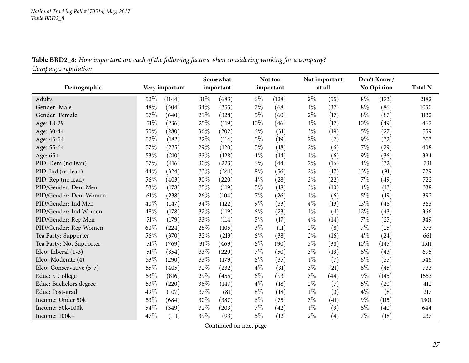Table BRD2\_8: How important are each of the following factors when considering working for a company? *Company's reputation*

<span id="page-26-0"></span>

| Demographic              |        | Very important | Somewhat<br>important |                     |       | Not too<br>important | Not important<br>at all |                    | Don't Know/<br><b>No Opinion</b> |       | <b>Total N</b> |
|--------------------------|--------|----------------|-----------------------|---------------------|-------|----------------------|-------------------------|--------------------|----------------------------------|-------|----------------|
| Adults                   | 52%    | (1144)         | 31%                   | (683)               | $6\%$ | (128)                | $2\%$                   | (55)               | $8\%$                            | (173) | 2182           |
| Gender: Male             | 48%    | (504)          | 34%                   | (355)               | 7%    | (68)                 | $4\%$                   | (37)               | $8\%$                            | (86)  | 1050           |
| Gender: Female           | 57%    | (640)          | 29%                   | (328)               | 5%    | (60)                 | $2\%$                   | (17)               | $8\%$                            | (87)  | 1132           |
| Age: 18-29               | 51%    | (236)          | 25%                   | (119)               | 10%   | (46)                 | $4\%$                   | (17)               | 10%                              | (49)  | 467            |
| Age: 30-44               | 50%    | (280)          | 36%                   | $\left( 202\right)$ | $6\%$ | (31)                 | $3\%$                   | (19)               | $5\%$                            | (27)  | 559            |
| Age: 45-54               | 52%    | (182)          | 32%                   | (114)               | 5%    | (19)                 | $2\%$                   | (7)                | $9\%$                            | (32)  | 353            |
| Age: 55-64               | 57%    | (235)          | 29%                   | (120)               | 5%    | (18)                 | $2\%$                   | (6)                | 7%                               | (29)  | 408            |
| Age: 65+                 | 53%    | (210)          | 33\%                  | (128)               | $4\%$ | (14)                 | $1\%$                   | (6)                | $9\%$                            | (36)  | 394            |
| PID: Dem (no lean)       | 57%    | (416)          | 30%                   | (223)               | $6\%$ | $\left( 44\right)$   | $2\%$                   | (16)               | $4\%$                            | (32)  | 731            |
| PID: Ind (no lean)       | 44%    | (324)          | 33%                   | (241)               | $8\%$ | (56)                 | $2\%$                   | (17)               | 13%                              | (91)  | 729            |
| PID: Rep (no lean)       | 56%    | (403)          | 30%                   | (220)               | 4%    | (28)                 | $3\%$                   | (22)               | 7%                               | (49)  | 722            |
| PID/Gender: Dem Men      | 53%    | (178)          | 35%                   | (119)               | $5\%$ | (18)                 | $3\%$                   | (10)               | $4\%$                            | (13)  | 338            |
| PID/Gender: Dem Women    | 61%    | (238)          | 26\%                  | (104)               | 7%    | (26)                 | $1\%$                   | (6)                | $5\%$                            | (19)  | 392            |
| PID/Gender: Ind Men      | 40%    | (147)          | 34%                   | (122)               | 9%    | (33)                 | $4\%$                   | (13)               | 13%                              | (48)  | 363            |
| PID/Gender: Ind Women    | 48%    | (178)          | 32%                   | (119)               | $6\%$ | (23)                 | $1\%$                   | (4)                | 12%                              | (43)  | 366            |
| PID/Gender: Rep Men      | 51%    | (179)          | 33%                   | (114)               | $5\%$ | (17)                 | $4\%$                   | (14)               | 7%                               | (25)  | 349            |
| PID/Gender: Rep Women    | 60%    | (224)          | 28%                   | (105)               | $3\%$ | (11)                 | $2\%$                   | (8)                | $7\%$                            | (25)  | 373            |
| Tea Party: Supporter     | 56%    | (370)          | 32%                   | (213)               | $6\%$ | (38)                 | $2\%$                   | (16)               | $4\%$                            | (24)  | 661            |
| Tea Party: Not Supporter | 51%    | (769)          | 31%                   | (469)               | $6\%$ | (90)                 | $3\%$                   | (38)               | 10%                              | (145) | 1511           |
| Ideo: Liberal (1-3)      | 51%    | (354)          | 33%                   | (229)               | 7%    | (50)                 | $3\%$                   | (19)               | $6\%$                            | (43)  | 695            |
| Ideo: Moderate (4)       | 53%    | (290)          | 33%                   | (179)               | $6\%$ | (35)                 | $1\%$                   | (7)                | $6\%$                            | (35)  | 546            |
| Ideo: Conservative (5-7) | $55\%$ | (405)          | 32%                   | (232)               | 4%    | (31)                 | $3\%$                   | (21)               | $6\%$                            | (45)  | 733            |
| Educ: $<$ College        | 53%    | (816)          | 29%                   | (455)               | $6\%$ | (93)                 | $3\%$                   | $\left( 44\right)$ | $9\%$                            | (145) | 1553           |
| Educ: Bachelors degree   | 53%    | (220)          | 36%                   | (147)               | $4\%$ | (18)                 | $2\%$                   | (7)                | $5\%$                            | (20)  | 412            |
| Educ: Post-grad          | 49%    | (107)          | 37%                   | (81)                | $8\%$ | (18)                 | $1\%$                   | (3)                | $4\%$                            | (8)   | 217            |
| Income: Under 50k        | 53%    | (684)          | 30%                   | (387)               | $6\%$ | (75)                 | $3\%$                   | (41)               | $9\%$                            | (115) | 1301           |
| Income: 50k-100k         | 54%    | (349)          | 32%                   | (203)               | 7%    | (42)                 | $1\%$                   | (9)                | $6\%$                            | (40)  | 644            |
| Income: 100k+            | 47%    | (111)          | 39%                   | (93)                | $5\%$ | (12)                 | $2\%$                   | (4)                | 7%                               | (18)  | 237            |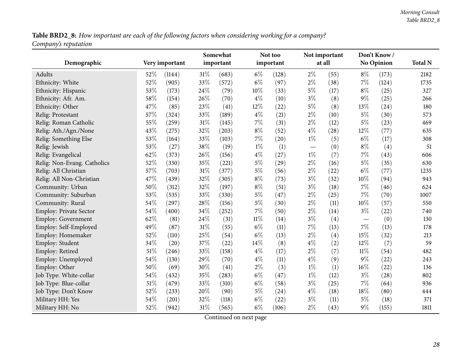Table BRD2\_8: How important are each of the following factors when considering working for a company? *Company's reputation*

| Demographic                   |     | Very important | Somewhat<br>important |       |        | Not too<br>important |       | Not important<br>at all |       | Don't Know/<br>No Opinion | <b>Total N</b> |
|-------------------------------|-----|----------------|-----------------------|-------|--------|----------------------|-------|-------------------------|-------|---------------------------|----------------|
| Adults                        | 52% | (1144)         | 31%                   | (683) | $6\%$  | (128)                | $2\%$ | (55)                    | $8\%$ | (173)                     | 2182           |
| Ethnicity: White              | 52% | (905)          | 33%                   | (572) | $6\%$  | (97)                 | $2\%$ | (38)                    | 7%    | (124)                     | 1735           |
| Ethnicity: Hispanic           | 53% | (173)          | 24%                   | (79)  | 10%    | (33)                 | $5\%$ | (17)                    | $8\%$ | (25)                      | 327            |
| Ethnicity: Afr. Am.           | 58% | (154)          | 26%                   | (70)  | $4\%$  | (10)                 | $3\%$ | (8)                     | $9\%$ | (25)                      | 266            |
| Ethnicity: Other              | 47% | (85)           | 23%                   | (41)  | 12%    | (22)                 | $5\%$ | (8)                     | 13%   | (24)                      | 180            |
| Relig: Protestant             | 57% | (324)          | 33%                   | (189) | $4\%$  | (21)                 | $2\%$ | (10)                    | $5\%$ | (30)                      | 573            |
| Relig: Roman Catholic         | 55% | (259)          | 31%                   | (145) | 7%     | (31)                 | $2\%$ | (12)                    | $5\%$ | (23)                      | 469            |
| Relig: Ath./Agn./None         | 43% | (275)          | 32%                   | (203) | $8\%$  | (52)                 | $4\%$ | (28)                    | 12%   | (77)                      | 635            |
| Relig: Something Else         | 53% | (164)          | 33%                   | (103) | 7%     | (20)                 | $1\%$ | (5)                     | $6\%$ | (17)                      | 308            |
| Relig: Jewish                 | 53% | (27)           | 38%                   | (19)  | $1\%$  | (1)                  |       | (0)                     | $8\%$ | (4)                       | 51             |
| Relig: Evangelical            | 62% | (373)          | 26%                   | (156) | $4\%$  | (27)                 | $1\%$ | (7)                     | 7%    | (43)                      | 606            |
| Relig: Non-Evang. Catholics   | 52% | (330)          | 35%                   | (221) | $5\%$  | (29)                 | $2\%$ | (16)                    | $5\%$ | (35)                      | 630            |
| Relig: All Christian          | 57% | (703)          | 31%                   | (377) | $5\%$  | (56)                 | $2\%$ | (22)                    | $6\%$ | (77)                      | 1235           |
| Relig: All Non-Christian      | 47% | (439)          | 32%                   | (305) | $8\%$  | (73)                 | $3\%$ | (32)                    | 10%   | (94)                      | 943            |
| Community: Urban              | 50% | (312)          | 32%                   | (197) | $8\%$  | (51)                 | $3\%$ | (18)                    | 7%    | (46)                      | 624            |
| Community: Suburban           | 53% | (535)          | 33%                   | (330) | $5\%$  | (47)                 | $2\%$ | (25)                    | 7%    | (70)                      | 1007           |
| Community: Rural              | 54% | (297)          | 28%                   | (156) | $5\%$  | (30)                 | $2\%$ | (11)                    | 10%   | (57)                      | 550            |
| <b>Employ: Private Sector</b> | 54% | (400)          | 34%                   | (252) | 7%     | (50)                 | $2\%$ | (14)                    | $3\%$ | (22)                      | 740            |
| Employ: Government            | 62% | (81)           | 24%                   | (31)  | $11\%$ | (14)                 | $3\%$ | (4)                     |       | (0)                       | 130            |
| Employ: Self-Employed         | 49% | (87)           | 31%                   | (55)  | $6\%$  | (11)                 | $7\%$ | (13)                    | $7\%$ | (13)                      | 178            |
| Employ: Homemaker             | 52% | (110)          | 25%                   | (54)  | $6\%$  | (13)                 | $2\%$ | (4)                     | 15%   | (32)                      | 213            |
| Employ: Student               | 34% | (20)           | 37%                   | (22)  | 14%    | (8)                  | $4\%$ | (2)                     | 12%   | (7)                       | 59             |
| Employ: Retired               | 51% | (246)          | 33%                   | (158) | $4\%$  | (17)                 | $2\%$ | (7)                     | 11%   | (54)                      | 482            |
| Employ: Unemployed            | 54% | (130)          | 29%                   | (70)  | $4\%$  | (11)                 | $4\%$ | (9)                     | $9\%$ | (22)                      | 243            |
| Employ: Other                 | 50% | (69)           | 30%                   | (41)  | $2\%$  | (3)                  | $1\%$ | (1)                     | 16%   | (22)                      | 136            |
| Job Type: White-collar        | 54% | (432)          | 35%                   | (283) | $6\%$  | (47)                 | $1\%$ | (12)                    | $3\%$ | (28)                      | 802            |
| Job Type: Blue-collar         | 51% | (479)          | 33%                   | (310) | $6\%$  | (58)                 | $3\%$ | (25)                    | $7\%$ | (64)                      | 936            |
| Job Type: Don't Know          | 52% | (233)          | 20%                   | (90)  | $5\%$  | (24)                 | $4\%$ | (18)                    | 18%   | (80)                      | 444            |
| Military HH: Yes              | 54% | (201)          | 32%                   | (118) | $6\%$  | (22)                 | $3\%$ | (11)                    | $5\%$ | (18)                      | 371            |
| Military HH: No               | 52% | (942)          | 31%                   | (565) | $6\%$  | (106)                | $2\%$ | (43)                    | 9%    | (155)                     | 1811           |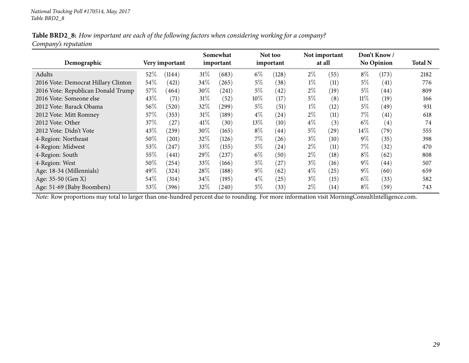#### Table BRD2\_8: How important are each of the following factors when considering working for a company? *Company's reputation*

| Demographic                         |        | Very important | Somewhat<br>important |                  |        | Not too<br>important |       | Not important<br>at all |        | Don't Know /<br><b>No Opinion</b> | <b>Total N</b> |
|-------------------------------------|--------|----------------|-----------------------|------------------|--------|----------------------|-------|-------------------------|--------|-----------------------------------|----------------|
| Adults                              | 52%    | (1144)         | 31%                   | (683)            | $6\%$  | (128)                | $2\%$ | (55)                    | $8\%$  | (173)                             | 2182           |
| 2016 Vote: Democrat Hillary Clinton | $54\%$ | (421)          | 34\%                  | (265)            | $5\%$  | (38)                 | $1\%$ | (11)                    | $5\%$  | (41)                              | 776            |
| 2016 Vote: Republican Donald Trump  | 57%    | (464)          | 30%                   | (241)            | $5\%$  | (42)                 | $2\%$ | (19)                    | $5\%$  | (44)                              | 809            |
| 2016 Vote: Someone else             | 43%    | (71)           | 31%                   | (52)             | $10\%$ | (17)                 | $5\%$ | (8)                     | $11\%$ | (19)                              | 166            |
| 2012 Vote: Barack Obama             | 56%    | (520)          | 32\%                  | $^{(299)}$       | $5\%$  | (51)                 | $1\%$ | (12)                    | $5\%$  | (49)                              | 931            |
| 2012 Vote: Mitt Romney              | 57%    | (353)          | $31\%$                | $^{\prime}$ 189) | $4\%$  | $\left( 24\right)$   | $2\%$ | (11)                    | $7\%$  | $\left( 41\right)$                | 618            |
| 2012 Vote: Other                    | 37%    | (27)           | 41%                   | (30)             | $13\%$ | (10)                 | $4\%$ | (3)                     | $6\%$  | $\left( 4\right)$                 | 74             |
| 2012 Vote: Didn't Vote              | 43%    | (239)          | 30%                   | (165)            | $8\%$  | $\left( 44\right)$   | 5%    | $\left( 29\right)$      | $14\%$ | (79)                              | 555            |
| 4-Region: Northeast                 | 50%    | (201)          | 32%                   | (126)            | $7\%$  | (26)                 | $3\%$ | (10)                    | $9\%$  | (35)                              | 398            |
| 4-Region: Midwest                   | 53%    | 247            | 33\%                  | (155)            | $5\%$  | (24)                 | $2\%$ | (11)                    | $7\%$  | (32)                              | 470            |
| 4-Region: South                     | 55%    | (441)          | $29\%$                | 237)             | $6\%$  | (50)                 | $2\%$ | $\left(18\right)$       | $8\%$  | (62)                              | 808            |
| 4-Region: West                      | 50%    | (254)          | 33\%                  | (166)            | $5\%$  | (27)                 | $3\%$ | (16)                    | $9\%$  | (44)                              | 507            |
| Age: 18-34 (Millennials)            | 49%    | (324)          | $28\%$                | (188)            | $9\%$  | (62)                 | $4\%$ | (25)                    | $9\%$  | (60)                              | 659            |
| Age: 35-50 (Gen X)                  | $54\%$ | (314)          | $34\%$                | (195)            | $4\%$  | (25)                 | $3\%$ | (15)                    | $6\%$  | (33)                              | 582            |
| Age: 51-69 (Baby Boombers)          | 53%    | (396)          | 32\%                  | (240)            | $5\%$  | (33)                 | $2\%$ | (14)                    | $8\%$  | (59)                              | 743            |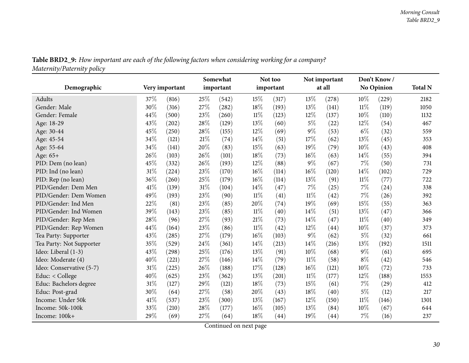| Table BRD2_9: How important are each of the following factors when considering working for a company? |
|-------------------------------------------------------------------------------------------------------|
| Maternity/Paternity policy                                                                            |

<span id="page-29-0"></span>

|                          |     |                | Somewhat |           |        | Not too   |        | Not important |        | Don't Know/       |                |
|--------------------------|-----|----------------|----------|-----------|--------|-----------|--------|---------------|--------|-------------------|----------------|
| Demographic              |     | Very important |          | important |        | important |        | at all        |        | <b>No Opinion</b> | <b>Total N</b> |
| Adults                   | 37% | (816)          | 25%      | (542)     | 15%    | (317)     | 13%    | (278)         | $10\%$ | (229)             | 2182           |
| Gender: Male             | 30% | (316)          | 27%      | (282)     | 18%    | (193)     | 13%    | (141)         | $11\%$ | (119)             | 1050           |
| Gender: Female           | 44% | (500)          | 23%      | (260)     | $11\%$ | (123)     | 12%    | (137)         | 10%    | (110)             | 1132           |
| Age: 18-29               | 43% | (202)          | 28%      | (129)     | 13%    | (60)      | $5\%$  | (22)          | $12\%$ | (54)              | 467            |
| Age: 30-44               | 45% | (250)          | 28%      | (155)     | 12%    | (69)      | $9\%$  | (53)          | $6\%$  | (32)              | 559            |
| Age: 45-54               | 34% | (121)          | 21%      | (74)      | 14%    | (51)      | 17%    | (62)          | 13%    | (45)              | 353            |
| Age: 55-64               | 34% | (141)          | 20%      | (83)      | 15%    | (63)      | 19%    | (79)          | 10%    | (43)              | 408            |
| Age: 65+                 | 26% | (103)          | 26%      | (101)     | 18%    | (73)      | 16%    | (63)          | 14%    | (55)              | 394            |
| PID: Dem (no lean)       | 45% | (332)          | 26%      | (193)     | 12%    | (88)      | $9\%$  | (67)          | 7%     | (50)              | 731            |
| PID: Ind (no lean)       | 31% | (224)          | 23%      | (170)     | 16%    | (114)     | 16%    | (120)         | $14\%$ | (102)             | 729            |
| PID: Rep (no lean)       | 36% | (260)          | 25%      | (179)     | 16%    | (114)     | 13%    | (91)          | $11\%$ | (77)              | 722            |
| PID/Gender: Dem Men      | 41% | (139)          | 31%      | (104)     | 14%    | (47)      | 7%     | (25)          | 7%     | (24)              | 338            |
| PID/Gender: Dem Women    | 49% | (193)          | 23%      | (90)      | $11\%$ | (41)      | $11\%$ | (42)          | $7\%$  | (26)              | 392            |
| PID/Gender: Ind Men      | 22% | (81)           | 23%      | (85)      | 20%    | (74)      | 19%    | (69)          | 15%    | (55)              | 363            |
| PID/Gender: Ind Women    | 39% | (143)          | 23%      | (85)      | 11%    | (40)      | 14\%   | (51)          | $13\%$ | (47)              | 366            |
| PID/Gender: Rep Men      | 28% | (96)           | 27%      | (93)      | 21%    | (73)      | 14%    | (47)          | $11\%$ | (40)              | 349            |
| PID/Gender: Rep Women    | 44% | (164)          | 23%      | (86)      | $11\%$ | (42)      | 12%    | (44)          | 10%    | (37)              | 373            |
| Tea Party: Supporter     | 43% | (285)          | 27%      | (179)     | 16%    | (103)     | $9\%$  | (62)          | 5%     | (32)              | 661            |
| Tea Party: Not Supporter | 35% | (529)          | 24%      | (361)     | 14%    | (213)     | 14%    | (216)         | 13%    | (192)             | 1511           |
| Ideo: Liberal (1-3)      | 43% | (298)          | 25%      | (176)     | 13%    | (91)      | 10%    | (68)          | $9\%$  | (61)              | 695            |
| Ideo: Moderate (4)       | 40% | (221)          | 27%      | (146)     | 14%    | (79)      | $11\%$ | (58)          | $8\%$  | (42)              | 546            |
| Ideo: Conservative (5-7) | 31% | (225)          | 26%      | (188)     | 17%    | (128)     | 16%    | (121)         | 10%    | (72)              | 733            |
| Educ: < College          | 40% | (625)          | 23%      | (362)     | 13%    | (201)     | 11%    | (177)         | 12%    | (188)             | 1553           |
| Educ: Bachelors degree   | 31% | (127)          | 29%      | (121)     | 18%    | (73)      | 15%    | (61)          | $7\%$  | (29)              | 412            |
| Educ: Post-grad          | 30% | (64)           | 27%      | (58)      | 20%    | (43)      | 18%    | (40)          | $5\%$  | (12)              | 217            |
| Income: Under 50k        | 41% | (537)          | 23%      | (300)     | 13%    | (167)     | 12%    | (150)         | $11\%$ | (146)             | 1301           |
| Income: 50k-100k         | 33% | (210)          | 28%      | (177)     | 16%    | (105)     | 13%    | (84)          | $10\%$ | (67)              | 644            |
| Income: 100k+            | 29% | (69)           | 27%      | (64)      | 18%    | (44)      | 19%    | (44)          | 7%     | (16)              | 237            |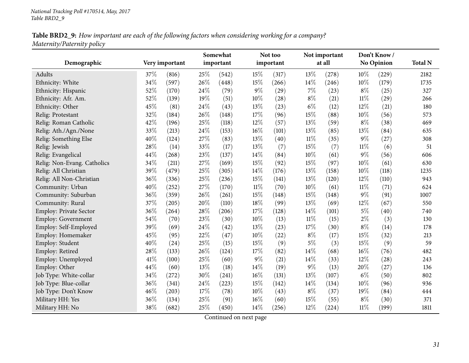#### Table BRD2\_9: How important are each of the following factors when considering working for a company? *Maternity/Paternity policy*

| Demographic                   |     | Very important |     | Somewhat<br>important |        | Not too<br>important |        | Not important<br>at all |        | Don't Know/<br>No Opinion | <b>Total N</b> |
|-------------------------------|-----|----------------|-----|-----------------------|--------|----------------------|--------|-------------------------|--------|---------------------------|----------------|
| Adults                        | 37% | (816)          | 25% | (542)                 | 15%    | (317)                | 13%    | (278)                   | 10%    | (229)                     | 2182           |
| Ethnicity: White              | 34% | (597)          | 26% | (448)                 | 15%    | (266)                | 14%    | (246)                   | 10%    | (179)                     | 1735           |
| Ethnicity: Hispanic           | 52% | (170)          | 24% | (79)                  | 9%     | (29)                 | 7%     | (23)                    | $8\%$  | (25)                      | 327            |
| Ethnicity: Afr. Am.           | 52% | (139)          | 19% | (51)                  | 10%    | (28)                 | $8\%$  | (21)                    | $11\%$ | (29)                      | 266            |
| Ethnicity: Other              | 45% | (81)           | 24% | (43)                  | 13%    | (23)                 | $6\%$  | (12)                    | 12%    | (21)                      | 180            |
| Relig: Protestant             | 32% | (184)          | 26% | (148)                 | 17%    | (96)                 | 15%    | (88)                    | 10%    | (56)                      | 573            |
| Relig: Roman Catholic         | 42% | (196)          | 25% | (118)                 | 12%    | (57)                 | 13%    | (59)                    | $8\%$  | (38)                      | 469            |
| Relig: Ath./Agn./None         | 33% | (213)          | 24% | (153)                 | 16%    | (101)                | 13%    | (85)                    | 13%    | (84)                      | 635            |
| Relig: Something Else         | 40% | (124)          | 27% | (83)                  | 13%    | (40)                 | $11\%$ | (35)                    | $9\%$  | (27)                      | 308            |
| Relig: Jewish                 | 28% | (14)           | 33% | (17)                  | 13%    | (7)                  | 15%    | (7)                     | $11\%$ | (6)                       | 51             |
| Relig: Evangelical            | 44% | (268)          | 23% | (137)                 | 14%    | (84)                 | 10%    | (61)                    | $9\%$  | (56)                      | 606            |
| Relig: Non-Evang. Catholics   | 34% | (211)          | 27% | (169)                 | 15%    | (92)                 | 15%    | (97)                    | 10%    | (61)                      | 630            |
| Relig: All Christian          | 39% | (479)          | 25% | (305)                 | 14%    | (176)                | 13%    | (158)                   | 10%    | (118)                     | 1235           |
| Relig: All Non-Christian      | 36% | (336)          | 25% | (236)                 | 15%    | (141)                | 13%    | (120)                   | 12%    | (110)                     | 943            |
| Community: Urban              | 40% | (252)          | 27% | (170)                 | $11\%$ | (70)                 | 10%    | (61)                    | 11%    | (71)                      | 624            |
| Community: Suburban           | 36% | (359)          | 26% | (261)                 | 15%    | (148)                | 15%    | (148)                   | $9\%$  | (91)                      | 1007           |
| Community: Rural              | 37% | (205)          | 20% | (110)                 | 18%    | (99)                 | 13%    | (69)                    | 12%    | (67)                      | 550            |
| <b>Employ: Private Sector</b> | 36% | (264)          | 28% | (206)                 | 17%    | (128)                | 14%    | (101)                   | $5\%$  | (40)                      | 740            |
| Employ: Government            | 54% | (70)           | 23% | (30)                  | 10%    | (13)                 | 11%    | (15)                    | $2\%$  | (3)                       | 130            |
| Employ: Self-Employed         | 39% | (69)           | 24% | (42)                  | 13%    | (23)                 | 17%    | (30)                    | $8\%$  | (14)                      | 178            |
| Employ: Homemaker             | 45% | (95)           | 22% | (47)                  | 10%    | (22)                 | $8\%$  | (17)                    | 15%    | (32)                      | 213            |
| Employ: Student               | 40% | (24)           | 25% | (15)                  | 15%    | (9)                  | $5\%$  | (3)                     | 15%    | (9)                       | 59             |
| Employ: Retired               | 28% | (133)          | 26% | (124)                 | 17%    | (82)                 | 14%    | (68)                    | 16%    | (76)                      | 482            |
| Employ: Unemployed            | 41% | (100)          | 25% | (60)                  | $9\%$  | (21)                 | 14%    | (33)                    | 12%    | (28)                      | 243            |
| Employ: Other                 | 44% | (60)           | 13% | (18)                  | 14%    | (19)                 | $9\%$  | (13)                    | 20%    | (27)                      | 136            |
| Job Type: White-collar        | 34% | (272)          | 30% | (241)                 | 16%    | (131)                | 13%    | (107)                   | $6\%$  | (50)                      | 802            |
| Job Type: Blue-collar         | 36% | (341)          | 24% | (223)                 | 15%    | (142)                | 14%    | (134)                   | 10%    | (96)                      | 936            |
| Job Type: Don't Know          | 46% | (203)          | 17% | (78)                  | 10%    | (43)                 | $8\%$  | (37)                    | 19%    | (84)                      | 444            |
| Military HH: Yes              | 36% | (134)          | 25% | (91)                  | 16%    | (60)                 | 15%    | (55)                    | $8\%$  | (30)                      | 371            |
| Military HH: No               | 38% | (682)          | 25% | (450)                 | 14%    | (256)                | 12%    | (224)                   | $11\%$ | (199)                     | 1811           |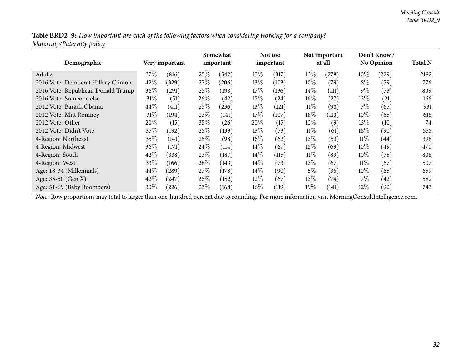Table BRD2\_9: How important are each of the following factors when considering working for a company? *Maternity/Paternity policy*

| Demographic                         |      | Very important |        | Somewhat<br>important |        | Not too<br>important |        | Not important<br>at all |        | Don't Know<br><b>No Opinion</b> | <b>Total N</b> |
|-------------------------------------|------|----------------|--------|-----------------------|--------|----------------------|--------|-------------------------|--------|---------------------------------|----------------|
| Adults                              | 37%  | (816)          | 25\%   | (542)                 | $15\%$ | (317)                | 13%    | (278)                   | 10%    | (229)                           | 2182           |
| 2016 Vote: Democrat Hillary Clinton | 42%  | (329)          | 27\%   | (206)                 | $13\%$ | (103)                | $10\%$ | (79)                    | $8\%$  | (59)                            | 776            |
| 2016 Vote: Republican Donald Trump  | 36%  | (291)          | 25\%   | (198)                 | $17\%$ | (136)                | $14\%$ | (111)                   | $9\%$  | (73)                            | 809            |
| 2016 Vote: Someone else             | 31%  | (51)           | $26\%$ | (42)                  | $15\%$ | (24)                 | $16\%$ | (27)                    | $13\%$ | (21)                            | 166            |
| 2012 Vote: Barack Obama             | 44\% | (411)          | 25\%   | (236)                 | $13\%$ | (121)                | $11\%$ | (98)                    | $7\%$  | (65)                            | 931            |
| 2012 Vote: Mitt Romney              | 31%  | (194)          | 23\%   | (141)                 | $17\%$ | (107)                | 18%    | (110)                   | $10\%$ | (65)                            | 618            |
| 2012 Vote: Other                    | 20%  | (15)           | $35\%$ | (26)                  | 20%    | (15)                 | $12\%$ | (9)                     | $13\%$ | (10)                            | 74             |
| 2012 Vote: Didn't Vote              | 35%  | (192)          | 25\%   | (139)                 | $13\%$ | (73)                 | $11\%$ | (61)                    | $16\%$ | (90)                            | 555            |
| 4-Region: Northeast                 | 35%  | (141)          | 25\%   | (98)                  | $16\%$ | (62)                 | 13%    | (53)                    | 11%    | (44)                            | 398            |
| 4-Region: Midwest                   | 36%  | (171)          | $24\%$ | (114)                 | $14\%$ | (67)                 | $15\%$ | (69)                    | $10\%$ | (49)                            | 470            |
| 4-Region: South                     | 42%  | (338)          | 23\%   | (187)                 | $14\%$ | (115)                | $11\%$ | (89)                    | $10\%$ | (78)                            | 808            |
| 4-Region: West                      | 33%  | (166)          | 28\%   | (143)                 | $14\%$ | (73)                 | $13\%$ | (67)                    | $11\%$ | (57)                            | 507            |
| Age: 18-34 (Millennials)            | 44\% | (289)          | 27%    | (178)                 | $14\%$ | (90)                 | 5%     | (36)                    | $10\%$ | (65)                            | 659            |
| Age: 35-50 (Gen X)                  | 42%  | (247)          | $26\%$ | (152)                 | $12\%$ | (67)                 | $13\%$ | (74)                    | $7\%$  | (42)                            | 582            |
| Age: 51-69 (Baby Boombers)          | 30%  | (226)          | 23\%   | (168)                 | $16\%$ | (119)                | $19\%$ | (141)                   | $12\%$ | (90)                            | 743            |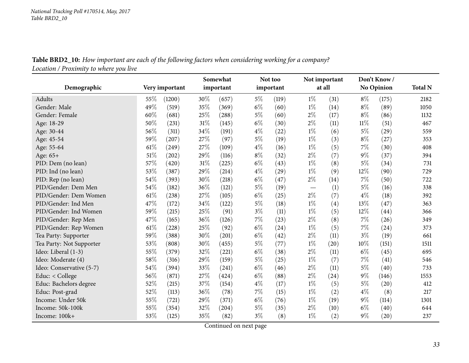Table BRD2\_10: How important are each of the following factors when considering working for a company? *Location / Proximity to where you live*

<span id="page-32-0"></span>

| Demographic              |        | Very important |      | Somewhat<br>important |       | Not too<br>important |       | Not important<br>at all |        | Don't Know/<br><b>No Opinion</b> | <b>Total N</b> |
|--------------------------|--------|----------------|------|-----------------------|-------|----------------------|-------|-------------------------|--------|----------------------------------|----------------|
| Adults                   | 55%    | (1200)         | 30%  | (657)                 | $5\%$ | (119)                | $1\%$ | (31)                    | $8\%$  | (175)                            | 2182           |
| Gender: Male             | 49%    | (519)          | 35%  | (369)                 | $6\%$ | (60)                 | $1\%$ | (14)                    | $8\%$  | (89)                             | 1050           |
| Gender: Female           | 60%    | (681)          | 25%  | (288)                 | $5\%$ | (60)                 | $2\%$ | (17)                    | $8\%$  | (86)                             | 1132           |
| Age: 18-29               | 50%    | (231)          | 31%  | (145)                 | $6\%$ | (30)                 | $2\%$ | (11)                    | $11\%$ | (51)                             | 467            |
| Age: 30-44               | 56%    | (311)          | 34%  | (191)                 | $4\%$ | (22)                 | $1\%$ | (6)                     | $5\%$  | (29)                             | 559            |
| Age: 45-54               | 59%    | (207)          | 27%  | (97)                  | $5\%$ | (19)                 | $1\%$ | (3)                     | $8\%$  | (27)                             | 353            |
| Age: 55-64               | 61\%   | (249)          | 27%  | (109)                 | $4\%$ | (16)                 | $1\%$ | (5)                     | 7%     | (30)                             | 408            |
| Age: 65+                 | 51%    | (202)          | 29\% | (116)                 | $8\%$ | (32)                 | $2\%$ | (7)                     | $9\%$  | (37)                             | 394            |
| PID: Dem (no lean)       | 57%    | (420)          | 31%  | (225)                 | $6\%$ | (43)                 | $1\%$ | (8)                     | $5\%$  | (34)                             | 731            |
| PID: Ind (no lean)       | 53%    | (387)          | 29%  | (214)                 | $4\%$ | (29)                 | $1\%$ | (9)                     | 12%    | (90)                             | 729            |
| PID: Rep (no lean)       | 54%    | (393)          | 30%  | (218)                 | $6\%$ | (47)                 | $2\%$ | (14)                    | 7%     | (50)                             | 722            |
| PID/Gender: Dem Men      | 54%    | (182)          | 36%  | (121)                 | $5\%$ | (19)                 |       | (1)                     | $5\%$  | (16)                             | 338            |
| PID/Gender: Dem Women    | 61\%   | (238)          | 27%  | (105)                 | $6\%$ | (25)                 | $2\%$ | (7)                     | $4\%$  | (18)                             | 392            |
| PID/Gender: Ind Men      | 47%    | (172)          | 34%  | (122)                 | $5\%$ | (18)                 | $1\%$ | (4)                     | 13%    | (47)                             | 363            |
| PID/Gender: Ind Women    | 59%    | (215)          | 25%  | (91)                  | $3\%$ | (11)                 | $1\%$ | (5)                     | 12%    | (44)                             | 366            |
| PID/Gender: Rep Men      | 47%    | (165)          | 36%  | (126)                 | 7%    | (23)                 | $2\%$ | (8)                     | 7%     | (26)                             | 349            |
| PID/Gender: Rep Women    | $61\%$ | (228)          | 25%  | (92)                  | $6\%$ | (24)                 | $1\%$ | (5)                     | 7%     | (24)                             | 373            |
| Tea Party: Supporter     | 59%    | (388)          | 30%  | (201)                 | $6\%$ | (42)                 | $2\%$ | (11)                    | $3\%$  | (19)                             | 661            |
| Tea Party: Not Supporter | 53%    | (808)          | 30%  | (455)                 | $5\%$ | (77)                 | $1\%$ | (20)                    | 10%    | (151)                            | 1511           |
| Ideo: Liberal (1-3)      | 55%    | (379)          | 32%  | (221)                 | $6\%$ | (38)                 | $2\%$ | (11)                    | $6\%$  | (45)                             | 695            |
| Ideo: Moderate (4)       | 58%    | (316)          | 29%  | (159)                 | $5\%$ | (25)                 | $1\%$ | (7)                     | 7%     | (41)                             | 546            |
| Ideo: Conservative (5-7) | 54%    | (394)          | 33%  | (241)                 | $6\%$ | (46)                 | $2\%$ | (11)                    | 5%     | (40)                             | 733            |
| Educ: < College          | 56%    | (871)          | 27%  | (424)                 | $6\%$ | (88)                 | $2\%$ | (24)                    | 9%     | (146)                            | 1553           |
| Educ: Bachelors degree   | 52%    | (215)          | 37%  | (154)                 | $4\%$ | (17)                 | $1\%$ | (5)                     | 5%     | (20)                             | 412            |
| Educ: Post-grad          | 52%    | (113)          | 36%  | (78)                  | 7%    | (15)                 | $1\%$ | (2)                     | $4\%$  | (8)                              | 217            |
| Income: Under 50k        | 55%    | (721)          | 29%  | (371)                 | $6\%$ | (76)                 | $1\%$ | (19)                    | $9\%$  | (114)                            | 1301           |
| Income: 50k-100k         | 55%    | (354)          | 32%  | (204)                 | $5\%$ | (35)                 | $2\%$ | (10)                    | $6\%$  | (40)                             | 644            |
| Income: 100k+            | 53%    | (125)          | 35%  | (82)                  | $3\%$ | (8)                  | $1\%$ | (2)                     | $9\%$  | (20)                             | 237            |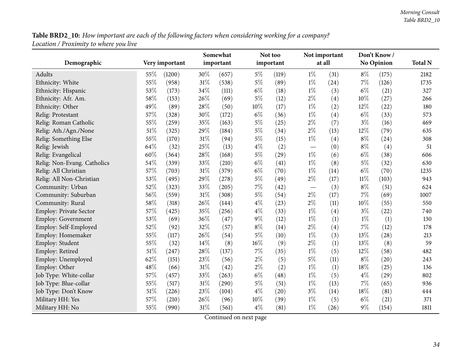Table BRD2\_10: How important are each of the following factors when considering working for a company? *Location / Proximity to where you live*

|                             |        |                |        | Somewhat  |        | Not too   |       | Not important |        | Don't Know/        |                |
|-----------------------------|--------|----------------|--------|-----------|--------|-----------|-------|---------------|--------|--------------------|----------------|
| Demographic                 |        | Very important |        | important |        | important |       | at all        |        | No Opinion         | <b>Total N</b> |
| Adults                      | 55%    | (1200)         | 30%    | (657)     | $5\%$  | (119)     | $1\%$ | (31)          | $8\%$  | (175)              | 2182           |
| Ethnicity: White            | 55%    | (958)          | $31\%$ | (538)     | $5\%$  | (89)      | $1\%$ | (24)          | 7%     | (126)              | 1735           |
| Ethnicity: Hispanic         | 53%    | (173)          | 34%    | (111)     | $6\%$  | (18)      | $1\%$ | (3)           | $6\%$  | (21)               | 327            |
| Ethnicity: Afr. Am.         | 58%    | (153)          | 26\%   | (69)      | $5\%$  | (12)      | $2\%$ | (4)           | 10%    | (27)               | 266            |
| Ethnicity: Other            | 49%    | (89)           | 28%    | (50)      | 10%    | (17)      | $1\%$ | (2)           | 12%    | (22)               | 180            |
| Relig: Protestant           | 57%    | (328)          | 30%    | (172)     | $6\%$  | (36)      | $1\%$ | (4)           | $6\%$  | (33)               | 573            |
| Relig: Roman Catholic       | 55%    | (259)          | 35%    | (163)     | $5\%$  | (25)      | $2\%$ | (7)           | $3\%$  | (16)               | 469            |
| Relig: Ath./Agn./None       | 51%    | (325)          | $29\%$ | (184)     | $5\%$  | (34)      | $2\%$ | (13)          | 12%    | (79)               | 635            |
| Relig: Something Else       | 55%    | (170)          | 31%    | (94)      | $5\%$  | (15)      | $1\%$ | (4)           | $8\%$  | (24)               | 308            |
| Relig: Jewish               | 64%    | (32)           | 25%    | (13)      | $4\%$  | (2)       |       | (0)           | $8\%$  | (4)                | 51             |
| Relig: Evangelical          | 60%    | (364)          | 28%    | (168)     | $5\%$  | (29)      | $1\%$ | (6)           | $6\%$  | (38)               | 606            |
| Relig: Non-Evang. Catholics | 54%    | (339)          | 33%    | (210)     | $6\%$  | (41)      | $1\%$ | (8)           | $5\%$  | (32)               | 630            |
| Relig: All Christian        | 57%    | (703)          | 31%    | (379)     | $6\%$  | (70)      | $1\%$ | (14)          | $6\%$  | (70)               | 1235           |
| Relig: All Non-Christian    | 53%    | (495)          | 29%    | (278)     | $5\%$  | (49)      | $2\%$ | (17)          | $11\%$ | (103)              | 943            |
| Community: Urban            | 52%    | (323)          | 33%    | (205)     | $7\%$  | (42)      |       | (3)           | $8\%$  | (51)               | 624            |
| Community: Suburban         | 56%    | (559)          | 31%    | (308)     | $5\%$  | (54)      | $2\%$ | (17)          | 7%     | (69)               | 1007           |
| Community: Rural            | 58%    | (318)          | 26\%   | (144)     | $4\%$  | (23)      | $2\%$ | (11)          | 10%    | (55)               | 550            |
| Employ: Private Sector      | 57%    | (425)          | 35%    | (256)     | $4\%$  | (33)      | $1\%$ | (4)           | $3\%$  | (22)               | 740            |
| <b>Employ: Government</b>   | 53%    | (69)           | 36%    | (47)      | $9\%$  | (12)      | $1\%$ | (1)           | $1\%$  | (1)                | 130            |
| Employ: Self-Employed       | 52%    | (92)           | 32%    | (57)      | $8\%$  | (14)      | $2\%$ | (4)           | 7%     | (12)               | 178            |
| Employ: Homemaker           | 55%    | (117)          | 26%    | (54)      | $5\%$  | (10)      | $1\%$ | (3)           | 13%    | (28)               | 213            |
| Employ: Student             | 55%    | (32)           | 14%    | (8)       | 16%    | (9)       | $2\%$ | (1)           | 13%    | (8)                | 59             |
| Employ: Retired             | $51\%$ | (247)          | 28%    | (137)     | $7\%$  | (35)      | $1\%$ | (5)           | 12%    | (58)               | 482            |
| Employ: Unemployed          | 62%    | (151)          | 23%    | (56)      | $2\%$  | (5)       | $5\%$ | (11)          | $8\%$  | $\left( 20\right)$ | 243            |
| Employ: Other               | 48%    | (66)           | 31%    | (42)      | $2\%$  | (2)       | $1\%$ | (1)           | 18%    | (25)               | 136            |
| Job Type: White-collar      | 57%    | (457)          | 33%    | (263)     | $6\%$  | (48)      | $1\%$ | (5)           | $4\%$  | (29)               | 802            |
| Job Type: Blue-collar       | 55%    | (517)          | $31\%$ | (290)     | $5\%$  | (51)      | $1\%$ | (13)          | 7%     | (65)               | 936            |
| Job Type: Don't Know        | $51\%$ | (226)          | 23%    | (104)     | $4\%$  | (20)      | $3\%$ | (14)          | 18%    | (81)               | 444            |
| Military HH: Yes            | 57%    | (210)          | 26\%   | (96)      | $10\%$ | (39)      | $1\%$ | (5)           | $6\%$  | (21)               | 371            |
| Military HH: No             | 55%    | (990)          | 31%    | (561)     | $4\%$  | (81)      | $1\%$ | (26)          | $9\%$  | (154)              | 1811           |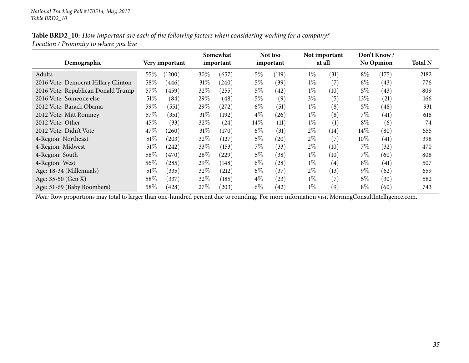#### Table BRD2\_10: How important are each of the following factors when considering working for a company? *Location / Proximity to where you live*

| Demographic                         |        | Very important |        | Somewhat<br>important |        | Not too<br>important |       | Not important<br>at all |        | Don't Know /<br><b>No Opinion</b> | <b>Total N</b> |
|-------------------------------------|--------|----------------|--------|-----------------------|--------|----------------------|-------|-------------------------|--------|-----------------------------------|----------------|
| Adults                              | 55\%   | (1200)         | 30\%   | (657)                 | 5%     | (119)                | $1\%$ | (31)                    | $8\%$  | (175)                             | 2182           |
| 2016 Vote: Democrat Hillary Clinton | 58%    | (446)          | $31\%$ | (240)                 | $5\%$  | (39)                 | $1\%$ | (7)                     | $6\%$  | (43)                              | 776            |
| 2016 Vote: Republican Donald Trump  | 57%    | (459)          | $32\%$ | (255)                 | $5\%$  | (42)                 | $1\%$ | (10)                    | $5\%$  | (43)                              | 809            |
| 2016 Vote: Someone else             | 51\%   | (84)           | $29\%$ | (48)                  | $5\%$  | (9)                  | $3\%$ | (5)                     | $13\%$ | (21)                              | 166            |
| 2012 Vote: Barack Obama             | 59%    | (551)          | $29\%$ | (272)                 | $6\%$  | (51)                 | $1\%$ | (8)                     | $5\%$  | (48)                              | 931            |
| 2012 Vote: Mitt Romney              | 57%    | (351)          | $31\%$ | (192)                 | $4\%$  | (26)                 | $1\%$ | (8)                     | $7\%$  | $\left( 41\right)$                | 618            |
| 2012 Vote: Other                    | 45%    | (33)           | $32\%$ | (24)                  | $14\%$ | (11)                 | $1\%$ | (1)                     | $8\%$  | (6)                               | 74             |
| 2012 Vote: Didn't Vote              | 47\%   | (260)          | $31\%$ | (170)                 | $6\%$  | (31)                 | $2\%$ | (14)                    | $14\%$ | (80)                              | 555            |
| 4-Region: Northeast                 | $51\%$ | (203)          | 32%    | (127)                 | $5\%$  | (20)                 | $2\%$ | (7)                     | $10\%$ | (41)                              | 398            |
| 4-Region: Midwest                   | 51\%   | (242)          | $33\%$ | (153)                 | $7\%$  | (33)                 | $2\%$ | (10)                    | $7\%$  | (32)                              | 470            |
| 4-Region: South                     | 58%    | (470)          | 28\%   | (229)                 | $5\%$  | (38)                 | $1\%$ | (10)                    | $7\%$  | (60)                              | 808            |
| 4-Region: West                      | 56%    | (285)          | 29\%   | (148)                 | $6\%$  | (28)                 | $1\%$ | $\left( 4\right)$       | $8\%$  | (41)                              | 507            |
| Age: 18-34 (Millennials)            | 51\%   | (335)          | $32\%$ | (212)                 | $6\%$  | (37)                 | $2\%$ | (13)                    | $9\%$  | (62)                              | 659            |
| Age: 35-50 (Gen X)                  | 58%    | (337)          | $32\%$ | (185)                 | $4\%$  | (23)                 | $1\%$ | (7)                     | $5\%$  | (30)                              | 582            |
| Age: 51-69 (Baby Boombers)          | $58\%$ | (428)          | 27%    | (203)                 | $6\%$  | (42)                 | $1\%$ | (9)                     | $8\%$  | (60)                              | 743            |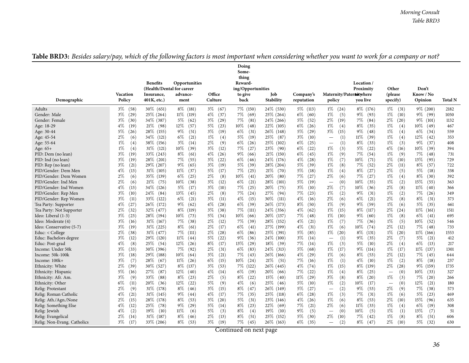<span id="page-35-0"></span>

|                                                                                                                                                                                                                                                                                                                                                                                                                                                                                                                                                                                                                                                         |                                                                                                                                                                                                                                                                                                                                                                                                                                                                                                                | <b>Benefits</b><br>(Health/Dental for career                                                                                                                                                                                                                                                                                                                                                                                                                             | Opportunities                                                                                                                                                                                                                                                                                                                                                                                                                                                                                           |                                                                                                                                                                                                                                                                                                                                                                                                                                                                                                                                  | Doing<br>Some-<br>thing<br>Reward-<br>ing/Opportunities                                                                                                                                                                                                                                                                                                                                                                                                                                                         |                                                                                                                                                                                                                                                                                                                                                                                                                                                                                        |                                                                                                                                                                                                                                                                                                                                                                                                                                                                                                                 |                                                                                                                                                                                                                                                                                                                                                                                                                                                                                                                       | Location/<br>Proximity                                                                                                                                                                                                                                                                                                                                                                                                                                                                                         | Other                                                                                                                                                                                                                                                                                                                                                                                                                                                                                                                                       | Don't                                                                                                                                                                                                                                                                                                                                                                                                                                                                                                         |                                                                                                                                                                                                                              |
|---------------------------------------------------------------------------------------------------------------------------------------------------------------------------------------------------------------------------------------------------------------------------------------------------------------------------------------------------------------------------------------------------------------------------------------------------------------------------------------------------------------------------------------------------------------------------------------------------------------------------------------------------------|----------------------------------------------------------------------------------------------------------------------------------------------------------------------------------------------------------------------------------------------------------------------------------------------------------------------------------------------------------------------------------------------------------------------------------------------------------------------------------------------------------------|--------------------------------------------------------------------------------------------------------------------------------------------------------------------------------------------------------------------------------------------------------------------------------------------------------------------------------------------------------------------------------------------------------------------------------------------------------------------------|---------------------------------------------------------------------------------------------------------------------------------------------------------------------------------------------------------------------------------------------------------------------------------------------------------------------------------------------------------------------------------------------------------------------------------------------------------------------------------------------------------|----------------------------------------------------------------------------------------------------------------------------------------------------------------------------------------------------------------------------------------------------------------------------------------------------------------------------------------------------------------------------------------------------------------------------------------------------------------------------------------------------------------------------------|-----------------------------------------------------------------------------------------------------------------------------------------------------------------------------------------------------------------------------------------------------------------------------------------------------------------------------------------------------------------------------------------------------------------------------------------------------------------------------------------------------------------|----------------------------------------------------------------------------------------------------------------------------------------------------------------------------------------------------------------------------------------------------------------------------------------------------------------------------------------------------------------------------------------------------------------------------------------------------------------------------------------|-----------------------------------------------------------------------------------------------------------------------------------------------------------------------------------------------------------------------------------------------------------------------------------------------------------------------------------------------------------------------------------------------------------------------------------------------------------------------------------------------------------------|-----------------------------------------------------------------------------------------------------------------------------------------------------------------------------------------------------------------------------------------------------------------------------------------------------------------------------------------------------------------------------------------------------------------------------------------------------------------------------------------------------------------------|----------------------------------------------------------------------------------------------------------------------------------------------------------------------------------------------------------------------------------------------------------------------------------------------------------------------------------------------------------------------------------------------------------------------------------------------------------------------------------------------------------------|---------------------------------------------------------------------------------------------------------------------------------------------------------------------------------------------------------------------------------------------------------------------------------------------------------------------------------------------------------------------------------------------------------------------------------------------------------------------------------------------------------------------------------------------|---------------------------------------------------------------------------------------------------------------------------------------------------------------------------------------------------------------------------------------------------------------------------------------------------------------------------------------------------------------------------------------------------------------------------------------------------------------------------------------------------------------|------------------------------------------------------------------------------------------------------------------------------------------------------------------------------------------------------------------------------|
| Demographic                                                                                                                                                                                                                                                                                                                                                                                                                                                                                                                                                                                                                                             | <b>Vacation</b><br>Policy                                                                                                                                                                                                                                                                                                                                                                                                                                                                                      | Insurance,<br>401K, etc.)                                                                                                                                                                                                                                                                                                                                                                                                                                                | advance-<br>ment                                                                                                                                                                                                                                                                                                                                                                                                                                                                                        | Office<br>Culture                                                                                                                                                                                                                                                                                                                                                                                                                                                                                                                | to give<br>back                                                                                                                                                                                                                                                                                                                                                                                                                                                                                                 | Job<br>Stability                                                                                                                                                                                                                                                                                                                                                                                                                                                                       | Company's<br>reputation                                                                                                                                                                                                                                                                                                                                                                                                                                                                                         | Maternity/Paternotwhere<br>policy                                                                                                                                                                                                                                                                                                                                                                                                                                                                                     | vou live                                                                                                                                                                                                                                                                                                                                                                                                                                                                                                       | (please)<br>specify)                                                                                                                                                                                                                                                                                                                                                                                                                                                                                                                        | Know / No<br>Opinion                                                                                                                                                                                                                                                                                                                                                                                                                                                                                          | <b>Total N</b>                                                                                                                                                                                                               |
| Adults<br>Gender: Male<br>Gender: Female<br>Age: 18-29<br>Age: 30-44<br>Age: 45-54<br>Age: 55-64<br>Age: 65+<br>PID: Dem (no lean)<br>PID: Ind (no lean)<br>PID: Rep (no lean)<br>PID/Gender: Dem Men<br>PID/Gender: Dem Women<br>PID/Gender: Ind Men<br>PID/Gender: Ind Women<br>PID/Gender: Rep Men<br>PID/Gender: Rep Women<br>Tea Party: Supporter<br>Tea Party: Not Supporter<br>Ideo: Liberal (1-3)<br>Ideo: Moderate (4)<br>Ideo: Conservative (5-7)<br>Educ: < College<br>Educ: Bachelors degree<br>Educ: Post-grad<br>Income: Under 50k<br>Income: 50k-100k<br>Income: 100k+<br>Ethnicity: White<br>Ethnicity: Hispanic<br>Ethnicity: Afr. Am. | $3\%$<br>(58)<br>$3\%$<br>(29)<br>$3\%$<br>(30)<br>$4\%$<br>(19)<br>5%<br>(26)<br>$2\%$<br>(6)<br>$1\%$<br>(4)<br>$1\%$<br>(4)<br>$3\%$<br>(19)<br>3%<br>(19)<br>3%<br>(21)<br>$4\%$<br>(13)<br>2%<br>(6)<br>$2\%$<br>(6)<br>$4\%$<br>(13)<br>$3\%$<br>(10)<br>$3\%$<br>(11)<br>$4\%$<br>(27)<br>2%<br>(32)<br>$3\%$<br>(23)<br>$3\%$<br>(16)<br>$3\%$<br>(19)<br>$2\%$<br>(38)<br>$3\%$<br>(12)<br>$4\%$<br>(8)<br>$3\%$<br>(33)<br>$3\%$<br>(18)<br>$3\%$<br>(7)<br>2%<br>(39)<br>5%<br>(16)<br>$3\%$<br>(9) | $30\%$ (651)<br>25\% (264)<br>34\% (387)<br>21%<br>(98)<br>28%<br>(155)<br>34%<br>(121)<br>38\% (156)<br>$31\%$<br>(121)<br>33\% (243)<br>$28\%$ (201)<br>29% (207)<br>$31\%$ (105)<br>35\%<br>(139)<br>21%<br>(75)<br>34\% (126)<br>24%<br>(84)<br>33\% (122)<br>26\% (172)<br>32\% (477)<br>28\% (194)<br>31% (167)<br>31% (225)<br>31\% (477)<br>29\% (120)<br>25\%<br>(54)<br>$30\%$ (396)<br>29% (188)<br>28\%<br>(67)<br>30\% (527)<br>27\%<br>(87)<br>33%<br>(88) | $8\%$ (181)<br>$11\%$<br>(119)<br>$5\%$<br>(62)<br>12%<br>(57)<br>9%<br>(51)<br>6%<br>(21)<br>$3\%$<br>(14)<br>10%<br>(39)<br>$8\%$<br>(61)<br>$7\%$<br>(55)<br>9%<br>(65)<br>11%<br>(37)<br>6%<br>(25)<br>$10\%$<br>(38)<br>$5\%$<br>(17)<br>13\%<br>(45)<br>$6\%$<br>(21)<br>9%<br>(62)<br>$8\%$<br>(119)<br>$10\%$<br>(73)<br>7%<br>(38)<br>$8\%$<br>(61)<br>7%<br>(111)<br>$11\%$<br>(44)<br>12%<br>(26)<br>7%<br>(92)<br>10%<br>(64)<br>11%<br>(26)<br>$8\%$<br>(137)<br>12%<br>(40)<br>8%<br>(23) | $3\%$<br>(67)<br>$4\%$<br>(37)<br>$3\%$<br>(29)<br>5%<br>(23)<br>$3\%$<br>(19)<br>$1\%$<br>(4)<br>$2\%$<br>(9)<br>$3\%$<br>(12)<br>$4\%$<br>(26)<br>$3\%$<br>(22)<br>$3\%$<br>(19)<br>5%<br>(17)<br>$2\%$<br>(8)<br>$3\%$<br>(12)<br>$3\%$<br>(10)<br>$2\%$<br>(8)<br>$3\%$<br>(11)<br>(28)<br>$4\%$<br>$3\%$<br>(38)<br>$5\%$<br>(34)<br>$2\%$<br>(12)<br>$2\%$<br>(17)<br>$2\%$<br>(28)<br>(22)<br>$5\%$<br>$8\%$<br>(17)<br>$2\%$<br>(31)<br>$3\%$<br>(21)<br>$6\%$<br>(15)<br>$3\%$<br>(53)<br>$4\%$<br>(14)<br>$2\%$<br>(5) | 7% (150)<br>7%<br>(69)<br>7%<br>(81)<br>$10\%$<br>(48)<br>$6\%$<br>(31)<br>$5\%$<br>(19)<br>$6\%$<br>(26)<br>$7\%$<br>(27)<br>9%<br>(66)<br>$6\%$<br>(46)<br>$5\%$<br>(39)<br>7%<br>(25)<br>$10\%$<br>(41)<br>$6\%$<br>(21)<br>$7\%$<br>(25)<br>7%<br>(24)<br>$4\%$<br>(15)<br>$6\%$<br>(39)<br>7%<br>(111)<br>$10\%$<br>(66)<br>7%<br>(39)<br>$6\%$<br>(41)<br>$6\%$<br>(86)<br>$9\%$<br>(36)<br>13%<br>(29)<br>$6\%$<br>(83)<br>7%<br>(43)<br>$10\%$<br>(24)<br>7%<br>(122)<br>$6\%$<br>(19)<br>$8\%$<br>(22) | 24\% (530)<br>25\% (264)<br>24\% (266)<br>22\% (105)<br>26\% (148)<br>25%<br>(87)<br>25\% (102)<br>23%<br>(90)<br>21%<br>(150)<br>24%<br>(176)<br>28\% (204)<br>21\%<br>(70)<br>$20\%$<br>(80)<br>$28\%$<br>(101)<br>$20\%$<br>(75)<br>27%<br>(94)<br>30%<br>(111)<br>26\%<br>(173)<br>24\% (356)<br>20\% (137)<br>28\% (152)<br>27% (199)<br>$25\%$<br>(391)<br>24\% (100)<br>18%<br>(39)<br>24%<br>(313)<br>26\% (166)<br>21%<br>(51)<br>26\% (445)<br>$20\%$<br>(66)<br>15%<br>(40) | $5\%$ (113)<br>$6\%$<br>(60)<br>$5\%$<br>(52)<br>$6\%$<br>(26)<br>$5\%$<br>(29)<br>$3\%$<br>(10)<br>$6\%$<br>(25)<br>$6\%$<br>(22)<br>6%<br>(45)<br>$4\%$<br>(28)<br>$5\%$<br>(39)<br>5%<br>(18)<br>$7\%$<br>(27)<br>$5\%$<br>(19)<br>$3\%$<br>(10)<br>$7\%$<br>(23)<br>$4\%$<br>(16)<br>8%<br>(50)<br>$4\%$<br>(62)<br>7%<br>(48)<br>$4\%$<br>(21)<br>$4\%$<br>(31)<br>5%<br>(85)<br>$3\%$<br>(14)<br>7%<br>(14)<br>5%<br>(68)<br>$4\%$<br>(29)<br>7%<br>(16)<br>$4\%$<br>(74)<br>7%<br>(22)<br>$11\%$<br>(29) | $1\%$ (24)<br>$1\%$<br>(5)<br>$2\%$<br>(19)<br>$1\%$<br>(4)<br>$3\%$<br>(15)<br>(1)<br>(1)<br>$\overline{\phantom{0}}$<br>$1\%$<br>(3)<br>$1\%$<br>(9)<br>$1\%$<br>(7)<br>$1\%$<br>(8)<br>$1\%$<br>(4)<br>$2\%$<br>(6)<br>(0)<br>$\equiv$<br>$2\%$<br>(7)<br>$1\%$<br>(2)<br>$2\%$<br>(6)<br>$1\%$<br>(9)<br>$1\%$<br>(15)<br>$1\%$<br>(10)<br>$1\%$<br>(7)<br>$1\%$<br>(6)<br>$1\%$<br>(20)<br>(1)<br>$1\%$<br>(3)<br>$1\%$<br>(17)<br>$1\%$<br>(6)<br>$1\%$<br>(1)<br>$1\%$<br>(15)<br>$1\%$<br>(4)<br>$3\%$<br>(8) | $8\%$ (176)<br>$9\%$<br>(93)<br>7%<br>(84)<br>$8\%$<br>(35)<br>$9\%$<br>(48)<br>$11\%$<br>(39)<br>$8\%$<br>(33)<br>5%<br>(22)<br>7%<br>(54)<br>$10\%$<br>(71)<br>$7\%$<br>(52)<br>8%<br>(27)<br>7%<br>(27)<br>$10\%$<br>(35)<br>$10\%$<br>(36)<br>9%<br>(31)<br>$6\%$<br>(21)<br>$9\%$<br>(59)<br>$8\%$<br>(117)<br>9%<br>(60)<br>7%<br>(36)<br>10%<br>(74)<br>$8\%$<br>(131)<br>9%<br>(35)<br>5%<br>(10)<br>$9\%$<br>(114)<br>8%<br>(53)<br>$4\%$<br>(10)<br>$8\%$<br>(139)<br>$8\%$<br>(25)<br>$8\%$<br>(20) | $1\%$<br>(31)<br>$1\%$<br>(10)<br>$2\%$<br>(20)<br>$1\%$<br>(4)<br>$1\%$<br>(4)<br>$1\%$<br>(4)<br>$1\%$<br>(3)<br>$4\%$<br>(16)<br>$1\%$<br>(9)<br>$1\%$<br>(10)<br>$2\%$<br>(11)<br>$2\%$<br>(5)<br>$1\%$<br>(4)<br>$1\%$<br>(2)<br>$2\%$<br>(8)<br>$1\%$<br>(2)<br>$2\%$<br>(8)<br>$1\%$<br>(6)<br>$2\%$<br>(24)<br>$1\%$<br>(8)<br>$1\%$<br>(5)<br>$2\%$<br>(12)<br>$1\%$<br>(20)<br>$2\%$<br>(7)<br>$2\%$<br>(4)<br>$1\%$<br>(17)<br>$2\%$<br>(12)<br>$1\%$<br>(2)<br>$2\%$<br>(28)<br>(0)<br>$\overline{\phantom{0}}$<br>$1\%$<br>(3) | $9\%$ (200)<br>$9\%$ (99)<br>$9\%$<br>(101)<br>$10\%$<br>(49)<br>$6\%$<br>(34)<br>$12\%$<br>(42)<br>$9\%$<br>(37)<br>$10\%$<br>(39)<br>7%<br>(48)<br>13\%<br>(95)<br>$8\%$<br>(57)<br>5%<br>(18)<br>8%<br>(30)<br>15%<br>(55)<br>$11\%$<br>(40)<br>7%<br>(26)<br>$8\%$<br>(31)<br>$5\%$<br>(35)<br>$11\%$<br>(161)<br>6%<br>(41)<br>10%<br>(52)<br>7%<br>(48)<br>11%<br>(166)<br>5%<br>(21)<br>$6\%$<br>(13)<br>$11\%$<br>(137)<br>7%<br>(45)<br>$8\%$<br>(18)<br>9%<br>(159)<br>$10\%$<br>(33)<br>7%<br>(20) | 2182<br>1050<br>1132<br>467<br>559<br>353<br>408<br>394<br>731<br>729<br>722<br>338<br>392<br>363<br>366<br>349<br>373<br>661<br>1511<br>695<br>546<br>733<br>1553<br>412<br>217<br>1301<br>644<br>237<br>1735<br>327<br>266 |
| Ethnicity: Other<br>Relig: Protestant<br>Relig: Roman Catholic<br>Relig: Ath./Agn./None<br>Relig: Something Else<br>Relig: Jewish<br>Relig: Evangelical<br>Relig: Non-Evang. Catholics                                                                                                                                                                                                                                                                                                                                                                                                                                                                  | $6\%$<br>(11)<br>2%<br>(9)<br>$4\%$<br>(21)<br>2%<br>(15)<br>$4\%$<br>(12)<br>$4\%$<br>(2)<br>$2\%$<br>(14)<br>$3\%$<br>(17)                                                                                                                                                                                                                                                                                                                                                                                   | 20%<br>(36)<br>31%<br>(178)<br>31\%<br>(145)<br>28\% (178)<br>25%<br>(78)<br>19%<br>(10)<br>31\% (187)<br>33\% (206)                                                                                                                                                                                                                                                                                                                                                     | 12%<br>(22)<br>$8\%$<br>(46)<br>9%<br>(44)<br>$8\%$<br>(53)<br>$9\%$<br>(29)<br>$11\%$<br>(6)<br>$8\%$<br>(46)<br>$8\%$<br>(53)                                                                                                                                                                                                                                                                                                                                                                         | 5%<br>(9)<br>$3\%$<br>(15)<br>$4\%$<br>(17)<br>$3\%$<br>(20)<br>5%<br>(14)<br>5%<br>(3)<br>$2\%$<br>(13)<br>3%<br>(19)                                                                                                                                                                                                                                                                                                                                                                                                           | $4\%$<br>(6)<br>$8\%$<br>(47)<br>7%<br>(35)<br>$5\%$<br>(31)<br>$8\%$<br>(23)<br>$8\%$<br>(4)<br>$8\%$<br>(51)<br>7%<br>(45)                                                                                                                                                                                                                                                                                                                                                                                    | 25%<br>(46)<br>$26\%$<br>(149)<br>25\%<br>(118)<br>23\% (146)<br>22%<br>(69)<br>$19\%$<br>(10)<br>25%<br>(152)<br>26\% (163)                                                                                                                                                                                                                                                                                                                                                           | $5\%$<br>(10)<br>$5\%$<br>(27)<br>$6\%$<br>(28)<br>$4\%$<br>(26)<br>$7\%$<br>(21)<br>$9\%$<br>(5)<br>$5\%$<br>(30)<br>$6\%$<br>(35)                                                                                                                                                                                                                                                                                                                                                                             | (2)<br>$1\%$<br>(2)<br>$\overline{\phantom{0}}$<br>$1\%$<br>(3)<br>$1\%$<br>(6)<br>$2\%$<br>(6)<br>(0)<br>$2\%$<br>(10)<br>(2)<br>$\overline{\phantom{0}}$                                                                                                                                                                                                                                                                                                                                                            | $10\%$<br>(17)<br>$9\%$<br>(53)<br>7%<br>(31)<br>$8\%$<br>(53)<br>$11\%$<br>(33)<br>$10\%$<br>(5)<br>7%<br>(42)<br>$8\%$<br>(47)                                                                                                                                                                                                                                                                                                                                                                               | (0)<br>$\overline{\phantom{0}}$<br>$2\%$<br>(9)<br>$1\%$<br>(6)<br>$2\%$<br>(10)<br>$1\%$<br>(4)<br>$1\%$<br>(1)<br>$1\%$<br>(8)<br>$2\%$<br>(10)                                                                                                                                                                                                                                                                                                                                                                                           | 12%<br>(21)<br>7%<br>(38)<br>$5\%$<br>(23)<br>$15\%$<br>(96)<br>$6\%$<br>(19)<br>13\%<br>(7)<br>$8\%$<br>(51)<br>$5\%$<br>(32)                                                                                                                                                                                                                                                                                                                                                                                | 180<br>573<br>469<br>635<br>308<br>51<br>606<br>630                                                                                                                                                                          |

#### Table BRD3: Besides salary/pay, which of the following factors is most important when considering whether you want to work for a company or not?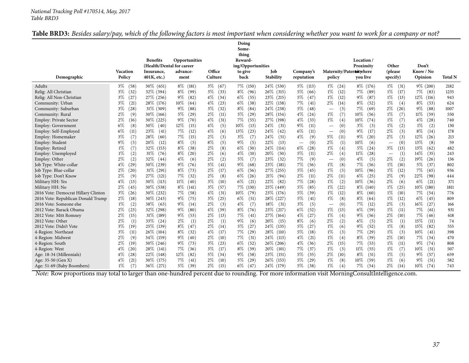| <b>Table</b><br><b>BRD3:</b> Besides salary/pay, | $\mathcal{O}$ and $\mathcal{O}$ and $\mathcal{O}$ and $\mathcal{O}$ and $\mathcal{O}$ and $\mathcal{O}$ and $\mathcal{O}$ and $\mathcal{O}$ and $\mathcal{O}$ and $\mathcal{O}$ and $\mathcal{O}$ and $\mathcal{O}$ and $\mathcal{O}$ and $\mathcal{O}$ and $\mathcal{O}$ and $\mathcal{O}$ and $\mathcal{O}$ and | $\mu$ , which of the following factors is most important when considering whether you want to work for a company or not? |
|--------------------------------------------------|-------------------------------------------------------------------------------------------------------------------------------------------------------------------------------------------------------------------------------------------------------------------------------------------------------------------|--------------------------------------------------------------------------------------------------------------------------|
|                                                  |                                                                                                                                                                                                                                                                                                                   |                                                                                                                          |

| Demographic                         | <b>Vacation</b><br>Policy | <b>Benefits</b><br>(Health/Dental for career<br>Insurance,<br>$401K$ , etc.) | Opportunities<br>advance-<br>ment | Office<br>Culture | Doing<br>Some-<br>thing<br>Reward-<br>ing/Opportunities<br>to give<br>back | <b>Job</b><br>Stability | Company's<br>reputation         | Maternity/Paternotwhere<br>policy     | Location /<br>Proximity<br>vou live | Other<br>(please<br>specify)    | Don't<br>Know / No<br>Opinion | <b>Total N</b> |
|-------------------------------------|---------------------------|------------------------------------------------------------------------------|-----------------------------------|-------------------|----------------------------------------------------------------------------|-------------------------|---------------------------------|---------------------------------------|-------------------------------------|---------------------------------|-------------------------------|----------------|
| Adults                              | $3\%$<br>(58)             | $30\%$ (651)                                                                 | $8\%$<br>(181)                    | $3\%$<br>(67)     | 7\% (150)                                                                  | 24\% (530)              | $5\%$<br>(113)                  | $1\%$<br>(24)                         | $8\%$ (176)                         | $1\%$<br>(31)                   | $9\%$ (200)                   | 2182           |
| Relig: All Christian                | $3\%$<br>(32)             | $32\%$ (394)                                                                 | 8%<br>(99)                        | $3\%$<br>(33)     | $8\%$<br>(96)                                                              | $26\%$ (315)            | $5\%$<br>(66)                   | $1\%$<br>(12)                         | 7%<br>(89)                          | $1\%$<br>(17)                   | 7%<br>(83)                    | 1235           |
| Relig: All Non-Christian            | $3\%$<br>(27)             | 27% (256)                                                                    | $9\%$<br>(82)                     | $4\%$<br>(34)     | $6\%$<br>(55)                                                              | $23\%$ (215)            | $5\%$<br>(47)                   | $1\%$<br>(12)                         | $9\%$<br>(87)                       | $1\%$<br>(13)                   | 12\%<br>(116)                 | 943            |
| Community: Urban                    | $3\%$<br>(21)             | 28\% (176)                                                                   | 10%<br>(64)                       | $4\%$<br>(23)     | $6\%$<br>(38)                                                              | 22\%<br>(138)           | 7%<br>(41)                      | $2\%$<br>(14)                         | $8\%$<br>(52)                       | $1\%$<br>(4)                    | 8%<br>(53)                    | 624            |
| Community: Suburban                 | $3\%$<br>(28)             | $31\%$ (309)                                                                 | 9%<br>(88)                        | $3\%$<br>(32)     | $8\%$<br>(84)                                                              | 24%<br>(238)            | 5%<br>(48)                      | (3)                                   | 7%<br>(69)                          | $2\%$<br>(20)                   | 9%<br>(88)                    | 1007           |
| Community: Rural                    | 2%<br>(9)                 | 30% (166)                                                                    | 5%<br>(29)                        | $2\%$<br>(11)     | $5\%$<br>(29)                                                              | 28\%<br>(154)           | $4\%$<br>(24)                   | $1\%$<br>(7)                          | $10\%$<br>(56)                      | $1\%$<br>(7)                    | 11%<br>(59)                   | 550            |
| Employ: Private Sector              | 2%<br>(16)                | $30\%$ (225)                                                                 | 9%<br>(70)                        | $4\%$<br>(31)     | 7%<br>(55)                                                                 | 27\%<br>(198)           | $4\%$<br>(33)                   | $1\%$<br>(4)                          | $10\%$<br>(74)                      | $1\%$<br>(7)                    | 4%<br>(28)                    | 740            |
| Employ: Government                  | $6\%$<br>(8)              | 30\%<br>(40)                                                                 | 12%<br>(15)                       | $4\%$<br>(5)      | 10%<br>(13)                                                                | 24\%<br>(31)            | $9\%$<br>(11)                   | (0)<br>$\overbrace{\phantom{123221}}$ | $3\%$<br>(3)                        | $1\%$<br>(2)                    | $1\%$<br>(2)                  | 130            |
| Employ: Self-Employed               | $6\%$<br>(11)             | 23%<br>(41)                                                                  | 7%<br>(12)                        | $4\%$<br>(6)      | 13\%<br>(23)                                                               | 24\%<br>(42)            | 6%<br>(11)                      | (0)<br>$\overline{\phantom{m}}$       | $9\%$<br>(17)                       | 2%<br>(3)                       | 8%<br>(14)                    | 178            |
| Employ: Homemaker                   | $3\%$<br>(7)              | 28%<br>(60)                                                                  | 7%<br>(15)                        | $2\%$<br>(3)      | $3\%$<br>(7)                                                               | 24\%<br>(51)            | $4\%$<br>(9)                    | $5\%$<br>(11)                         | $9\%$<br>(20)                       | 2%<br>(3)                       | 12%<br>(26)                   | 213            |
| Employ: Student                     | 9%<br>(5)                 | 20%<br>(12)                                                                  | 8%<br>(5)                         | $8\%$<br>(5)      | $9\%$<br>(5)                                                               | 22%<br>(13)             | (0)<br>$\overline{\phantom{m}}$ | $2\%$<br>(1)                          | $10\%$<br>(6)                       | (0)                             | 13%<br>(8)                    | 59             |
| Employ: Retired                     | $1\%$<br>(7)              | 32%<br>(153)                                                                 | $8\%$<br>(38)                     | 2%<br>(8)         | $6\%$<br>(30)                                                              | 24%<br>(114)            | $6\%$<br>(28)                   | $1\%$<br>(4)                          | $5\%$<br>(24)                       | $3\%$<br>(13)                   | 13%<br>(62)                   | 482            |
| Employ: Unemployed                  | $1\%$<br>(2)              | 31\%<br>(76)                                                                 | $8\%$<br>(20)                     | $2\%$<br>(6)      | $4\%$<br>(10)                                                              | 20%<br>(50)             | $5\%$<br>(11)                   | 2%<br>(4)                             | (28)<br>$11\%$                      | (1)<br>$\overline{\phantom{m}}$ | 14\%<br>(35)                  | 243            |
| Employ: Other                       | 2%<br>(2)                 | 32%<br>(44)                                                                  | 4%<br>(6)                         | 2%<br>(2)         | $5\%$<br>(7)                                                               | 23\%<br>(32)            | 7%<br>(9)                       | (0)                                   | $4\%$<br>(5)                        | $2\%$<br>(2)                    | 19%<br>(26)                   | 136            |
| Job Type: White-collar              | $4\%$<br>(29)             | 30% (239)                                                                    | 9%<br>(76)                        | $5\%$<br>(41)     | $9\%$<br>(68)                                                              | 23\%<br>(181)           | 7%<br>(56)                      | $1\%$<br>(8)                          | 7%<br>(56)                          | $1\%$<br>(10)                   | 5%<br>(37)                    | 802            |
| Job Type: Blue-collar               | $2\%$<br>(20)             | 31%<br>(291)                                                                 | 8%<br>(73)                        | $2\%$<br>(17)     | $6\%$<br>(56)                                                              | 27\%<br>(255)           | $5\%$<br>(45)                   | $1\%$<br>(5)                          | $10\%$<br>(96)                      | $1\%$<br>(12)                   | 7%<br>(65)                    | 936            |
| Job Type: Don't Know                | 2%<br>(9)                 | 27\%<br>(121)                                                                | 7%<br>(32)                        | $2\%$<br>(8)      | $6\%$<br>(26)                                                              | 21%<br>(94)             | $2\%$<br>(11)                   | $2\%$<br>(11)                         | $6\%$<br>(25)                       | 2%<br>(9)                       | 22%<br>(98)                   | 444            |
| Military HH: Yes                    | $4\%$<br>(13)             | 30\%<br>(113)                                                                | 11%<br>(40)                       | $3\%$<br>(10)     | $6\%$<br>(21)                                                              | 22%<br>(82)             | 7%<br>(28)                      | $1\%$<br>(2)                          | $10\%$<br>(36)                      | 2%<br>(6)                       | 6%<br>(21)                    | 371            |
| Military HH: No                     | $2\%$<br>(45)             | 30\% (538)                                                                   | $8\%$<br>(141)                    | $3\%$<br>(57)     | 7% (130)                                                                   | 25% (449)               | 5%<br>(85)                      | $1\%$<br>(22)                         | $8\%$ (140)                         | $1\%$<br>(25)                   | 10%<br>(180)                  | 1811           |
| 2016 Vote: Democrat Hillary Clinton | $3\%$<br>(26)             | 30\% (232)                                                                   | 7%<br>(58)                        | $4\%$<br>(31)     | $10\%$<br>(79)                                                             | 23\% (176)              | $5\%$<br>(39)                   | $1\%$<br>(12)                         | $8\%$<br>(60)                       | $1\%$<br>(10)                   | 7%<br>(54)                    | 776            |
| 2016 Vote: Republican Donald Trump  | $2\%$<br>(18)             | $30\%$ (243)                                                                 | $9\%$<br>(75)                     | $3\%$<br>(25)     | $6\%$<br>(51)                                                              | 28\%<br>(227)           | $5\%$<br>(41)                   | $1\%$<br>(8)                          | $8\%$<br>(64)                       | $1\%$<br>(12)                   | $6\%$<br>(45)                 | 809            |
| 2016 Vote: Someone else             | $1\%$<br>(2)              | 38\%<br>(63)                                                                 | 9%<br>(14)                        | $2\%$<br>(3)      | $4\%$<br>(7)                                                               | $18\%$<br>(31)          | $3\%$<br>(5)                    | (0)<br>$\overbrace{\phantom{123221}}$ | $7\%$<br>(12)                       | $2\%$<br>(3)                    | 16%<br>(27)                   | 166            |
| 2012 Vote: Barack Obama             | $2\%$<br>(23)             | 32\% (298)                                                                   | 9%<br>(80)                        | $4\%$<br>(39)     | 8%<br>(76)                                                                 | 23\%<br>(217)           | 6%<br>(52)                      | $1\%$<br>(13)                         | $6\%$<br>(59)                       | $1\%$<br>(11)                   | 7%<br>(61)                    | 931            |
| 2012 Vote: Mitt Romney              | 2%<br>(15)                | 31\% (189)                                                                   | 9%<br>(53)                        | $2\%$<br>(13)     | 7%<br>(41)                                                                 | 27\%<br>(164)           | $4\%$<br>(27)                   | $1\%$<br>(4)                          | (56)<br>9%                          | 2%<br>(10)                      | 7%<br>(46)                    | 618            |
| 2012 Vote: Other                    | $2\%$<br>(1)              | 33\%<br>(24)                                                                 | 2%<br>(1)                         | $2\%$<br>(1)      | $9\%$<br>(6)                                                               | 20%<br>(15)             | 8%<br>(6)                       | $2\%$<br>(2)                          | $6\%$<br>(5)                        | 2%<br>(1)                       | 15%<br>(11)                   | 74             |
| 2012 Vote: Didn't Vote              | $3\%$<br>(19)             | 25\% (139)                                                                   | $8\%$<br>(47)                     | $2\%$<br>(14)     | 5%<br>(27)                                                                 | 24%<br>(135)            | 5%<br>(27)                      | $1\%$<br>(6)                          | $9\%$<br>(52)                       | $1\%$<br>(8)                    | 15%<br>(82)                   | 555            |
| 4-Region: Northeast                 | $3\%$<br>(11)             | 26\% (104)                                                                   | $8\%$<br>(32)                     | $4\%$<br>(17)     | $7\%$<br>(29)                                                              | 28%<br>(110)            | $5\%$<br>(18)                   | $1\%$<br>(3)                          | 7%<br>(29)                          | $1\%$<br>(3)                    | 10%<br>(41)                   | 398            |
| 4-Region: Midwest                   | 2%<br>(9)                 | 34\% (159)                                                                   | $9\%$<br>(40)                     | $2\%$<br>(10)     | 7%<br>(31)                                                                 | 24\%<br>(113)           | $4\%$<br>(21)                   | $1\%$<br>(4)                          | $8\%$<br>(39)                       | $2\%$<br>(10)                   | 7%<br>(34)                    | 470            |
| 4-Region: South                     | 2%<br>(19)                | $30\% (246)$                                                                 | 9%<br>(73)                        | $3\%$<br>(23)     | $6\%$<br>(52)                                                              | $26\%$<br>(206)         | $4\%$<br>(36)                   | 2%<br>(15)                            | 7%<br>(53)                          | $1\%$<br>(11)                   | 9%<br>(74)                    | 808            |
| 4-Region: West                      | $4\%$<br>(20)             | $28\%$ (141)                                                                 | $7\%$<br>(36)                     | $3\%$<br>(17)     | 8%<br>(39)                                                                 | 20%<br>(101)            | 7%<br>(37)                      | $1\%$<br>(3)                          | $11\%$<br>(55)                      | $1\%$<br>(7)                    | 10%<br>(51)                   | 507            |
| Age: 18-34 (Millennials)            | $4\%$<br>(28)             | 22\% (148)                                                                   | 12%<br>(82)                       | $5\%$<br>(34)     | $9\%$<br>(58)                                                              | 23\%<br>(151)           | $5\%$<br>(35)                   | $2\%$<br>(10)                         | $8\%$<br>(51)                       | $1\%$<br>(5)                    | 9%<br>(57)                    | 659            |
| Age: 35-50 (Gen X)                  | $4\%$<br>(21)             | $30\%$ (175)                                                                 | 7%<br>(41)                        | $2\%$<br>(10)     | $5\%$<br>(29)                                                              | $26\%$<br>(153)         | $5\%$<br>(29)                   | $1\%$<br>(8)                          | $10\%$<br>(59)                      | $1\%$<br>(6)                    | (51)<br>$9\%$                 | 582            |
| Age: 51-69 (Baby Boombers)          | $1\%$<br>(7)              | 36\% (271)                                                                   | $5\%$<br>(39)                     | $2\%$<br>(15)     | $6\%$<br>(47)                                                              | 24\% (179)              | $5\%$ (38)                      | $1\%$<br>(4)                          | 7%<br>(54)                          | $2\%$<br>(14)                   | 10%<br>(74)                   | 743            |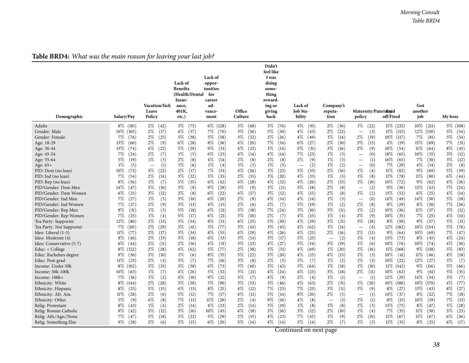## **Table BRD4:** *What was the main reason for leaving your last job?*

<span id="page-37-0"></span>

| Demographic                                  | Salary/Pay                   | <b>Vacation/Sick</b><br>Leave<br>Policy | Lack of<br><b>Benefits</b><br>(Health/Dental<br>Insur-<br>ance,<br>401K,<br>etc.) | Lack of<br>oppor-<br>tunities<br>for<br>career<br>ad-<br>vance-<br>ment | Office<br>Culture             | Didn't<br>feel like<br>I was<br>doing<br>some-<br>thing<br>reward-<br>ing or<br>giving<br>back | Lack of<br><b>Job Sta-</b><br>bility | Company's<br>reputa-<br>tion    | Maternity/Paternitaid<br>policy                  | off/Fired                       | Got<br>another<br>job          | My boss                        |
|----------------------------------------------|------------------------------|-----------------------------------------|-----------------------------------------------------------------------------------|-------------------------------------------------------------------------|-------------------------------|------------------------------------------------------------------------------------------------|--------------------------------------|---------------------------------|--------------------------------------------------|---------------------------------|--------------------------------|--------------------------------|
| Adults<br>Gender: Male                       | $8\%$ (181)<br>$10\%$ (105)  | $2\%$ (42)<br>$2\%$<br>(17)             | $3\%$ (75)<br>(37)<br>$4\%$                                                       | $6\%$ (128)<br>$7\%$ (70)                                               | $3\%$ (68)<br>$3\%$<br>(36)   | $3\%$ (76)<br>$5\%$ (50)                                                                       | $4\%$ (91)<br>$4\%$<br>(43)          | $2\%$ (36)<br>$2\%$<br>(22)     | $1\%$ (22)<br>(3)<br>$\overline{\phantom{m}}$    | $11\%$ (232)<br>$11\%$ (115)    | $10\%$ (211)<br>$12\%$ (130)   | 5% (108)<br>$5\%$<br>(54)      |
| Gender: Female                               | $7\%$<br>(76)                | $2\%$ (25)                              | $3\%$<br>(38)                                                                     | $5\%$<br>(58)                                                           | $3\%$<br>(32)                 | $2\%$ (26)                                                                                     | $4\%$ (49)                           | $1\%$<br>(14)                   | $2\%$<br>(19)                                    | $10\%$ (117)                    | 7%<br>(81)                     | $5\%$<br>(54)                  |
| Age: 18-29                                   | 13%<br>(60)                  | $2\%$<br>(9)                            | $6\%$<br>(28)                                                                     | 8%<br>(36)                                                              | $4\%$<br>(20)                 | $7\%$ (34)                                                                                     | $6\%$<br>(27)                        | $2\%$<br>(10)                   | $3\%$<br>(13)                                    | $4\%$<br>(19)                   | 15%<br>(69)                    | 7%<br>(31)                     |
| Age: 30-44                                   | (74)                         | $4\%$                                   | $5\%$                                                                             | $9\%$                                                                   | $4\%$                         | $3\%$                                                                                          | $5\%$                                | $3\%$                           | $2\%$                                            | $10\%$                          | $11\%$                         | $8\%$                          |
|                                              | 13%                          | (22)                                    | (29)                                                                              | (51)                                                                    | (23)                          | (14)                                                                                           | (31)                                 | (16)                            | (9)                                              | (54)                            | (64)                           | (45)                           |
| Age: 45-54                                   | 7%                           | $2\%$                                   | $1\%$                                                                             | 6\%                                                                     | $4\%$                         | $4\%$                                                                                          | $7\%$                                | $1\%$                           | (0)                                              | 18%                             | 10%                            | $3\%$                          |
|                                              | (24)                         | (7)                                     | (5)                                                                               | (23)                                                                    | (14)                          | (14)                                                                                           | (23)                                 | (3)                             | $\overline{\phantom{m}}$                         | (65)                            | (35)                           | (12)                           |
| Age: 55-64                                   | $5\%$                        | $1\%$                                   | $2\%$                                                                             | $4\%$                                                                   | $2\%$                         | (8)                                                                                            | $2\%$                                | $1\%$                           | (1)                                              | (65)                            | 7%                             | $3\%$                          |
|                                              | (19)                         | (3)                                     | (8)                                                                               | (14)                                                                    | (8)                           | $2\%$                                                                                          | (9)                                  | (5)                             | $\qquad \qquad -$                                | $16\%$                          | (30)                           | (12)                           |
| Age: 65+                                     | $1\%$                        | (1)                                     | $1\%$                                                                             | $1\%$                                                                   | $1\%$                         | $1\%$                                                                                          | (2)                                  | $1\%$                           | (0)                                              | 7%                              | $4\%$                          | $2\%$                          |
|                                              | (5)                          | $\overline{\phantom{m}}$                | (6)                                                                               | (4)                                                                     | (3)                           | (5)                                                                                            | $\overline{\phantom{m}}$             | (2)                             | $\overline{\phantom{m}}$                         | (29)                            | (14)                           | (8)                            |
| PID: Dem (no lean)                           | $10\%$                       | $3\%$                                   | $2\%$                                                                             | 7%                                                                      | $4\%$                         | $3\%$                                                                                          | 5%                                   | $2\%$                           | 1%                                               | $11\%$                          | $9\%$                          | $5\%$                          |
|                                              | (72)                         | (22)                                    | (17)                                                                              | (51)                                                                    | (26)                          | (23)                                                                                           | (33)                                 | (16)                            | (4)                                              | (82)                            | (69)                           | (39)                           |
| PID: Ind (no lean)                           | 7%<br>(54)                   | $2\%$<br>(14)                           | $3\%$<br>(22)                                                                     | 5%<br>(35)                                                              | $2\%$<br>(15)                 | $3\%$ (20)                                                                                     | $4\%$<br>(33)                        | $1\%$<br>(5)                    | $1\%$<br>(8)                                     | $11\%$<br>(78)                  | $11\%$<br>(80)                 | $6\%$<br>(44)                  |
| PID: Rep (no lean)                           | $8\%$<br>(56)<br>$14\%$      | $1\%$<br>(7)<br>$3\%$                   | $5\%$<br>(35)<br>$3\%$                                                            | 6%<br>(42)<br>$9\%$                                                     | $4\%$<br>(28)<br>$3\%$        | $4\%$<br>(32)<br>$3\%$<br>(11)                                                                 | $4\%$<br>(26)<br>$5\%$<br>(18)       | $2\%$<br>(15)<br>$2\%$          | $1\%$<br>(10)                                    | $10\%$<br>(72)<br>$9\%$<br>(30) | $9\%$<br>(62)<br>13%<br>(43)   | $4\%$<br>(26)                  |
| PID/Gender: Dem Men<br>PID/Gender: Dem Women | (47)<br>$6\%$<br>(25)        | (10)<br>$3\%$<br>(12)                   | (9)<br>$2\%$<br>(8)                                                               | (29)<br>$6\%$<br>(22)                                                   | (9)<br>$4\%$<br>(17)          | (12)<br>$3\%$                                                                                  | $4\%$<br>(15)                        | (8)<br>$2\%$<br>(8)             | (2)<br>$\overline{\phantom{m}}$<br>$1\%$<br>(2)  | 13\%<br>(52)                    | $6\%$<br>(25)                  | $7\%$<br>(24)<br>$4\%$<br>(14) |
| PID/Gender: Ind Men                          | 7%                           | $1\%$                                   | $3\%$                                                                             | 6%                                                                      | $2\%$                         | $4\%$                                                                                          | $4\%$                                | $1\%$                           | (0)                                              | 14%                             | 14%                            | $5\%$                          |
|                                              | (27)                         | (5)                                     | (10)                                                                              | (20)                                                                    | (9)                           | (14)                                                                                           | (14)                                 | (3)                             | $\overline{\phantom{m}}$                         | (49)                            | (50)                           | (18)                           |
| PID/Gender: Ind Women                        | 7%                           | $2\%$                                   | $3\%$                                                                             | $4\%$                                                                   | $2\%$                         | $2\%$                                                                                          | 5%                                   | $1\%$                           | $2\%$                                            | $8\%$                           | 8%                             | $7\%$                          |
|                                              | (27)                         | (9)                                     | (13)                                                                              | (15)                                                                    | (6)                           | (7)                                                                                            | (19)                                 | (2)                             | (8)                                              | (29)                            | (30)                           | (26)                           |
| PID/Gender: Rep Men                          | $9\%$<br>(31)                | $1\%$<br>(3)                            | $5\%$<br>(18)                                                                     | 6%<br>(21)                                                              | 5%<br>(18)                    | $7\%$ (24)                                                                                     | $3\%$<br>(10)                        | $3\%$<br>(11)                   | $1\%$<br>(2)                                     | $10\%$<br>(36)                  | $11\%$<br>(37)                 | $3\%$<br>(12)                  |
| PID/Gender: Rep Women                        | $7\%$                        | $1\%$                                   | $5\%$                                                                             | 6%                                                                      | $3\%$                         | $2\%$                                                                                          | $4\%$                                | $1\%$                           | $2\%$                                            | $10\%$                          | 7%                             | $4\%$                          |
|                                              | (25)                         | (4)                                     | (17)                                                                              | (21)                                                                    | (10)                          | (7)                                                                                            | (15)                                 | (4)                             | (9)                                              | (35)                            | (25)                           | (14)                           |
| Tea Party: Supporter                         | 12%                          | $2\%$                                   | $5\%$                                                                             | (51)                                                                    | $4\%$                         | $5\%$                                                                                          | $4\%$                                | $3\%$                           | $3\%$                                            | (50)                            | $9\%$                          | $5\%$                          |
|                                              | (80)                         | (13)                                    | (34)                                                                              | $8\%$                                                                   | (25)                          | (30)                                                                                           | (29)                                 | (21)                            | (18)                                             | $8\%$                           | (57)                           | (31)                           |
| Tea Party: Not Supporter                     | $7\%$ (101)                  | $2\%$<br>(29)                           | $3\%$<br>(41)                                                                     | 5%<br>(77)                                                              | $3\%$<br>(43)                 | (45)<br>$3\%$                                                                                  | $4\%$<br>(62)                        | $1\%$<br>(14)                   | (4)<br>$\overline{\phantom{m}}$                  | $12\%$ (182)                    | $10\%$ (154)                   | $5\%$<br>(76)                  |
| Ideo: Liberal (1-3)                          | $11\%$                       | $2\%$                                   | $5\%$                                                                             | 8%                                                                      | $4\%$                         | $4\%$                                                                                          | $4\%$                                | $2\%$                           | $2\%$                                            | $9\%$                           | $10\%$                         | $7\%$                          |
|                                              | (77)                         | (17)                                    | (34)                                                                              | (55)                                                                    | (29)                          | (26)                                                                                           | (25)                                 | (16)                            | (13)                                             | (64)                            | (69)                           | (47)                           |
| Ideo: Moderate (4)                           | $8\%$<br>(46)                | $2\%$<br>(13)                           | $3\%$<br>(18)                                                                     | 6%<br>(33)                                                              | $3\%$<br>(14)                 | $3\%$<br>(17)                                                                                  | $5\%$<br>(25)                        | (2)<br>$\overline{\phantom{m}}$ | $1\%$<br>(4)                                     | $13\%$ (73)                     | $8\%$<br>(45)                  | $4\%$<br>(24)                  |
| Ideo: Conservative (5-7)                     | $6\%$<br>(44)                | $2\%$<br>(11)                           | $2\%$<br>(16)                                                                     | $4\%$<br>(31)                                                           | $3\%$<br>(23)                 | $4\%$<br>(27)                                                                                  | 5\% (34)                             | $3\%$<br>(19)                   | $1\%$<br>(6)                                     | $10\%$<br>(76)                  | 10%<br>(74)                    | $4\%$<br>(30)                  |
| Educ: $<$ College                            | 8\% (122)                    | $2\%$<br>(28)                           | $4\%$<br>(62)                                                                     | 5%<br>(77)                                                              | $2\%$<br>(38)                 | $3\%$<br>(51)                                                                                  | $4\%$<br>(69)                        | $1\%$<br>(20)                   | $1\%$<br>(16)                                    | $11\%$ (168)                    | 9\% (138)                      | 5%<br>(83)                     |
| Educ: Bachelors degree                       | $9\%$                        | $3\%$                                   | $1\%$                                                                             | 8%                                                                      | 5%                            | $5\%$                                                                                          | $4\%$                                | $4\%$                           | $1\%$                                            | $10\%$                          | $11\%$                         | $4\%$                          |
|                                              | (36)                         | (10)                                    | (6)                                                                               | (35)                                                                    | (22)                          | (20)                                                                                           | (15)                                 | (15)                            | (3)                                              | (41)                            | (46)                           | (18)                           |
| Educ: Post-grad                              | $11\%$                       | $2\%$                                   | $3\%$                                                                             | 7%                                                                      | $3\%$                         | $2\%$                                                                                          | $3\%$                                | $1\%$                           | $1\%$                                            | $10\%$                          | 12%                            | $3\%$                          |
|                                              | (23)                         | (4)                                     | (7)                                                                               | (16)                                                                    | (8)                           | (5)                                                                                            | (7)                                  | (2)                             | (3)                                              | (22)                            | (27)                           | (7)                            |
| Income: Under 50k                            | $8\%$ (102)                  | $3\%$<br>(33)                           | $3\%$<br>(38)                                                                     | $6\%$<br>(73)                                                           | $3\%$<br>(40)                 | $3\%$<br>(43)                                                                                  | $5\%$<br>(64)                        | $1\%$<br>(18)                   | $1\%$<br>(10)                                    | $11\%$ (142)                    | $9\%$ (116)                    | $5\%$<br>(66)                  |
| Income: 50k-100k                             | $10\%$<br>(63)               | $1\%$<br>(7)                            | $4\%$<br>(26)                                                                     | 5%<br>(32)                                                              | $3\%$<br>(21)                 | $4\%$ $(24)$                                                                                   | $4\%$<br>(23)                        | $3\%$<br>(18)                   | $2\%$<br>(11)                                    | $10\%$<br>(62)                  | $9\%$<br>(61)                  | $5\%$<br>(35)                  |
| Income: 100k+<br>Ethnicity: White            | $7\%$<br>(16)<br>$8\%$ (144) | $1\%$<br>(2)<br>$2\%$<br>(28)           | $4\%$<br>(10)<br>$3\%$<br>(50)                                                    | $9\%$<br>(22)<br>$5\%$<br>(90)                                          | $3\%$<br>(7)<br>$3\%$<br>(53) | $4\%$<br>(9)<br>$3\%$ (46)                                                                     | $2\%$<br>(4)<br>$4\%$<br>(63)        | $1\%$<br>(1)<br>$2\%$<br>(31)   | (1)<br>$\overline{\phantom{m}}$<br>$1\%$<br>(20) | $12\%$<br>(29)<br>$10\%$ (180)  | $14\%$<br>(34)<br>$10\%$ (170) | $3\%$<br>(7)<br>$4\%$<br>(77)  |
| Ethnicity: Hispanic                          | $8\%$                        | 5%                                      | $4\%$                                                                             | 8%                                                                      | $4\%$                         | 7%                                                                                             | $7\%$                                | $3\%$                           | $3\%$                                            | $8\%$                           | 13\%                           | $8\%$                          |
|                                              | (25)                         | (15)                                    | (13)                                                                              | (25)                                                                    | (12)                          | (23)                                                                                           | (23)                                 | (11)                            | (9)                                              | (27)                            | (43)                           | (27)                           |
| Ethnicity: Afr. Am.                          | $11\%$                       | $2\%$                                   | $5\%$                                                                             | 7%                                                                      | $4\%$                         | $5\%$                                                                                          | $8\%$                                | $2\%$                           | (1)                                              | $14\%$                          | $8\%$                          | $7\%$                          |
|                                              | (28)                         | (6)                                     | (12)                                                                              | (17)                                                                    | (11)                          | (14)                                                                                           | (20)                                 | (5)                             | $\overline{\phantom{m}}$                         | (37)                            | (22)                           | (18)                           |
| Ethnicity: Other                             | $5\%$                        | $4\%$                                   | $7\%$                                                                             | $11\%$                                                                  | $2\%$                         | $9\%$                                                                                          | $4\%$                                | (1)                             | $1\%$                                            | $8\%$                           | 10%                            | $7\%$                          |
|                                              | (9)                          | (8)                                     | (13)                                                                              | (20)                                                                    | (4)                           | (16)                                                                                           | (8)                                  | $\overline{\phantom{0}}$        | (1)                                              | (15)                            | (19)                           | (13)                           |
| Relig: Protestant                            | $8\%$                        | $1\%$                                   | $2\%$                                                                             | $4\%$                                                                   | $2\%$                         | $3\%$                                                                                          | $1\%$                                | $1\%$                           | $1\%$                                            | 13\%                            | $8\%$                          | $5\%$                          |
|                                              | (43)                         | (4)                                     | (14)                                                                              | (23)                                                                    | (14)                          | (19)                                                                                           | (8)                                  | (8)                             | (3)                                              | (75)                            | (47)                           | (28)                           |
| Relig: Roman Catholic                        | $9\%$                        | $3\%$                                   | $3\%$                                                                             | $10\%$                                                                  | $4\%$                         | $3\%$                                                                                          | $3\%$                                | $2\%$                           | $1\%$                                            | 7%                              | $11\%$                         | $5\%$                          |
|                                              | (42)                         | (12)                                    | (16)                                                                              | (45)                                                                    | (18)                          | (16)                                                                                           | (12)                                 | (10)                            | (4)                                              | (35)                            | (50)                           | (23)                           |
| Relig: Ath./Agn./None                        | 7%                           | $3\%$                                   | $3\%$                                                                             | $5\%$                                                                   | $2\%$                         | (23)                                                                                           | 7%                                   | $1\%$                           | $2\%$                                            | $11\%$                          | $11\%$                         | $6\%$                          |
|                                              | (47)                         | (18)                                    | (22)                                                                              | (29)                                                                    | (15)                          | $4\%$                                                                                          | (45)                                 | (9)                             | (10)                                             | (67)                            | (67)                           | (36)                           |
| Relig: Something Else                        | $9\%$ (28)                   | $2\%$<br>(6)                            | $5\%$<br>(15)                                                                     | $6\%$<br>(20)                                                           | $5\%$<br>(14)                 | $4\%$<br>(14)                                                                                  | $5\%$<br>(14)                        | $2\%$<br>(7)                    | $1\%$<br>(3)                                     | $11\%$<br>(35)                  | $8\%$<br>(25)                  | $6\%$<br>(17)                  |
|                                              |                              |                                         |                                                                                   |                                                                         |                               |                                                                                                |                                      |                                 |                                                  |                                 |                                |                                |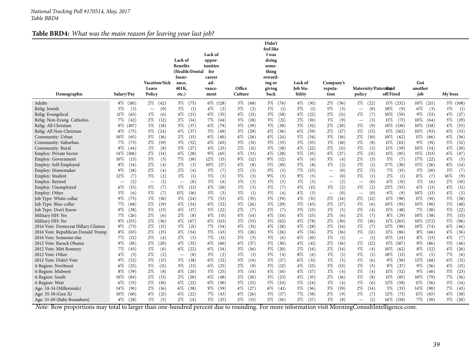#### **Table BRD4:** *What was the main reason for leaving your last job?*

| $3\%$ (68)<br>$11\%$ (232)<br>$10\%$ (211)<br>$5\%$ (108)<br>$8\%$ (181)<br>$2\%$ (42)<br>$3\%$ (75)<br>$6\%$ (128)<br>$3\%$ (76)<br>$4\%$ (91)<br>$2\%$ (36)<br>$1\%$ (22)<br>$5\%$<br>$1\%$<br>$4\%$<br>$3\%$<br>$1\%$<br>$3\%$<br>$5\%$<br>18%<br>$6\%$<br>$1\%$<br>(3)<br>(1)<br>(2)<br>(2)<br>(1)<br>(1)<br>(3)<br>(9)<br>(3)<br>(1)<br>Relig: Jewish<br>(0)<br>(0)<br>$\overline{\phantom{0}}$<br>$\overline{\phantom{m}}$<br>$1\%$<br>$4\%$<br>6%<br>$4\%$<br>$4\%$<br>$2\%$<br>$9\%$<br>$4\%$<br>$11\%$<br>(65)<br>(23)<br>(35)<br>(21)<br>$3\%$<br>(18)<br>(22)<br>(11)<br>$1\%$<br>(7)<br>$10\%$<br>(59)<br>(53)<br>(27)<br>(6)<br>Relig: Evangelical<br>$7\%$<br>$2\%$<br>$2\%$<br>$3\%$<br>$2\%$<br>$1\%$<br>$11\%$<br>10%<br>$5\%$<br>(29)<br>(42)<br>(12)<br>(14)<br>7%<br>(44)<br>(18)<br>$3\%$<br>(21)<br>(10)<br>(71)<br>(9)<br>(3)<br>(64)<br>Relig: Non-Evang. Catholics<br>$\overline{\phantom{0}}$<br>$1\%$<br>$1\%$<br>$10\%$<br>$4\%$<br>(55)<br>9\% (107)<br>$3\%$<br>(37)<br>$6\%$<br>$3\%$<br>$3\%$<br>(38)<br>$3\%$<br>(32)<br>$2\%$<br>$10\%$ (130)<br>(18)<br>(79)<br>(39)<br>(20)<br>(9)<br>(118)<br>Relig: All Christian<br>$8\%$<br>(75)<br>$3\%$<br>$4\%$<br>(37)<br>$5\%$<br>$3\%$<br>(29)<br>$4\%$<br>$6\%$<br>(59)<br>$2\%$<br>$1\%$<br>$10\%$<br>$6\%$<br>(53)<br>(24)<br>(49)<br>(36)<br>(17)<br>(13)<br>$11\%$ (102)<br>(93)<br>Relig: All Non-Christian<br>$3\%$<br>$2\%$<br>$6\%$<br>$10\%$<br>(65)<br>$2\%$<br>$6\%$ (40)<br>$4\%$<br>$4\%$<br>$5\%$ (34)<br>$3\%$<br>$10\%$<br>(62)<br>$11\%$<br>(36)<br>(15)<br>(26)<br>(24)<br>(16)<br>(66)<br>(16)<br>(10)<br>$1\%$<br>5%<br>7%<br>$2\%$<br>$3\%$<br>6%<br>$3\%$<br>$3\%$<br>$3\%$<br>(35)<br>$1\%$<br>$11\%$<br>$9\%$<br>(73)<br>(19)<br>(32)<br>(31)<br>(33)<br>(8)<br>(111)<br>(91)<br>(52)<br>(63)<br>(10)<br>$1\%$<br>$5\%$<br>$2\%$<br>$2\%$<br>$1\%$<br>10%<br>$4\%$<br>$8\%$<br>(27)<br>$4\%$<br>(25)<br>(11)<br>$3\%$<br>(18)<br>$4\%$<br>(22)<br>(11)<br>(5)<br>$11\%$<br>(59)<br>(54)<br>(20)<br>(44)<br>(8)<br>$2\%$<br>$4\%$<br>(28)<br>$9\%$<br>$4\%$<br>$4\%$<br>$2\%$<br>$11\%$<br>(85)<br>15%<br>$6\%$<br>(47)<br>$14\%$ (106)<br>(65)<br>(33)<br>$4\%$<br>(28)<br>$5\%$<br>(35)<br>(27)<br>(113)<br>(11)<br>(14)<br>$4\%$<br>$10\%$<br>(13)<br>$3\%$<br>12%<br>$9\%$<br>(12)<br>$9\%$<br>(12)<br>$4\%$<br>$3\%$<br>$2\%$<br>$5\%$<br>(7)<br>17%<br>(22)<br>(5)<br>(3)<br>7%<br>(10)<br>(15)<br>(6)<br>(4)<br>(3)<br>$8\%$<br>$2\%$<br>$2\%$<br>(3)<br>$10\%$<br>(17)<br>$4\%$<br>(8)<br>$5\%$<br>(10)<br>5%<br>(8)<br>1%<br>$1\%$<br>17%<br>15%<br>(26)<br>$8\%$<br>(14)<br>(2)<br>(1)<br>(30)<br>(14)<br>(4)<br>$2\%$<br>$2\%$<br>$3\%$<br>$9\%$<br>$2\%$<br>$3\%$<br>$3\%$<br>(5)<br>7%<br>$2\%$<br>7%<br>$5\%$<br>(4)<br>(7)<br>(5)<br>(5)<br>(15)<br>(10)<br>(7)<br>(18)<br>(4)<br>(15)<br>(0)<br>$\overline{\phantom{m}}$<br>$3\%$<br>$1\%$<br>$1\%$<br>5%<br>$5\%$<br>$9\%$<br>9%<br>$2\%$<br>12%<br>(7)<br>(2)<br>(1)<br>(3)<br>(3)<br>(5)<br>(5)<br>(1)<br>11%<br>(7)<br>16%<br>(9)<br>(0)<br>(1)<br>$1\%$<br>$1\%$<br>$1\%$<br>$1\%$<br>$6\%$<br>$1\%$<br>2%<br>(2)<br>(1)<br>(0)<br>(6)<br>(3)<br>(5)<br>(5)<br>(2)<br>(31)<br>(6)<br>(10)<br>Employ: Retired<br>(0)<br>$\equiv$<br>$\overline{\phantom{m}}$<br>$\qquad \qquad -$<br>$\overline{\phantom{m}}$<br>$\overline{\phantom{0}}$<br>$6\%$<br>$3\%$<br>5%<br>$4\%$<br>$1\%$<br>$3\%$<br>$4\%$<br>1%<br>$1\%$<br>23%<br>(55)<br>6%<br>$4\%$<br>(11)<br>(7)<br>(13)<br>(3)<br>(7)<br>(11)<br>(2)<br>(2)<br>(13)<br>(15)<br>(10)<br>5%<br>$5\%$<br>$3\%$<br>$10\%$<br>$4\%$<br>(5)<br>(6)<br>(7)<br>11%<br>(5)<br>$1\%$<br>$3\%$<br>$4\%$<br>(5)<br>$6\%$<br>(9)<br>(13)<br>(16)<br>(1)<br>(4)<br>(0)<br>(0)<br>$\overline{\phantom{0}}$<br>$\overline{\phantom{m}}$<br>$5\%$<br>$9\%$<br>(75)<br>$1\%$<br>$3\%$<br>7%<br>$4\%$<br>$5\%$<br>$4\%$<br>$2\%$<br>$2\%$<br>$11\%$<br>$11\%$<br>(91)<br>(24)<br>(53)<br>(35)<br>(39)<br>(31)<br>(12)<br>(90)<br>(38)<br>(10)<br>(14)<br>7%<br>$2\%$<br>$5\%$<br>$4\%$<br>$6\%$<br>$3\%$<br>$3\%$<br>$5\%$<br>$2\%$<br>$1\%$<br>$10\%$<br>10%<br>(48)<br>(68)<br>(34)<br>(52)<br>(26)<br>(29)<br>(45)<br>(17)<br>(6)<br>(95)<br>(90)<br>(19)<br>$3\%$<br>$1\%$<br>$1\%$<br>$5\%$<br>$9\%$<br>$4\%$<br>$5\%$<br>(22)<br>$2\%$<br>$2\%$<br>$3\%$<br>$11\%$<br>7%<br>(22)<br>(38)<br>(13)<br>(17)<br>(7)<br>(7)<br>(15)<br>(5)<br>(48)<br>(30)<br>(4)<br>$3\%$<br>$7\%$<br>$2\%$<br>$2\%$<br>$4\%$<br>(15)<br>$4\%$<br>$4\%$<br>$2\%$<br>$2\%$<br>$8\%$<br>10%<br>(13)<br>(26)<br>(8)<br>(14)<br>$4\%$<br>(14)<br>(13)<br>(6)<br>(7)<br>(29)<br>(38)<br>(6)<br>$5\%$<br>$2\%$<br>$4\%$<br>$3\%$<br>$1\%$<br>$10\%$ (172)<br>$9\%$ (155)<br>(67)<br>6\% (113)<br>(53)<br>$3\%$<br>(62)<br>$4\%$<br>(78)<br>$2\%$<br>$11\%$ (203)<br>(96)<br>(36)<br>(30)<br>(16)<br>(73)<br>$2\%$<br>$3\%$<br>$7\%$ (54)<br>$4\%$<br>(31)<br>$4\%$<br>(28)<br>$4\%$<br>(28)<br>$2\%$<br>$1\%$<br>$12\%$ (90)<br>$10\%$<br>$6\%$<br>(46)<br>9%<br>(15)<br>(21)<br>(14)<br>(7)<br>(74)<br>$2\%$<br>$5\%$<br>$3\%$<br>$8\%$<br>(65)<br>$4\%$<br>$3\%$<br>$4\%$<br>(34)<br>$2\%$<br>$1\%$<br>$11\%$<br>$8\%$<br>$4\%$<br>(15)<br>(34)<br>(43)<br>(26)<br>(26)<br>(16)<br>(86)<br>(66)<br>(36)<br>(11)<br>7%<br>$2\%$<br>$2\%$<br>$1\%$<br>$8\%$<br>$4\%$<br>$2\%$<br>7%<br>$3\%$<br>$6\%$<br>15%<br>(12)<br>(3)<br>(11)<br>(3)<br>(6)<br>(10)<br>(1)<br>(1)<br>(24)<br>(13)<br>(7)<br>(4)<br>$\equiv$<br>$9\%$<br>$2\%$<br>$4\%$<br>$6\%$ (60)<br>$4\%$<br>$3\%$<br>$2\%$<br>$1\%$<br>$11\%$ (107)<br>$9\%$<br>$5\%$<br>(81)<br>(20)<br>(35)<br>(37)<br>(30)<br>$4\%$<br>(12)<br>(86)<br>(46)<br>(41)<br>(16)<br>$7\%$<br>$1\%$<br>$4\%$<br>(22)<br>$3\%$<br>$2\%$<br>$2\%$<br>$1\%$<br>$10\%$<br>$8\%$<br>$4\%$<br>(45)<br>$6\%$<br>(16)<br>$3\%$<br>(20)<br>(14)<br>(14)<br>(62)<br>(52)<br>(26)<br>(6)<br>(34)<br>(4)<br>$4\%$<br>$2\%$<br>$1\%$<br>$1\%$<br>$18\%$<br>6%<br>7%<br>(3)<br>(2)<br>(0)<br>$3\%$<br>(2)<br>(1)<br>$5\%$<br>(4)<br>$8\%$<br>(6)<br>$1\%$<br>(13)<br>(5)<br>(6)<br>(1)<br>(1)<br>$\overline{\phantom{0}}$<br>12\%<br>$6\%$<br>9%<br>(52)<br>$3\%$<br>$3\%$<br>(18)<br>$6\%$<br>(32)<br>$3\%$<br>$3\%$<br>(17)<br>$6\%$<br>$1\%$<br>$1\%$<br>$9\%$<br>(50)<br>(68)<br>(31)<br>(15)<br>(14)<br>(31)<br>(5)<br>(6)<br>$6\%$<br>$3\%$<br>$2\%$<br>$1\%$<br>$4\%$<br>(25)<br>$3\%$<br>(13)<br>$6\%$<br>$3\%$<br>$4\%$<br>$3\%$<br>$9\%$<br>$9\%$<br>(15)<br>(11)<br>(25)<br>(9)<br>(12)<br>(15)<br>(5)<br>(37)<br>(36)<br>(13)<br>$1\%$<br>5%<br>$8\%$<br>$2\%$<br>$4\%$<br>$5\%$<br>$3\%$<br>$4\%$<br>$4\%$<br>1%<br>$11\%$<br>$9\%$<br>(23)<br>(39)<br>(8)<br>(20)<br>(25)<br>(14)<br>(16)<br>(17)<br>(4)<br>(52)<br>(40)<br>4-Region: Midwest<br>(4)<br>$2\%$<br>$1\%$<br>$7\%$<br>$2\%$<br>$6\%$ (48)<br>$2\%$<br>$3\%$<br>$4\%$ (35)<br>$2\%$<br>$11\%$<br>(85)<br>10%<br>(79)<br>$10\%$<br>(84)<br>(13)<br>(20)<br>(20)<br>(23)<br>(16)<br>(8)<br>(56)<br>$3\%$<br>$6\%$<br>$2\%$<br>(22)<br>$5\%$<br>$1\%$<br>$1\%$<br>12%<br>(58)<br>11%<br>(33)<br>$4\%$<br>$6\%$ (30)<br>(25)<br>$5\%$<br>(24)<br>$5\%$<br>(24)<br>(4)<br>(56)<br>(14)<br>(10)<br>(6)<br>(91)<br>$2\%$<br>$6\%$<br>(38)<br>$9\%$<br>$4\%$<br>(27)<br>(36)<br>$3\%$<br>$2\%$<br>$5\%$<br>(33)<br>14\%<br>7%<br>(45)<br>$14\%$<br>(16)<br>(59)<br>$6\%$<br>(41)<br>$5\%$<br>(19)<br>(90)<br>(14)<br>$4\%$<br>$4\%$<br>(22)<br>7%<br>$4\%$<br>$3\%$<br>7%<br>$2\%$<br>$1\%$<br>12%<br>$11\%$<br>$6\%$<br>(38)<br>$10\%$<br>(60)<br>(21)<br>(43)<br>(26)<br>(17)<br>(38)<br>(9)<br>(7)<br>(71)<br>(65)<br>$1\%$<br>$3\%$ (25)<br>$2\%$<br>$2\%$ (17)<br>1%<br>$3\%$<br>$4\%$<br>(28)<br>(5)<br>$2\%$<br>(11)<br>(15)<br>$2\%$ (16)<br>(8)<br>$16\%$ (118)<br>7%<br>(50)<br>(20)<br>(1)<br>$\overline{\phantom{m}}$ | Demographic                         | Salary/Pay | Vacation/Sick<br>Leave<br>Policy | Lack of<br><b>Benefits</b><br>(Health/Dental<br>Insur-<br>ance,<br>401K,<br>etc.) | Lack of<br>oppor-<br>tunities<br>for<br>career<br>ad-<br>vance-<br>ment | Office<br>Culture | Didn't<br>feel like<br>I was<br>doing<br>some-<br>thing<br>reward-<br>ing or<br>giving<br>back | Lack of<br>Job Sta-<br>bility | Company's<br>reputa-<br>tion | Maternity/Paternitaid<br>policy | off/Fired | Got<br>another<br>job | My boss |
|--------------------------------------------------------------------------------------------------------------------------------------------------------------------------------------------------------------------------------------------------------------------------------------------------------------------------------------------------------------------------------------------------------------------------------------------------------------------------------------------------------------------------------------------------------------------------------------------------------------------------------------------------------------------------------------------------------------------------------------------------------------------------------------------------------------------------------------------------------------------------------------------------------------------------------------------------------------------------------------------------------------------------------------------------------------------------------------------------------------------------------------------------------------------------------------------------------------------------------------------------------------------------------------------------------------------------------------------------------------------------------------------------------------------------------------------------------------------------------------------------------------------------------------------------------------------------------------------------------------------------------------------------------------------------------------------------------------------------------------------------------------------------------------------------------------------------------------------------------------------------------------------------------------------------------------------------------------------------------------------------------------------------------------------------------------------------------------------------------------------------------------------------------------------------------------------------------------------------------------------------------------------------------------------------------------------------------------------------------------------------------------------------------------------------------------------------------------------------------------------------------------------------------------------------------------------------------------------------------------------------------------------------------------------------------------------------------------------------------------------------------------------------------------------------------------------------------------------------------------------------------------------------------------------------------------------------------------------------------------------------------------------------------------------------------------------------------------------------------------------------------------------------------------------------------------------------------------------------------------------------------------------------------------------------------------------------------------------------------------------------------------------------------------------------------------------------------------------------------------------------------------------------------------------------------------------------------------------------------------------------------------------------------------------------------------------------------------------------------------------------------------------------------------------------------------------------------------------------------------------------------------------------------------------------------------------------------------------------------------------------------------------------------------------------------------------------------------------------------------------------------------------------------------------------------------------------------------------------------------------------------------------------------------------------------------------------------------------------------------------------------------------------------------------------------------------------------------------------------------------------------------------------------------------------------------------------------------------------------------------------------------------------------------------------------------------------------------------------------------------------------------------------------------------------------------------------------------------------------------------------------------------------------------------------------------------------------------------------------------------------------------------------------------------------------------------------------------------------------------------------------------------------------------------------------------------------------------------------------------------------------------------------------------------------------------------------------------------------------------------------------------------------------------------------------------------------------------------------------------------------------------------------------------------------------------------------------------------------------------------------------------------------------------------------------------------------------------------------------------------------------------------------------------------------------------------------------------------------------------------------------------------------------------------------------------------------------------------------------------------------------------------------------------------------------------------------------------------------------------------------------------------------------------------------------------------------------------------------------------------------------------------------------------------------------------------------------------------------------------------------------------------------------------------------------------------------------------------------------------------------------------------------------------------------------------------------------------------------------------------------------------------------------------------------------------------------------------------------------------------------------------------------------------------------------------------------------------------------------------------------------------------------------------------------------------------------------------------------------------------------------------------------------------------------------------------------------------------------------------------------------------------------------------------------------------------------------------------------------------------------------------------------------------------------------------------------------------------------------------------------------------------------------------------------------------------------------------------------------------------------------------------------------------------------------------------------------------------------------------------------------------------------------------------------------------------------------------------|-------------------------------------|------------|----------------------------------|-----------------------------------------------------------------------------------|-------------------------------------------------------------------------|-------------------|------------------------------------------------------------------------------------------------|-------------------------------|------------------------------|---------------------------------|-----------|-----------------------|---------|
|                                                                                                                                                                                                                                                                                                                                                                                                                                                                                                                                                                                                                                                                                                                                                                                                                                                                                                                                                                                                                                                                                                                                                                                                                                                                                                                                                                                                                                                                                                                                                                                                                                                                                                                                                                                                                                                                                                                                                                                                                                                                                                                                                                                                                                                                                                                                                                                                                                                                                                                                                                                                                                                                                                                                                                                                                                                                                                                                                                                                                                                                                                                                                                                                                                                                                                                                                                                                                                                                                                                                                                                                                                                                                                                                                                                                                                                                                                                                                                                                                                                                                                                                                                                                                                                                                                                                                                                                                                                                                                                                                                                                                                                                                                                                                                                                                                                                                                                                                                                                                                                                                                                                                                                                                                                                                                                                                                                                                                                                                                                                                                                                                                                                                                                                                                                                                                                                                                                                                                                                                                                                                                                                                                                                                                                                                                                                                                                                                                                                                                                                                                                                                                                                                                                                                                                                                                                                                                                                                                                                                                                                                                                                                                                                                                                                                                                                                                                                                                                                                                                                                                                                                                                                                                                    | Adults                              |            |                                  |                                                                                   |                                                                         |                   |                                                                                                |                               |                              |                                 |           |                       |         |
|                                                                                                                                                                                                                                                                                                                                                                                                                                                                                                                                                                                                                                                                                                                                                                                                                                                                                                                                                                                                                                                                                                                                                                                                                                                                                                                                                                                                                                                                                                                                                                                                                                                                                                                                                                                                                                                                                                                                                                                                                                                                                                                                                                                                                                                                                                                                                                                                                                                                                                                                                                                                                                                                                                                                                                                                                                                                                                                                                                                                                                                                                                                                                                                                                                                                                                                                                                                                                                                                                                                                                                                                                                                                                                                                                                                                                                                                                                                                                                                                                                                                                                                                                                                                                                                                                                                                                                                                                                                                                                                                                                                                                                                                                                                                                                                                                                                                                                                                                                                                                                                                                                                                                                                                                                                                                                                                                                                                                                                                                                                                                                                                                                                                                                                                                                                                                                                                                                                                                                                                                                                                                                                                                                                                                                                                                                                                                                                                                                                                                                                                                                                                                                                                                                                                                                                                                                                                                                                                                                                                                                                                                                                                                                                                                                                                                                                                                                                                                                                                                                                                                                                                                                                                                                                    |                                     |            |                                  |                                                                                   |                                                                         |                   |                                                                                                |                               |                              |                                 |           |                       |         |
|                                                                                                                                                                                                                                                                                                                                                                                                                                                                                                                                                                                                                                                                                                                                                                                                                                                                                                                                                                                                                                                                                                                                                                                                                                                                                                                                                                                                                                                                                                                                                                                                                                                                                                                                                                                                                                                                                                                                                                                                                                                                                                                                                                                                                                                                                                                                                                                                                                                                                                                                                                                                                                                                                                                                                                                                                                                                                                                                                                                                                                                                                                                                                                                                                                                                                                                                                                                                                                                                                                                                                                                                                                                                                                                                                                                                                                                                                                                                                                                                                                                                                                                                                                                                                                                                                                                                                                                                                                                                                                                                                                                                                                                                                                                                                                                                                                                                                                                                                                                                                                                                                                                                                                                                                                                                                                                                                                                                                                                                                                                                                                                                                                                                                                                                                                                                                                                                                                                                                                                                                                                                                                                                                                                                                                                                                                                                                                                                                                                                                                                                                                                                                                                                                                                                                                                                                                                                                                                                                                                                                                                                                                                                                                                                                                                                                                                                                                                                                                                                                                                                                                                                                                                                                                                    |                                     |            |                                  |                                                                                   |                                                                         |                   |                                                                                                |                               |                              |                                 |           |                       |         |
|                                                                                                                                                                                                                                                                                                                                                                                                                                                                                                                                                                                                                                                                                                                                                                                                                                                                                                                                                                                                                                                                                                                                                                                                                                                                                                                                                                                                                                                                                                                                                                                                                                                                                                                                                                                                                                                                                                                                                                                                                                                                                                                                                                                                                                                                                                                                                                                                                                                                                                                                                                                                                                                                                                                                                                                                                                                                                                                                                                                                                                                                                                                                                                                                                                                                                                                                                                                                                                                                                                                                                                                                                                                                                                                                                                                                                                                                                                                                                                                                                                                                                                                                                                                                                                                                                                                                                                                                                                                                                                                                                                                                                                                                                                                                                                                                                                                                                                                                                                                                                                                                                                                                                                                                                                                                                                                                                                                                                                                                                                                                                                                                                                                                                                                                                                                                                                                                                                                                                                                                                                                                                                                                                                                                                                                                                                                                                                                                                                                                                                                                                                                                                                                                                                                                                                                                                                                                                                                                                                                                                                                                                                                                                                                                                                                                                                                                                                                                                                                                                                                                                                                                                                                                                                                    |                                     |            |                                  |                                                                                   |                                                                         |                   |                                                                                                |                               |                              |                                 |           |                       |         |
|                                                                                                                                                                                                                                                                                                                                                                                                                                                                                                                                                                                                                                                                                                                                                                                                                                                                                                                                                                                                                                                                                                                                                                                                                                                                                                                                                                                                                                                                                                                                                                                                                                                                                                                                                                                                                                                                                                                                                                                                                                                                                                                                                                                                                                                                                                                                                                                                                                                                                                                                                                                                                                                                                                                                                                                                                                                                                                                                                                                                                                                                                                                                                                                                                                                                                                                                                                                                                                                                                                                                                                                                                                                                                                                                                                                                                                                                                                                                                                                                                                                                                                                                                                                                                                                                                                                                                                                                                                                                                                                                                                                                                                                                                                                                                                                                                                                                                                                                                                                                                                                                                                                                                                                                                                                                                                                                                                                                                                                                                                                                                                                                                                                                                                                                                                                                                                                                                                                                                                                                                                                                                                                                                                                                                                                                                                                                                                                                                                                                                                                                                                                                                                                                                                                                                                                                                                                                                                                                                                                                                                                                                                                                                                                                                                                                                                                                                                                                                                                                                                                                                                                                                                                                                                                    |                                     |            |                                  |                                                                                   |                                                                         |                   |                                                                                                |                               |                              |                                 |           |                       |         |
|                                                                                                                                                                                                                                                                                                                                                                                                                                                                                                                                                                                                                                                                                                                                                                                                                                                                                                                                                                                                                                                                                                                                                                                                                                                                                                                                                                                                                                                                                                                                                                                                                                                                                                                                                                                                                                                                                                                                                                                                                                                                                                                                                                                                                                                                                                                                                                                                                                                                                                                                                                                                                                                                                                                                                                                                                                                                                                                                                                                                                                                                                                                                                                                                                                                                                                                                                                                                                                                                                                                                                                                                                                                                                                                                                                                                                                                                                                                                                                                                                                                                                                                                                                                                                                                                                                                                                                                                                                                                                                                                                                                                                                                                                                                                                                                                                                                                                                                                                                                                                                                                                                                                                                                                                                                                                                                                                                                                                                                                                                                                                                                                                                                                                                                                                                                                                                                                                                                                                                                                                                                                                                                                                                                                                                                                                                                                                                                                                                                                                                                                                                                                                                                                                                                                                                                                                                                                                                                                                                                                                                                                                                                                                                                                                                                                                                                                                                                                                                                                                                                                                                                                                                                                                                                    |                                     |            |                                  |                                                                                   |                                                                         |                   |                                                                                                |                               |                              |                                 |           |                       |         |
|                                                                                                                                                                                                                                                                                                                                                                                                                                                                                                                                                                                                                                                                                                                                                                                                                                                                                                                                                                                                                                                                                                                                                                                                                                                                                                                                                                                                                                                                                                                                                                                                                                                                                                                                                                                                                                                                                                                                                                                                                                                                                                                                                                                                                                                                                                                                                                                                                                                                                                                                                                                                                                                                                                                                                                                                                                                                                                                                                                                                                                                                                                                                                                                                                                                                                                                                                                                                                                                                                                                                                                                                                                                                                                                                                                                                                                                                                                                                                                                                                                                                                                                                                                                                                                                                                                                                                                                                                                                                                                                                                                                                                                                                                                                                                                                                                                                                                                                                                                                                                                                                                                                                                                                                                                                                                                                                                                                                                                                                                                                                                                                                                                                                                                                                                                                                                                                                                                                                                                                                                                                                                                                                                                                                                                                                                                                                                                                                                                                                                                                                                                                                                                                                                                                                                                                                                                                                                                                                                                                                                                                                                                                                                                                                                                                                                                                                                                                                                                                                                                                                                                                                                                                                                                                    | Community: Urban                    |            |                                  |                                                                                   |                                                                         |                   |                                                                                                |                               |                              |                                 |           |                       |         |
|                                                                                                                                                                                                                                                                                                                                                                                                                                                                                                                                                                                                                                                                                                                                                                                                                                                                                                                                                                                                                                                                                                                                                                                                                                                                                                                                                                                                                                                                                                                                                                                                                                                                                                                                                                                                                                                                                                                                                                                                                                                                                                                                                                                                                                                                                                                                                                                                                                                                                                                                                                                                                                                                                                                                                                                                                                                                                                                                                                                                                                                                                                                                                                                                                                                                                                                                                                                                                                                                                                                                                                                                                                                                                                                                                                                                                                                                                                                                                                                                                                                                                                                                                                                                                                                                                                                                                                                                                                                                                                                                                                                                                                                                                                                                                                                                                                                                                                                                                                                                                                                                                                                                                                                                                                                                                                                                                                                                                                                                                                                                                                                                                                                                                                                                                                                                                                                                                                                                                                                                                                                                                                                                                                                                                                                                                                                                                                                                                                                                                                                                                                                                                                                                                                                                                                                                                                                                                                                                                                                                                                                                                                                                                                                                                                                                                                                                                                                                                                                                                                                                                                                                                                                                                                                    | Community: Suburban                 |            |                                  |                                                                                   |                                                                         |                   |                                                                                                |                               |                              |                                 |           |                       |         |
|                                                                                                                                                                                                                                                                                                                                                                                                                                                                                                                                                                                                                                                                                                                                                                                                                                                                                                                                                                                                                                                                                                                                                                                                                                                                                                                                                                                                                                                                                                                                                                                                                                                                                                                                                                                                                                                                                                                                                                                                                                                                                                                                                                                                                                                                                                                                                                                                                                                                                                                                                                                                                                                                                                                                                                                                                                                                                                                                                                                                                                                                                                                                                                                                                                                                                                                                                                                                                                                                                                                                                                                                                                                                                                                                                                                                                                                                                                                                                                                                                                                                                                                                                                                                                                                                                                                                                                                                                                                                                                                                                                                                                                                                                                                                                                                                                                                                                                                                                                                                                                                                                                                                                                                                                                                                                                                                                                                                                                                                                                                                                                                                                                                                                                                                                                                                                                                                                                                                                                                                                                                                                                                                                                                                                                                                                                                                                                                                                                                                                                                                                                                                                                                                                                                                                                                                                                                                                                                                                                                                                                                                                                                                                                                                                                                                                                                                                                                                                                                                                                                                                                                                                                                                                                                    | Community: Rural                    |            |                                  |                                                                                   |                                                                         |                   |                                                                                                |                               |                              |                                 |           |                       |         |
|                                                                                                                                                                                                                                                                                                                                                                                                                                                                                                                                                                                                                                                                                                                                                                                                                                                                                                                                                                                                                                                                                                                                                                                                                                                                                                                                                                                                                                                                                                                                                                                                                                                                                                                                                                                                                                                                                                                                                                                                                                                                                                                                                                                                                                                                                                                                                                                                                                                                                                                                                                                                                                                                                                                                                                                                                                                                                                                                                                                                                                                                                                                                                                                                                                                                                                                                                                                                                                                                                                                                                                                                                                                                                                                                                                                                                                                                                                                                                                                                                                                                                                                                                                                                                                                                                                                                                                                                                                                                                                                                                                                                                                                                                                                                                                                                                                                                                                                                                                                                                                                                                                                                                                                                                                                                                                                                                                                                                                                                                                                                                                                                                                                                                                                                                                                                                                                                                                                                                                                                                                                                                                                                                                                                                                                                                                                                                                                                                                                                                                                                                                                                                                                                                                                                                                                                                                                                                                                                                                                                                                                                                                                                                                                                                                                                                                                                                                                                                                                                                                                                                                                                                                                                                                                    | Employ: Private Sector              |            |                                  |                                                                                   |                                                                         |                   |                                                                                                |                               |                              |                                 |           |                       |         |
|                                                                                                                                                                                                                                                                                                                                                                                                                                                                                                                                                                                                                                                                                                                                                                                                                                                                                                                                                                                                                                                                                                                                                                                                                                                                                                                                                                                                                                                                                                                                                                                                                                                                                                                                                                                                                                                                                                                                                                                                                                                                                                                                                                                                                                                                                                                                                                                                                                                                                                                                                                                                                                                                                                                                                                                                                                                                                                                                                                                                                                                                                                                                                                                                                                                                                                                                                                                                                                                                                                                                                                                                                                                                                                                                                                                                                                                                                                                                                                                                                                                                                                                                                                                                                                                                                                                                                                                                                                                                                                                                                                                                                                                                                                                                                                                                                                                                                                                                                                                                                                                                                                                                                                                                                                                                                                                                                                                                                                                                                                                                                                                                                                                                                                                                                                                                                                                                                                                                                                                                                                                                                                                                                                                                                                                                                                                                                                                                                                                                                                                                                                                                                                                                                                                                                                                                                                                                                                                                                                                                                                                                                                                                                                                                                                                                                                                                                                                                                                                                                                                                                                                                                                                                                                                    | Employ: Government                  |            |                                  |                                                                                   |                                                                         |                   |                                                                                                |                               |                              |                                 |           |                       |         |
|                                                                                                                                                                                                                                                                                                                                                                                                                                                                                                                                                                                                                                                                                                                                                                                                                                                                                                                                                                                                                                                                                                                                                                                                                                                                                                                                                                                                                                                                                                                                                                                                                                                                                                                                                                                                                                                                                                                                                                                                                                                                                                                                                                                                                                                                                                                                                                                                                                                                                                                                                                                                                                                                                                                                                                                                                                                                                                                                                                                                                                                                                                                                                                                                                                                                                                                                                                                                                                                                                                                                                                                                                                                                                                                                                                                                                                                                                                                                                                                                                                                                                                                                                                                                                                                                                                                                                                                                                                                                                                                                                                                                                                                                                                                                                                                                                                                                                                                                                                                                                                                                                                                                                                                                                                                                                                                                                                                                                                                                                                                                                                                                                                                                                                                                                                                                                                                                                                                                                                                                                                                                                                                                                                                                                                                                                                                                                                                                                                                                                                                                                                                                                                                                                                                                                                                                                                                                                                                                                                                                                                                                                                                                                                                                                                                                                                                                                                                                                                                                                                                                                                                                                                                                                                                    | Employ: Self-Employed               |            |                                  |                                                                                   |                                                                         |                   |                                                                                                |                               |                              |                                 |           |                       |         |
|                                                                                                                                                                                                                                                                                                                                                                                                                                                                                                                                                                                                                                                                                                                                                                                                                                                                                                                                                                                                                                                                                                                                                                                                                                                                                                                                                                                                                                                                                                                                                                                                                                                                                                                                                                                                                                                                                                                                                                                                                                                                                                                                                                                                                                                                                                                                                                                                                                                                                                                                                                                                                                                                                                                                                                                                                                                                                                                                                                                                                                                                                                                                                                                                                                                                                                                                                                                                                                                                                                                                                                                                                                                                                                                                                                                                                                                                                                                                                                                                                                                                                                                                                                                                                                                                                                                                                                                                                                                                                                                                                                                                                                                                                                                                                                                                                                                                                                                                                                                                                                                                                                                                                                                                                                                                                                                                                                                                                                                                                                                                                                                                                                                                                                                                                                                                                                                                                                                                                                                                                                                                                                                                                                                                                                                                                                                                                                                                                                                                                                                                                                                                                                                                                                                                                                                                                                                                                                                                                                                                                                                                                                                                                                                                                                                                                                                                                                                                                                                                                                                                                                                                                                                                                                                    | Employ: Homemaker                   |            |                                  |                                                                                   |                                                                         |                   |                                                                                                |                               |                              |                                 |           |                       |         |
|                                                                                                                                                                                                                                                                                                                                                                                                                                                                                                                                                                                                                                                                                                                                                                                                                                                                                                                                                                                                                                                                                                                                                                                                                                                                                                                                                                                                                                                                                                                                                                                                                                                                                                                                                                                                                                                                                                                                                                                                                                                                                                                                                                                                                                                                                                                                                                                                                                                                                                                                                                                                                                                                                                                                                                                                                                                                                                                                                                                                                                                                                                                                                                                                                                                                                                                                                                                                                                                                                                                                                                                                                                                                                                                                                                                                                                                                                                                                                                                                                                                                                                                                                                                                                                                                                                                                                                                                                                                                                                                                                                                                                                                                                                                                                                                                                                                                                                                                                                                                                                                                                                                                                                                                                                                                                                                                                                                                                                                                                                                                                                                                                                                                                                                                                                                                                                                                                                                                                                                                                                                                                                                                                                                                                                                                                                                                                                                                                                                                                                                                                                                                                                                                                                                                                                                                                                                                                                                                                                                                                                                                                                                                                                                                                                                                                                                                                                                                                                                                                                                                                                                                                                                                                                                    | Employ: Student                     |            |                                  |                                                                                   |                                                                         |                   |                                                                                                |                               |                              |                                 |           |                       |         |
|                                                                                                                                                                                                                                                                                                                                                                                                                                                                                                                                                                                                                                                                                                                                                                                                                                                                                                                                                                                                                                                                                                                                                                                                                                                                                                                                                                                                                                                                                                                                                                                                                                                                                                                                                                                                                                                                                                                                                                                                                                                                                                                                                                                                                                                                                                                                                                                                                                                                                                                                                                                                                                                                                                                                                                                                                                                                                                                                                                                                                                                                                                                                                                                                                                                                                                                                                                                                                                                                                                                                                                                                                                                                                                                                                                                                                                                                                                                                                                                                                                                                                                                                                                                                                                                                                                                                                                                                                                                                                                                                                                                                                                                                                                                                                                                                                                                                                                                                                                                                                                                                                                                                                                                                                                                                                                                                                                                                                                                                                                                                                                                                                                                                                                                                                                                                                                                                                                                                                                                                                                                                                                                                                                                                                                                                                                                                                                                                                                                                                                                                                                                                                                                                                                                                                                                                                                                                                                                                                                                                                                                                                                                                                                                                                                                                                                                                                                                                                                                                                                                                                                                                                                                                                                                    |                                     |            |                                  |                                                                                   |                                                                         |                   |                                                                                                |                               |                              |                                 |           |                       |         |
|                                                                                                                                                                                                                                                                                                                                                                                                                                                                                                                                                                                                                                                                                                                                                                                                                                                                                                                                                                                                                                                                                                                                                                                                                                                                                                                                                                                                                                                                                                                                                                                                                                                                                                                                                                                                                                                                                                                                                                                                                                                                                                                                                                                                                                                                                                                                                                                                                                                                                                                                                                                                                                                                                                                                                                                                                                                                                                                                                                                                                                                                                                                                                                                                                                                                                                                                                                                                                                                                                                                                                                                                                                                                                                                                                                                                                                                                                                                                                                                                                                                                                                                                                                                                                                                                                                                                                                                                                                                                                                                                                                                                                                                                                                                                                                                                                                                                                                                                                                                                                                                                                                                                                                                                                                                                                                                                                                                                                                                                                                                                                                                                                                                                                                                                                                                                                                                                                                                                                                                                                                                                                                                                                                                                                                                                                                                                                                                                                                                                                                                                                                                                                                                                                                                                                                                                                                                                                                                                                                                                                                                                                                                                                                                                                                                                                                                                                                                                                                                                                                                                                                                                                                                                                                                    | Employ: Unemployed                  |            |                                  |                                                                                   |                                                                         |                   |                                                                                                |                               |                              |                                 |           |                       |         |
|                                                                                                                                                                                                                                                                                                                                                                                                                                                                                                                                                                                                                                                                                                                                                                                                                                                                                                                                                                                                                                                                                                                                                                                                                                                                                                                                                                                                                                                                                                                                                                                                                                                                                                                                                                                                                                                                                                                                                                                                                                                                                                                                                                                                                                                                                                                                                                                                                                                                                                                                                                                                                                                                                                                                                                                                                                                                                                                                                                                                                                                                                                                                                                                                                                                                                                                                                                                                                                                                                                                                                                                                                                                                                                                                                                                                                                                                                                                                                                                                                                                                                                                                                                                                                                                                                                                                                                                                                                                                                                                                                                                                                                                                                                                                                                                                                                                                                                                                                                                                                                                                                                                                                                                                                                                                                                                                                                                                                                                                                                                                                                                                                                                                                                                                                                                                                                                                                                                                                                                                                                                                                                                                                                                                                                                                                                                                                                                                                                                                                                                                                                                                                                                                                                                                                                                                                                                                                                                                                                                                                                                                                                                                                                                                                                                                                                                                                                                                                                                                                                                                                                                                                                                                                                                    | Employ: Other                       |            |                                  |                                                                                   |                                                                         |                   |                                                                                                |                               |                              |                                 |           |                       |         |
|                                                                                                                                                                                                                                                                                                                                                                                                                                                                                                                                                                                                                                                                                                                                                                                                                                                                                                                                                                                                                                                                                                                                                                                                                                                                                                                                                                                                                                                                                                                                                                                                                                                                                                                                                                                                                                                                                                                                                                                                                                                                                                                                                                                                                                                                                                                                                                                                                                                                                                                                                                                                                                                                                                                                                                                                                                                                                                                                                                                                                                                                                                                                                                                                                                                                                                                                                                                                                                                                                                                                                                                                                                                                                                                                                                                                                                                                                                                                                                                                                                                                                                                                                                                                                                                                                                                                                                                                                                                                                                                                                                                                                                                                                                                                                                                                                                                                                                                                                                                                                                                                                                                                                                                                                                                                                                                                                                                                                                                                                                                                                                                                                                                                                                                                                                                                                                                                                                                                                                                                                                                                                                                                                                                                                                                                                                                                                                                                                                                                                                                                                                                                                                                                                                                                                                                                                                                                                                                                                                                                                                                                                                                                                                                                                                                                                                                                                                                                                                                                                                                                                                                                                                                                                                                    | Job Type: White-collar              |            |                                  |                                                                                   |                                                                         |                   |                                                                                                |                               |                              |                                 |           |                       |         |
|                                                                                                                                                                                                                                                                                                                                                                                                                                                                                                                                                                                                                                                                                                                                                                                                                                                                                                                                                                                                                                                                                                                                                                                                                                                                                                                                                                                                                                                                                                                                                                                                                                                                                                                                                                                                                                                                                                                                                                                                                                                                                                                                                                                                                                                                                                                                                                                                                                                                                                                                                                                                                                                                                                                                                                                                                                                                                                                                                                                                                                                                                                                                                                                                                                                                                                                                                                                                                                                                                                                                                                                                                                                                                                                                                                                                                                                                                                                                                                                                                                                                                                                                                                                                                                                                                                                                                                                                                                                                                                                                                                                                                                                                                                                                                                                                                                                                                                                                                                                                                                                                                                                                                                                                                                                                                                                                                                                                                                                                                                                                                                                                                                                                                                                                                                                                                                                                                                                                                                                                                                                                                                                                                                                                                                                                                                                                                                                                                                                                                                                                                                                                                                                                                                                                                                                                                                                                                                                                                                                                                                                                                                                                                                                                                                                                                                                                                                                                                                                                                                                                                                                                                                                                                                                    | Job Type: Blue-collar               |            |                                  |                                                                                   |                                                                         |                   |                                                                                                |                               |                              |                                 |           |                       |         |
|                                                                                                                                                                                                                                                                                                                                                                                                                                                                                                                                                                                                                                                                                                                                                                                                                                                                                                                                                                                                                                                                                                                                                                                                                                                                                                                                                                                                                                                                                                                                                                                                                                                                                                                                                                                                                                                                                                                                                                                                                                                                                                                                                                                                                                                                                                                                                                                                                                                                                                                                                                                                                                                                                                                                                                                                                                                                                                                                                                                                                                                                                                                                                                                                                                                                                                                                                                                                                                                                                                                                                                                                                                                                                                                                                                                                                                                                                                                                                                                                                                                                                                                                                                                                                                                                                                                                                                                                                                                                                                                                                                                                                                                                                                                                                                                                                                                                                                                                                                                                                                                                                                                                                                                                                                                                                                                                                                                                                                                                                                                                                                                                                                                                                                                                                                                                                                                                                                                                                                                                                                                                                                                                                                                                                                                                                                                                                                                                                                                                                                                                                                                                                                                                                                                                                                                                                                                                                                                                                                                                                                                                                                                                                                                                                                                                                                                                                                                                                                                                                                                                                                                                                                                                                                                    | Job Type: Don't Know                |            |                                  |                                                                                   |                                                                         |                   |                                                                                                |                               |                              |                                 |           |                       |         |
|                                                                                                                                                                                                                                                                                                                                                                                                                                                                                                                                                                                                                                                                                                                                                                                                                                                                                                                                                                                                                                                                                                                                                                                                                                                                                                                                                                                                                                                                                                                                                                                                                                                                                                                                                                                                                                                                                                                                                                                                                                                                                                                                                                                                                                                                                                                                                                                                                                                                                                                                                                                                                                                                                                                                                                                                                                                                                                                                                                                                                                                                                                                                                                                                                                                                                                                                                                                                                                                                                                                                                                                                                                                                                                                                                                                                                                                                                                                                                                                                                                                                                                                                                                                                                                                                                                                                                                                                                                                                                                                                                                                                                                                                                                                                                                                                                                                                                                                                                                                                                                                                                                                                                                                                                                                                                                                                                                                                                                                                                                                                                                                                                                                                                                                                                                                                                                                                                                                                                                                                                                                                                                                                                                                                                                                                                                                                                                                                                                                                                                                                                                                                                                                                                                                                                                                                                                                                                                                                                                                                                                                                                                                                                                                                                                                                                                                                                                                                                                                                                                                                                                                                                                                                                                                    | Military HH: Yes                    |            |                                  |                                                                                   |                                                                         |                   |                                                                                                |                               |                              |                                 |           |                       |         |
|                                                                                                                                                                                                                                                                                                                                                                                                                                                                                                                                                                                                                                                                                                                                                                                                                                                                                                                                                                                                                                                                                                                                                                                                                                                                                                                                                                                                                                                                                                                                                                                                                                                                                                                                                                                                                                                                                                                                                                                                                                                                                                                                                                                                                                                                                                                                                                                                                                                                                                                                                                                                                                                                                                                                                                                                                                                                                                                                                                                                                                                                                                                                                                                                                                                                                                                                                                                                                                                                                                                                                                                                                                                                                                                                                                                                                                                                                                                                                                                                                                                                                                                                                                                                                                                                                                                                                                                                                                                                                                                                                                                                                                                                                                                                                                                                                                                                                                                                                                                                                                                                                                                                                                                                                                                                                                                                                                                                                                                                                                                                                                                                                                                                                                                                                                                                                                                                                                                                                                                                                                                                                                                                                                                                                                                                                                                                                                                                                                                                                                                                                                                                                                                                                                                                                                                                                                                                                                                                                                                                                                                                                                                                                                                                                                                                                                                                                                                                                                                                                                                                                                                                                                                                                                                    | Military HH: No                     |            |                                  |                                                                                   |                                                                         |                   |                                                                                                |                               |                              |                                 |           |                       |         |
|                                                                                                                                                                                                                                                                                                                                                                                                                                                                                                                                                                                                                                                                                                                                                                                                                                                                                                                                                                                                                                                                                                                                                                                                                                                                                                                                                                                                                                                                                                                                                                                                                                                                                                                                                                                                                                                                                                                                                                                                                                                                                                                                                                                                                                                                                                                                                                                                                                                                                                                                                                                                                                                                                                                                                                                                                                                                                                                                                                                                                                                                                                                                                                                                                                                                                                                                                                                                                                                                                                                                                                                                                                                                                                                                                                                                                                                                                                                                                                                                                                                                                                                                                                                                                                                                                                                                                                                                                                                                                                                                                                                                                                                                                                                                                                                                                                                                                                                                                                                                                                                                                                                                                                                                                                                                                                                                                                                                                                                                                                                                                                                                                                                                                                                                                                                                                                                                                                                                                                                                                                                                                                                                                                                                                                                                                                                                                                                                                                                                                                                                                                                                                                                                                                                                                                                                                                                                                                                                                                                                                                                                                                                                                                                                                                                                                                                                                                                                                                                                                                                                                                                                                                                                                                                    | 2016 Vote: Democrat Hillary Clinton |            |                                  |                                                                                   |                                                                         |                   |                                                                                                |                               |                              |                                 |           |                       |         |
|                                                                                                                                                                                                                                                                                                                                                                                                                                                                                                                                                                                                                                                                                                                                                                                                                                                                                                                                                                                                                                                                                                                                                                                                                                                                                                                                                                                                                                                                                                                                                                                                                                                                                                                                                                                                                                                                                                                                                                                                                                                                                                                                                                                                                                                                                                                                                                                                                                                                                                                                                                                                                                                                                                                                                                                                                                                                                                                                                                                                                                                                                                                                                                                                                                                                                                                                                                                                                                                                                                                                                                                                                                                                                                                                                                                                                                                                                                                                                                                                                                                                                                                                                                                                                                                                                                                                                                                                                                                                                                                                                                                                                                                                                                                                                                                                                                                                                                                                                                                                                                                                                                                                                                                                                                                                                                                                                                                                                                                                                                                                                                                                                                                                                                                                                                                                                                                                                                                                                                                                                                                                                                                                                                                                                                                                                                                                                                                                                                                                                                                                                                                                                                                                                                                                                                                                                                                                                                                                                                                                                                                                                                                                                                                                                                                                                                                                                                                                                                                                                                                                                                                                                                                                                                                    | 2016 Vote: Republican Donald Trump  |            |                                  |                                                                                   |                                                                         |                   |                                                                                                |                               |                              |                                 |           |                       |         |
|                                                                                                                                                                                                                                                                                                                                                                                                                                                                                                                                                                                                                                                                                                                                                                                                                                                                                                                                                                                                                                                                                                                                                                                                                                                                                                                                                                                                                                                                                                                                                                                                                                                                                                                                                                                                                                                                                                                                                                                                                                                                                                                                                                                                                                                                                                                                                                                                                                                                                                                                                                                                                                                                                                                                                                                                                                                                                                                                                                                                                                                                                                                                                                                                                                                                                                                                                                                                                                                                                                                                                                                                                                                                                                                                                                                                                                                                                                                                                                                                                                                                                                                                                                                                                                                                                                                                                                                                                                                                                                                                                                                                                                                                                                                                                                                                                                                                                                                                                                                                                                                                                                                                                                                                                                                                                                                                                                                                                                                                                                                                                                                                                                                                                                                                                                                                                                                                                                                                                                                                                                                                                                                                                                                                                                                                                                                                                                                                                                                                                                                                                                                                                                                                                                                                                                                                                                                                                                                                                                                                                                                                                                                                                                                                                                                                                                                                                                                                                                                                                                                                                                                                                                                                                                                    | 2016 Vote: Someone else             |            |                                  |                                                                                   |                                                                         |                   |                                                                                                |                               |                              |                                 |           |                       |         |
|                                                                                                                                                                                                                                                                                                                                                                                                                                                                                                                                                                                                                                                                                                                                                                                                                                                                                                                                                                                                                                                                                                                                                                                                                                                                                                                                                                                                                                                                                                                                                                                                                                                                                                                                                                                                                                                                                                                                                                                                                                                                                                                                                                                                                                                                                                                                                                                                                                                                                                                                                                                                                                                                                                                                                                                                                                                                                                                                                                                                                                                                                                                                                                                                                                                                                                                                                                                                                                                                                                                                                                                                                                                                                                                                                                                                                                                                                                                                                                                                                                                                                                                                                                                                                                                                                                                                                                                                                                                                                                                                                                                                                                                                                                                                                                                                                                                                                                                                                                                                                                                                                                                                                                                                                                                                                                                                                                                                                                                                                                                                                                                                                                                                                                                                                                                                                                                                                                                                                                                                                                                                                                                                                                                                                                                                                                                                                                                                                                                                                                                                                                                                                                                                                                                                                                                                                                                                                                                                                                                                                                                                                                                                                                                                                                                                                                                                                                                                                                                                                                                                                                                                                                                                                                                    | 2012 Vote: Barack Obama             |            |                                  |                                                                                   |                                                                         |                   |                                                                                                |                               |                              |                                 |           |                       |         |
|                                                                                                                                                                                                                                                                                                                                                                                                                                                                                                                                                                                                                                                                                                                                                                                                                                                                                                                                                                                                                                                                                                                                                                                                                                                                                                                                                                                                                                                                                                                                                                                                                                                                                                                                                                                                                                                                                                                                                                                                                                                                                                                                                                                                                                                                                                                                                                                                                                                                                                                                                                                                                                                                                                                                                                                                                                                                                                                                                                                                                                                                                                                                                                                                                                                                                                                                                                                                                                                                                                                                                                                                                                                                                                                                                                                                                                                                                                                                                                                                                                                                                                                                                                                                                                                                                                                                                                                                                                                                                                                                                                                                                                                                                                                                                                                                                                                                                                                                                                                                                                                                                                                                                                                                                                                                                                                                                                                                                                                                                                                                                                                                                                                                                                                                                                                                                                                                                                                                                                                                                                                                                                                                                                                                                                                                                                                                                                                                                                                                                                                                                                                                                                                                                                                                                                                                                                                                                                                                                                                                                                                                                                                                                                                                                                                                                                                                                                                                                                                                                                                                                                                                                                                                                                                    | 2012 Vote: Mitt Romney              |            |                                  |                                                                                   |                                                                         |                   |                                                                                                |                               |                              |                                 |           |                       |         |
|                                                                                                                                                                                                                                                                                                                                                                                                                                                                                                                                                                                                                                                                                                                                                                                                                                                                                                                                                                                                                                                                                                                                                                                                                                                                                                                                                                                                                                                                                                                                                                                                                                                                                                                                                                                                                                                                                                                                                                                                                                                                                                                                                                                                                                                                                                                                                                                                                                                                                                                                                                                                                                                                                                                                                                                                                                                                                                                                                                                                                                                                                                                                                                                                                                                                                                                                                                                                                                                                                                                                                                                                                                                                                                                                                                                                                                                                                                                                                                                                                                                                                                                                                                                                                                                                                                                                                                                                                                                                                                                                                                                                                                                                                                                                                                                                                                                                                                                                                                                                                                                                                                                                                                                                                                                                                                                                                                                                                                                                                                                                                                                                                                                                                                                                                                                                                                                                                                                                                                                                                                                                                                                                                                                                                                                                                                                                                                                                                                                                                                                                                                                                                                                                                                                                                                                                                                                                                                                                                                                                                                                                                                                                                                                                                                                                                                                                                                                                                                                                                                                                                                                                                                                                                                                    | 2012 Vote: Other                    |            |                                  |                                                                                   |                                                                         |                   |                                                                                                |                               |                              |                                 |           |                       |         |
|                                                                                                                                                                                                                                                                                                                                                                                                                                                                                                                                                                                                                                                                                                                                                                                                                                                                                                                                                                                                                                                                                                                                                                                                                                                                                                                                                                                                                                                                                                                                                                                                                                                                                                                                                                                                                                                                                                                                                                                                                                                                                                                                                                                                                                                                                                                                                                                                                                                                                                                                                                                                                                                                                                                                                                                                                                                                                                                                                                                                                                                                                                                                                                                                                                                                                                                                                                                                                                                                                                                                                                                                                                                                                                                                                                                                                                                                                                                                                                                                                                                                                                                                                                                                                                                                                                                                                                                                                                                                                                                                                                                                                                                                                                                                                                                                                                                                                                                                                                                                                                                                                                                                                                                                                                                                                                                                                                                                                                                                                                                                                                                                                                                                                                                                                                                                                                                                                                                                                                                                                                                                                                                                                                                                                                                                                                                                                                                                                                                                                                                                                                                                                                                                                                                                                                                                                                                                                                                                                                                                                                                                                                                                                                                                                                                                                                                                                                                                                                                                                                                                                                                                                                                                                                                    | 2012 Vote: Didn't Vote              |            |                                  |                                                                                   |                                                                         |                   |                                                                                                |                               |                              |                                 |           |                       |         |
|                                                                                                                                                                                                                                                                                                                                                                                                                                                                                                                                                                                                                                                                                                                                                                                                                                                                                                                                                                                                                                                                                                                                                                                                                                                                                                                                                                                                                                                                                                                                                                                                                                                                                                                                                                                                                                                                                                                                                                                                                                                                                                                                                                                                                                                                                                                                                                                                                                                                                                                                                                                                                                                                                                                                                                                                                                                                                                                                                                                                                                                                                                                                                                                                                                                                                                                                                                                                                                                                                                                                                                                                                                                                                                                                                                                                                                                                                                                                                                                                                                                                                                                                                                                                                                                                                                                                                                                                                                                                                                                                                                                                                                                                                                                                                                                                                                                                                                                                                                                                                                                                                                                                                                                                                                                                                                                                                                                                                                                                                                                                                                                                                                                                                                                                                                                                                                                                                                                                                                                                                                                                                                                                                                                                                                                                                                                                                                                                                                                                                                                                                                                                                                                                                                                                                                                                                                                                                                                                                                                                                                                                                                                                                                                                                                                                                                                                                                                                                                                                                                                                                                                                                                                                                                                    | 4-Region: Northeast                 |            |                                  |                                                                                   |                                                                         |                   |                                                                                                |                               |                              |                                 |           |                       |         |
|                                                                                                                                                                                                                                                                                                                                                                                                                                                                                                                                                                                                                                                                                                                                                                                                                                                                                                                                                                                                                                                                                                                                                                                                                                                                                                                                                                                                                                                                                                                                                                                                                                                                                                                                                                                                                                                                                                                                                                                                                                                                                                                                                                                                                                                                                                                                                                                                                                                                                                                                                                                                                                                                                                                                                                                                                                                                                                                                                                                                                                                                                                                                                                                                                                                                                                                                                                                                                                                                                                                                                                                                                                                                                                                                                                                                                                                                                                                                                                                                                                                                                                                                                                                                                                                                                                                                                                                                                                                                                                                                                                                                                                                                                                                                                                                                                                                                                                                                                                                                                                                                                                                                                                                                                                                                                                                                                                                                                                                                                                                                                                                                                                                                                                                                                                                                                                                                                                                                                                                                                                                                                                                                                                                                                                                                                                                                                                                                                                                                                                                                                                                                                                                                                                                                                                                                                                                                                                                                                                                                                                                                                                                                                                                                                                                                                                                                                                                                                                                                                                                                                                                                                                                                                                                    |                                     |            |                                  |                                                                                   |                                                                         |                   |                                                                                                |                               |                              |                                 |           |                       |         |
|                                                                                                                                                                                                                                                                                                                                                                                                                                                                                                                                                                                                                                                                                                                                                                                                                                                                                                                                                                                                                                                                                                                                                                                                                                                                                                                                                                                                                                                                                                                                                                                                                                                                                                                                                                                                                                                                                                                                                                                                                                                                                                                                                                                                                                                                                                                                                                                                                                                                                                                                                                                                                                                                                                                                                                                                                                                                                                                                                                                                                                                                                                                                                                                                                                                                                                                                                                                                                                                                                                                                                                                                                                                                                                                                                                                                                                                                                                                                                                                                                                                                                                                                                                                                                                                                                                                                                                                                                                                                                                                                                                                                                                                                                                                                                                                                                                                                                                                                                                                                                                                                                                                                                                                                                                                                                                                                                                                                                                                                                                                                                                                                                                                                                                                                                                                                                                                                                                                                                                                                                                                                                                                                                                                                                                                                                                                                                                                                                                                                                                                                                                                                                                                                                                                                                                                                                                                                                                                                                                                                                                                                                                                                                                                                                                                                                                                                                                                                                                                                                                                                                                                                                                                                                                                    | 4-Region: South                     |            |                                  |                                                                                   |                                                                         |                   |                                                                                                |                               |                              |                                 |           |                       |         |
|                                                                                                                                                                                                                                                                                                                                                                                                                                                                                                                                                                                                                                                                                                                                                                                                                                                                                                                                                                                                                                                                                                                                                                                                                                                                                                                                                                                                                                                                                                                                                                                                                                                                                                                                                                                                                                                                                                                                                                                                                                                                                                                                                                                                                                                                                                                                                                                                                                                                                                                                                                                                                                                                                                                                                                                                                                                                                                                                                                                                                                                                                                                                                                                                                                                                                                                                                                                                                                                                                                                                                                                                                                                                                                                                                                                                                                                                                                                                                                                                                                                                                                                                                                                                                                                                                                                                                                                                                                                                                                                                                                                                                                                                                                                                                                                                                                                                                                                                                                                                                                                                                                                                                                                                                                                                                                                                                                                                                                                                                                                                                                                                                                                                                                                                                                                                                                                                                                                                                                                                                                                                                                                                                                                                                                                                                                                                                                                                                                                                                                                                                                                                                                                                                                                                                                                                                                                                                                                                                                                                                                                                                                                                                                                                                                                                                                                                                                                                                                                                                                                                                                                                                                                                                                                    | 4-Region: West                      |            |                                  |                                                                                   |                                                                         |                   |                                                                                                |                               |                              |                                 |           |                       |         |
|                                                                                                                                                                                                                                                                                                                                                                                                                                                                                                                                                                                                                                                                                                                                                                                                                                                                                                                                                                                                                                                                                                                                                                                                                                                                                                                                                                                                                                                                                                                                                                                                                                                                                                                                                                                                                                                                                                                                                                                                                                                                                                                                                                                                                                                                                                                                                                                                                                                                                                                                                                                                                                                                                                                                                                                                                                                                                                                                                                                                                                                                                                                                                                                                                                                                                                                                                                                                                                                                                                                                                                                                                                                                                                                                                                                                                                                                                                                                                                                                                                                                                                                                                                                                                                                                                                                                                                                                                                                                                                                                                                                                                                                                                                                                                                                                                                                                                                                                                                                                                                                                                                                                                                                                                                                                                                                                                                                                                                                                                                                                                                                                                                                                                                                                                                                                                                                                                                                                                                                                                                                                                                                                                                                                                                                                                                                                                                                                                                                                                                                                                                                                                                                                                                                                                                                                                                                                                                                                                                                                                                                                                                                                                                                                                                                                                                                                                                                                                                                                                                                                                                                                                                                                                                                    | Age: 18-34 (Millennials)            |            |                                  |                                                                                   |                                                                         |                   |                                                                                                |                               |                              |                                 |           |                       |         |
|                                                                                                                                                                                                                                                                                                                                                                                                                                                                                                                                                                                                                                                                                                                                                                                                                                                                                                                                                                                                                                                                                                                                                                                                                                                                                                                                                                                                                                                                                                                                                                                                                                                                                                                                                                                                                                                                                                                                                                                                                                                                                                                                                                                                                                                                                                                                                                                                                                                                                                                                                                                                                                                                                                                                                                                                                                                                                                                                                                                                                                                                                                                                                                                                                                                                                                                                                                                                                                                                                                                                                                                                                                                                                                                                                                                                                                                                                                                                                                                                                                                                                                                                                                                                                                                                                                                                                                                                                                                                                                                                                                                                                                                                                                                                                                                                                                                                                                                                                                                                                                                                                                                                                                                                                                                                                                                                                                                                                                                                                                                                                                                                                                                                                                                                                                                                                                                                                                                                                                                                                                                                                                                                                                                                                                                                                                                                                                                                                                                                                                                                                                                                                                                                                                                                                                                                                                                                                                                                                                                                                                                                                                                                                                                                                                                                                                                                                                                                                                                                                                                                                                                                                                                                                                                    | Age: 35-50 (Gen X)                  |            |                                  |                                                                                   |                                                                         |                   |                                                                                                |                               |                              |                                 |           |                       |         |
|                                                                                                                                                                                                                                                                                                                                                                                                                                                                                                                                                                                                                                                                                                                                                                                                                                                                                                                                                                                                                                                                                                                                                                                                                                                                                                                                                                                                                                                                                                                                                                                                                                                                                                                                                                                                                                                                                                                                                                                                                                                                                                                                                                                                                                                                                                                                                                                                                                                                                                                                                                                                                                                                                                                                                                                                                                                                                                                                                                                                                                                                                                                                                                                                                                                                                                                                                                                                                                                                                                                                                                                                                                                                                                                                                                                                                                                                                                                                                                                                                                                                                                                                                                                                                                                                                                                                                                                                                                                                                                                                                                                                                                                                                                                                                                                                                                                                                                                                                                                                                                                                                                                                                                                                                                                                                                                                                                                                                                                                                                                                                                                                                                                                                                                                                                                                                                                                                                                                                                                                                                                                                                                                                                                                                                                                                                                                                                                                                                                                                                                                                                                                                                                                                                                                                                                                                                                                                                                                                                                                                                                                                                                                                                                                                                                                                                                                                                                                                                                                                                                                                                                                                                                                                                                    | Age: 51-69 (Baby Boombers)          |            |                                  |                                                                                   |                                                                         |                   |                                                                                                |                               |                              |                                 |           |                       |         |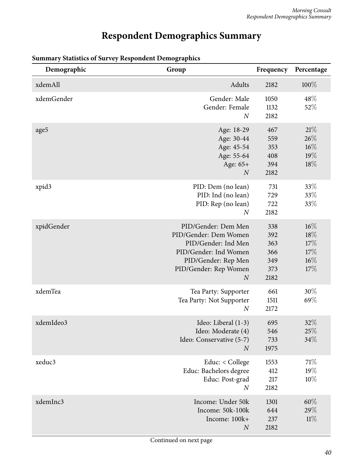# **Respondent Demographics Summary**

| Demographic | Group                                                                                                                                                            | Frequency                                      | Percentage                                   |
|-------------|------------------------------------------------------------------------------------------------------------------------------------------------------------------|------------------------------------------------|----------------------------------------------|
| xdemAll     | Adults                                                                                                                                                           | 2182                                           | 100%                                         |
| xdemGender  | Gender: Male<br>Gender: Female<br>$\boldsymbol{N}$                                                                                                               | 1050<br>1132<br>2182                           | 48%<br>52%                                   |
| age5        | Age: 18-29<br>Age: 30-44<br>Age: 45-54<br>Age: 55-64<br>Age: 65+<br>$\overline{N}$                                                                               | 467<br>559<br>353<br>408<br>394<br>2182        | 21%<br>26%<br>$16\%$<br>19%<br>18%           |
| xpid3       | PID: Dem (no lean)<br>PID: Ind (no lean)<br>PID: Rep (no lean)<br>$\overline{N}$                                                                                 | 731<br>729<br>722<br>2182                      | 33%<br>33%<br>33%                            |
| xpidGender  | PID/Gender: Dem Men<br>PID/Gender: Dem Women<br>PID/Gender: Ind Men<br>PID/Gender: Ind Women<br>PID/Gender: Rep Men<br>PID/Gender: Rep Women<br>$\boldsymbol{N}$ | 338<br>392<br>363<br>366<br>349<br>373<br>2182 | $16\%$<br>18%<br>17%<br>17%<br>$16\%$<br>17% |
| xdemTea     | Tea Party: Supporter<br>Tea Party: Not Supporter<br>$\boldsymbol{N}$                                                                                             | 661<br>1511<br>2172                            | 30%<br>69%                                   |
| xdemIdeo3   | Ideo: Liberal (1-3)<br>Ideo: Moderate (4)<br>Ideo: Conservative (5-7)<br>$\overline{N}$                                                                          | 695<br>546<br>733<br>1975                      | 32%<br>$25\%$<br>34%                         |
| xeduc3      | Educ: < College<br>Educ: Bachelors degree<br>Educ: Post-grad<br>$\boldsymbol{N}$                                                                                 | 1553<br>412<br>217<br>2182                     | 71\%<br>19%<br>10%                           |
| xdemInc3    | Income: Under 50k<br>Income: 50k-100k<br>Income: 100k+<br>$\boldsymbol{N}$                                                                                       | 1301<br>644<br>237<br>2182                     | $60\%$<br>29%<br>11%                         |

## <span id="page-39-0"></span>**Summary Statistics of Survey Respondent Demographics**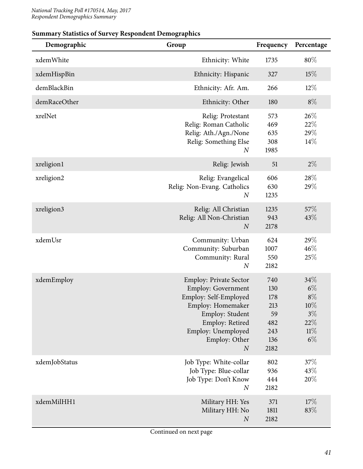| Ammur y outlottes of our vey respondent Demographies<br>Demographic | Group                                                                                                                                                                                              | Frequency                                                   | Percentage                                                      |
|---------------------------------------------------------------------|----------------------------------------------------------------------------------------------------------------------------------------------------------------------------------------------------|-------------------------------------------------------------|-----------------------------------------------------------------|
| xdemWhite                                                           | Ethnicity: White                                                                                                                                                                                   | 1735                                                        | 80%                                                             |
| xdemHispBin                                                         | Ethnicity: Hispanic                                                                                                                                                                                | 327                                                         | 15%                                                             |
| demBlackBin                                                         | Ethnicity: Afr. Am.                                                                                                                                                                                | 266                                                         | $12\%$                                                          |
| demRaceOther                                                        | Ethnicity: Other                                                                                                                                                                                   | 180                                                         | $8\%$                                                           |
| xrelNet                                                             | Relig: Protestant<br>Relig: Roman Catholic<br>Relig: Ath./Agn./None<br>Relig: Something Else<br>$\boldsymbol{N}$                                                                                   | 573<br>469<br>635<br>308<br>1985                            | 26\%<br>22%<br>29%<br>14%                                       |
| xreligion1                                                          | Relig: Jewish                                                                                                                                                                                      | 51                                                          | $2\%$                                                           |
| xreligion2                                                          | Relig: Evangelical<br>Relig: Non-Evang. Catholics<br>$\boldsymbol{N}$                                                                                                                              | 606<br>630<br>1235                                          | 28%<br>29%                                                      |
| xreligion3                                                          | Relig: All Christian<br>Relig: All Non-Christian<br>$\boldsymbol{N}$                                                                                                                               | 1235<br>943<br>2178                                         | 57%<br>43%                                                      |
| xdemUsr                                                             | Community: Urban<br>Community: Suburban<br>Community: Rural<br>$\boldsymbol{N}$                                                                                                                    | 624<br>1007<br>550<br>2182                                  | 29%<br>46%<br>25%                                               |
| xdemEmploy                                                          | <b>Employ: Private Sector</b><br>Employ: Government<br>Employ: Self-Employed<br>Employ: Homemaker<br>Employ: Student<br>Employ: Retired<br>Employ: Unemployed<br>Employ: Other<br>$\boldsymbol{N}$ | 740<br>130<br>178<br>213<br>59<br>482<br>243<br>136<br>2182 | 34%<br>$6\%$<br>$8\%$<br>10%<br>$3\%$<br>$22\%$<br>11%<br>$6\%$ |
| xdemJobStatus                                                       | Job Type: White-collar<br>Job Type: Blue-collar<br>Job Type: Don't Know<br>$\boldsymbol{N}$                                                                                                        | 802<br>936<br>444<br>2182                                   | 37\%<br>43\%<br>20%                                             |
| xdemMilHH1                                                          | Military HH: Yes<br>Military HH: No<br>$\boldsymbol{N}$                                                                                                                                            | 371<br>1811<br>2182                                         | 17%<br>83%                                                      |

#### **Summary Statistics of Survey Respondent Demographics**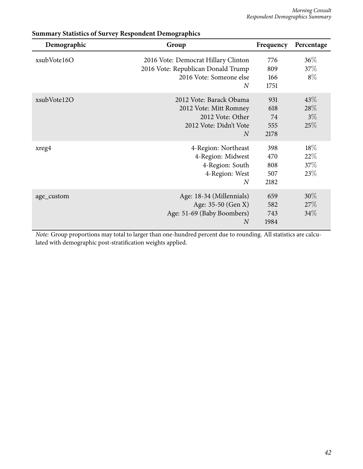| Demographic | Group                                                                                                                  | Frequency                        | Percentage                   |
|-------------|------------------------------------------------------------------------------------------------------------------------|----------------------------------|------------------------------|
| xsubVote16O | 2016 Vote: Democrat Hillary Clinton<br>2016 Vote: Republican Donald Trump<br>2016 Vote: Someone else<br>$\overline{N}$ | 776<br>809<br>166<br>1751        | $36\%$<br>37\%<br>$8\%$      |
| xsubVote12O | 2012 Vote: Barack Obama<br>2012 Vote: Mitt Romney<br>2012 Vote: Other<br>2012 Vote: Didn't Vote<br>$\overline{N}$      | 931<br>618<br>74<br>555<br>2178  | 43\%<br>28\%<br>$3\%$<br>25% |
| xreg4       | 4-Region: Northeast<br>4-Region: Midwest<br>4-Region: South<br>4-Region: West<br>$\overline{N}$                        | 398<br>470<br>808<br>507<br>2182 | 18%<br>22%<br>37%<br>23\%    |
| age_custom  | Age: 18-34 (Millennials)<br>Age: 35-50 (Gen X)<br>Age: 51-69 (Baby Boombers)<br>$\overline{N}$                         | 659<br>582<br>743<br>1984        | $30\%$<br>27%<br>34%         |

## **Summary Statistics of Survey Respondent Demographics**

*Note:* Group proportions may total to larger than one-hundred percent due to rounding. All statistics are calculated with demographic post-stratification weights applied.